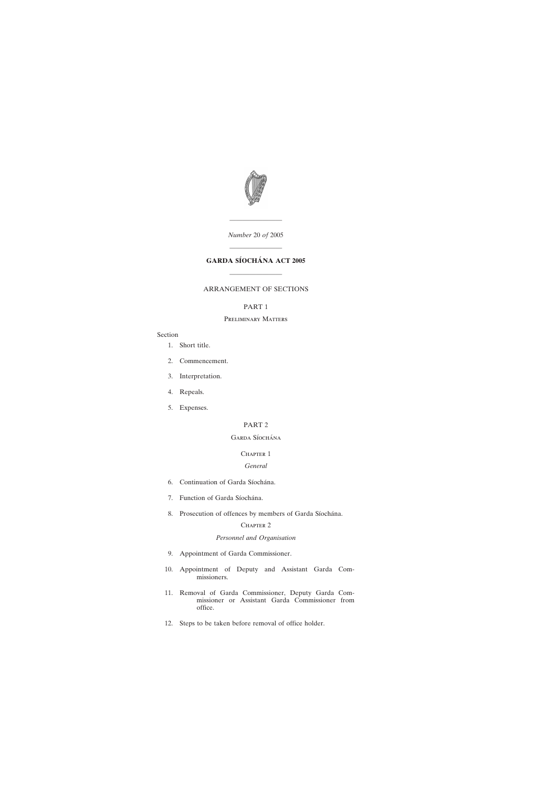

*Number* 20 *of* 2005

————————

# ———————— **GARDA SÍOCHÁNA ACT 2005**

————————

# ARRANGEMENT OF SECTIONS

# PART 1

# Preliminary Matters

# Section

- [1. Short title.](#page-8-0)
- [2. Commencement.](#page-8-0)
- [3. Interpretation.](#page-9-0)
- [4. Repeals.](#page-10-0)
- [5. Expenses.](#page-10-0)

# PART 2

# GARDA SÍOCHÁNA

# CHAPTER 1

# *General*

- 6. Continuation of Garda Síochána.
- 7. Function of Garda Síochána.
- 8. Prosecution of offences by members of Garda Síochána.

# CHAPTER 2

# *Personnel and Organisation*

- [9. Appointment of Garda Commissioner.](#page-12-0)
- [10. Appointment of Deputy and Assistant Garda Com](#page-12-0)missioners.
- [11. Removal of Garda Commissioner, Deputy Garda Com](#page-12-0)missioner or Assistant Garda Commissioner from office.
- [12. Steps to be taken before removal of office holder.](#page-13-0)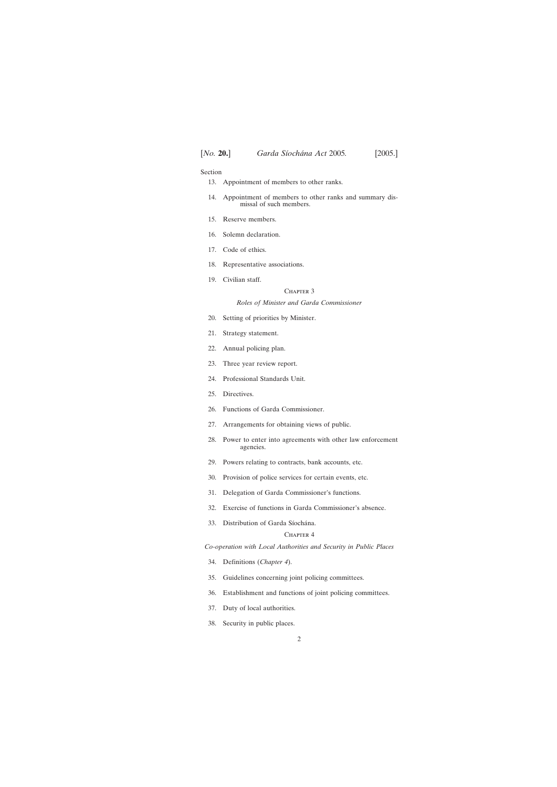# Section

- [13. Appointment of members to other ranks.](#page-14-0)
- [14. Appointment of members to other ranks and summary dis](#page-14-0)missal of such members.
- [15. Reserve members.](#page-15-0)
- [16. Solemn declaration.](#page-15-0)
- [17. Code of ethics.](#page-16-0)
- [18. Representative associations.](#page-16-0)
- [19. Civilian staff.](#page-17-0)

# CHAPTER 3

*Roles of Minister and Garda Commissioner*

- [20. Setting of priorities by Minister.](#page-18-0)
- [21. Strategy statement.](#page-18-0)
- [22. Annual policing plan.](#page-19-0)
- [23. Three year review report.](#page-20-0)
- [24. Professional Standards Unit.](#page-20-0)
- [25. Directives.](#page-21-0)
- [26. Functions of Garda Commissioner.](#page-21-0)
- [27. Arrangements for obtaining views of public.](#page-22-0)
- [28. Power to enter into agreements with other law enforcement](#page-22-0) agencies.
- [29. Powers relating to contracts, bank accounts, etc.](#page-22-0)
- [30. Provision of police services for certain events, etc.](#page-23-0)
- [31. Delegation of Garda Commissioner's functions.](#page-23-0)
- [32. Exercise of functions in Garda Commissioner's absence.](#page-24-0)
- 33. Distribution of Garda Síochána.

#### CHAPTER 4

*Co-operation with Local Authorities and Security in Public Places*

- [34. Definitions \(](#page-24-0)*Chapter 4*).
- [35. Guidelines concerning joint policing committees.](#page-25-0)
- [36. Establishment and functions of joint policing committees.](#page-26-0)
- [37. Duty of local authorities.](#page-27-0)
- [38. Security in public places.](#page-27-0)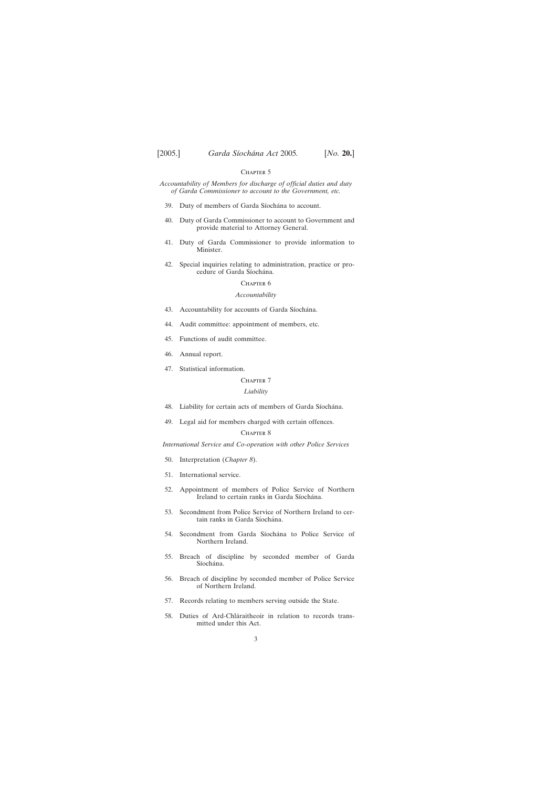# CHAPTER<sub>5</sub>

*Accountability of Members for discharge of official duties and duty of Garda Commissioner to account to the Government, etc.*

- 39. Duty of members of Garda Síochána to account.
- [40. Duty of Garda Commissioner to account to Government and](#page-29-0) provide material to Attorney General.
- [41. Duty of Garda Commissioner to provide information to](#page-30-0) Minister.
- [42. Special inquiries relating to administration, practice or pro](#page-30-0)cedure of Garda Síochána.

#### CHAPTER 6

#### *Accountability*

- 43. Accountability for accounts of Garda Síochána.
- [44. Audit committee: appointment of members, etc.](#page-32-0)
- [45. Functions of audit committee.](#page-33-0)
- [46. Annual report.](#page-34-0)
- [47. Statistical information.](#page-34-0)

# CHAPTER<sub>7</sub>

# *Liability*

- 48. Liability for certain acts of members of Garda Síochána.
- [49. Legal aid for members charged with certain offences.](#page-35-0)

#### CHAPTER 8

*International Service and Co-operation with other Police Services*

- [50. Interpretation \(](#page-36-0)*Chapter 8*).
- [51. International service.](#page-37-0)
- [52. Appointment of members of Police Service of Northern](#page-37-0) Ireland to certain ranks in Garda Síochána.
- [53. Secondment from Police Service of Northern Ireland to cer](#page-38-0)tain ranks in Garda Síochána.
- 54. Secondment from Garda Síochána to Police Service of Northern Ireland.
- [55. Breach of discipline by seconded member of Garda](#page-39-0) Síochána.
- [56. Breach of discipline by seconded member of Police Service](#page-40-0) of Northern Ireland.
- [57. Records relating to members serving outside the State.](#page-40-0)
- 58. Duties of Ard-Chláraitheoir in relation to records transmitted under this Act.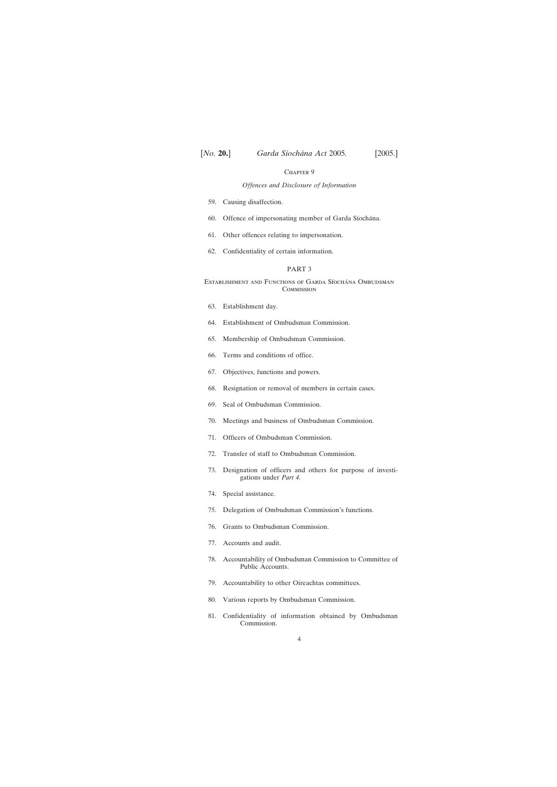# CHAPTER 9

# *Offences and Disclosure of Information*

- [59. Causing disaffection.](#page-41-0)
- 60. Offence of impersonating member of Garda Síochána.
- [61. Other offences relating to impersonation.](#page-42-0)
- [62. Confidentiality of certain information.](#page-43-0)

# PART 3

ESTABLISHMENT AND FUNCTIONS OF GARDA SÍOCHÁNA OMBUDSMAN **COMMISSION** 

- [63. Establishment day.](#page-45-0)
- [64. Establishment of Ombudsman Commission.](#page-45-0)
- [65. Membership of Ombudsman Commission.](#page-45-0)
- [66. Terms and conditions of office.](#page-46-0)
- [67. Objectives, functions and powers.](#page-47-0)
- [68. Resignation or removal of members in certain cases.](#page-47-0)
- [69. Seal of Ombudsman Commission.](#page-48-0)
- [70. Meetings and business of Ombudsman Commission.](#page-48-0)
- [71. Officers of Ombudsman Commission.](#page-48-0)
- [72. Transfer of staff to Ombudsman Commission.](#page-49-0)
- [73. Designation of officers and others for purpose of investi](#page-49-0)gations under *Part 4*.
- [74. Special assistance.](#page-49-0)
- [75. Delegation of Ombudsman Commission's functions.](#page-50-0)
- [76. Grants to Ombudsman Commission.](#page-50-0)
- [77. Accounts and audit.](#page-51-0)
- [78. Accountability of Ombudsman Commission to Committee of](#page-51-0) Public Accounts.
- [79. Accountability to other Oireachtas committees.](#page-52-0)
- [80. Various reports by Ombudsman Commission.](#page-53-0)
- [81. Confidentiality of information obtained by Ombudsman](#page-53-0) Commission.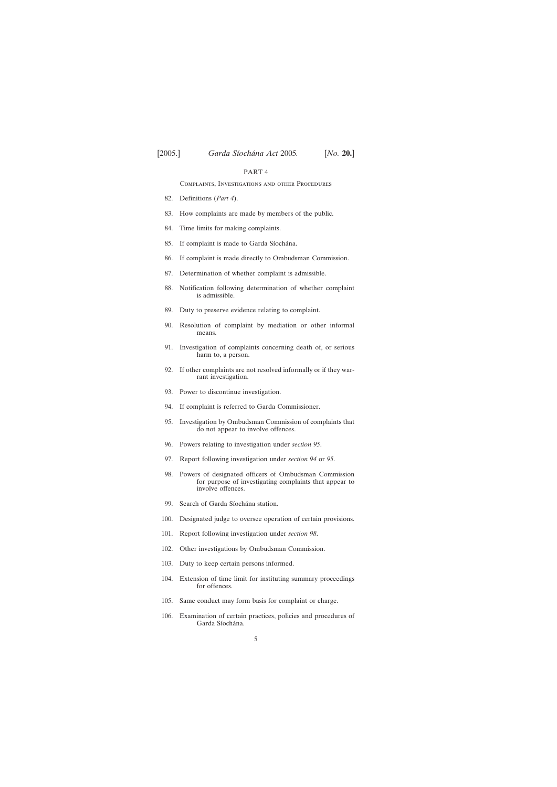## PART 4

Complaints, Investigations and other Procedures

- [82. Definitions \(](#page-55-0)*Part 4*).
- [83. How complaints are made by members of the public.](#page-56-0)
- [84. Time limits for making complaints.](#page-57-0)
- 85. If complaint is made to Garda Síochána.
- [86. If complaint is made directly to Ombudsman Commission.](#page-57-0)
- [87. Determination of whether complaint is admissible.](#page-58-0)
- [88. Notification following determination of whether complaint](#page-58-0) is admissible.
- [89. Duty to preserve evidence relating to complaint.](#page-59-0)
- [90. Resolution of complaint by mediation or other informal](#page-59-0) means.
- [91. Investigation of complaints concerning death of, or serious](#page-60-0) harm to, a person.
- [92. If other complaints are not resolved informally or if they war](#page-61-0)rant investigation.
- [93. Power to discontinue investigation.](#page-61-0)
- [94. If complaint is referred to Garda Commissioner.](#page-61-0)
- [95. Investigation by Ombudsman Commission of complaints that](#page-63-0) do not appear to involve offences.
- [96. Powers relating to investigation under](#page-63-0) *section 95*.
- [97. Report following investigation under](#page-65-0) *section 94* or *95*.
- [98. Powers of designated officers of Ombudsman Commission](#page-66-0) for purpose of investigating complaints that appear to involve offences.
- 99. Search of Garda Síochána station.
- [100. Designated judge to oversee operation of certain provisions.](#page-69-0)
- [101. Report following investigation under](#page-70-0) *section 98*.
- [102. Other investigations by Ombudsman Commission.](#page-71-0)
- [103. Duty to keep certain persons informed.](#page-71-0)
- [104. Extension of time limit for instituting summary proceedings](#page-72-0) for offences.
- [105. Same conduct may form basis for complaint or charge.](#page-72-0)
- [106. Examination of certain practices, policies and procedures of](#page-72-0) Garda Síochána.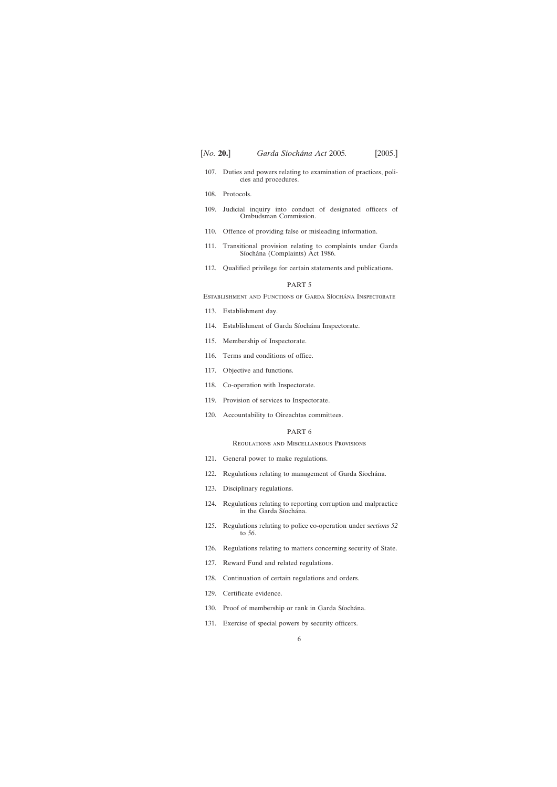- [107. Duties and powers relating to examination of practices, poli](#page-73-0)cies and procedures.
- [108. Protocols.](#page-73-0)
- [109. Judicial inquiry into conduct of designated officers of](#page-74-0) Ombudsman Commission.
- [110. Offence of providing false or misleading information.](#page-74-0)
- [111. Transitional provision relating to complaints under Garda](#page-74-0) Síochána (Complaints) Act 1986.
- [112. Qualified privilege for certain statements and publications.](#page-75-0)

# PART 5

ESTABLISHMENT AND FUNCTIONS OF GARDA SÍOCHÁNA INSPECTORATE

- [113. Establishment day.](#page-75-0)
- 114. Establishment of Garda Síochána Inspectorate.
- [115. Membership of Inspectorate.](#page-75-0)
- [116. Terms and conditions of office.](#page-76-0)
- [117. Objective and functions.](#page-76-0)
- [118. Co-operation with Inspectorate.](#page-77-0)
- [119. Provision of services to Inspectorate.](#page-78-0)
- [120. Accountability to Oireachtas committees.](#page-78-0)

# PART 6

#### Regulations and Miscellaneous Provisions

- [121. General power to make regulations.](#page-78-0)
- 122. Regulations relating to management of Garda Síochána.
- [123. Disciplinary regulations.](#page-81-0)
- [124. Regulations relating to reporting corruption and malpractice](#page-83-0) in the Garda Síochána.
- [125. Regulations relating to police co-operation under s](#page-84-0)*ections 52* to *56*.
- [126. Regulations relating to matters concerning security of State.](#page-84-0)
- [127. Reward Fund and related regulations.](#page-85-0)
- [128. Continuation of certain regulations and orders.](#page-85-0)
- [129. Certificate evidence.](#page-85-0)
- 130. Proof of membership or rank in Garda Síochána.
- [131. Exercise of special powers by security officers.](#page-86-0)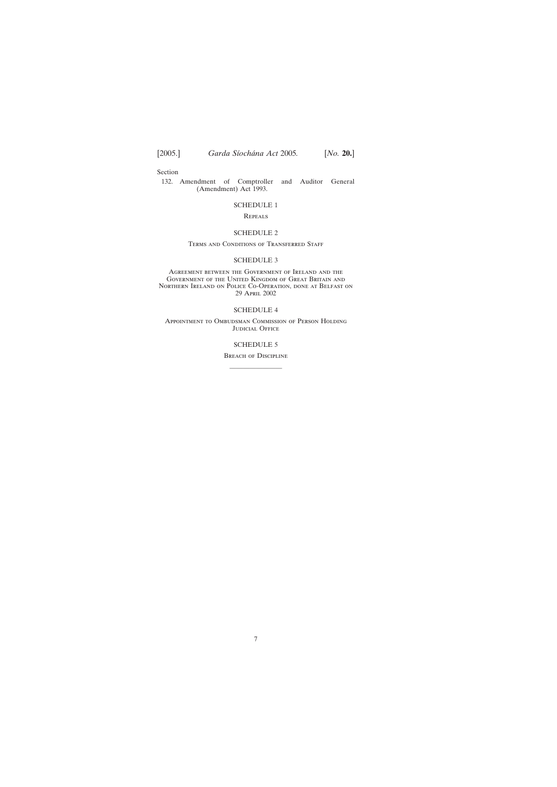Section

[132. Amendment of Comptroller and Auditor General](#page-88-0) (Amendment) Act 1993.

#### [SCHEDULE 1](#page-89-0)

#### **REPEALS**

## [SCHEDULE 2](#page-89-0)

# Terms and Conditions of Transferred Staff

# [SCHEDULE 3](#page-90-0)

Agreement between the Government of Ireland and the Government of the United Kingdom of Great Britain and Northern Ireland on Police Co-Operation, done at Belfast on 29 April 2002

# [SCHEDULE 4](#page-95-0)

Appointment to Ombudsman Commission of Person Holding Judicial Office

# [SCHEDULE 5](#page-95-0)

# Breach of Discipline

————————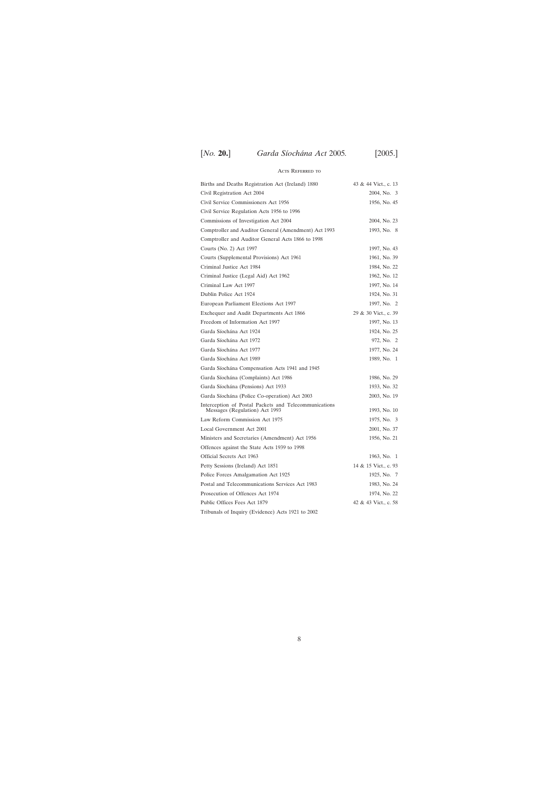# Acts Referred to

| Births and Deaths Registration Act (Ireland) 1880                                       | 43 & 44 Vict., c. 13 |
|-----------------------------------------------------------------------------------------|----------------------|
| Civil Registration Act 2004                                                             | 2004, No. 3          |
| Civil Service Commissioners Act 1956                                                    | 1956, No. 45         |
| Civil Service Regulation Acts 1956 to 1996                                              |                      |
| Commissions of Investigation Act 2004                                                   | 2004, No. 23         |
| Comptroller and Auditor General (Amendment) Act 1993                                    | 1993, No. 8          |
| Comptroller and Auditor General Acts 1866 to 1998                                       |                      |
| Courts (No. 2) Act 1997                                                                 | 1997, No. 43         |
| Courts (Supplemental Provisions) Act 1961                                               | 1961, No. 39         |
| Criminal Justice Act 1984                                                               | 1984, No. 22         |
| Criminal Justice (Legal Aid) Act 1962                                                   | 1962, No. 12         |
| Criminal Law Act 1997                                                                   | 1997, No. 14         |
| Dublin Police Act 1924                                                                  | 1924, No. 31         |
| European Parliament Elections Act 1997                                                  | 1997, No. 2          |
| Exchequer and Audit Departments Act 1866                                                | 29 & 30 Vict., c. 39 |
| Freedom of Information Act 1997                                                         | 1997, No. 13         |
| Garda Síochána Act 1924                                                                 | 1924, No. 25         |
| Garda Síochána Act 1972                                                                 | 972, No. 2           |
| Garda Síochána Act 1977                                                                 | 1977, No. 24         |
| Garda Síochána Act 1989                                                                 | 1989, No. 1          |
| Garda Síochána Compensation Acts 1941 and 1945                                          |                      |
| Garda Síochána (Complaints) Act 1986                                                    | 1986, No. 29         |
| Garda Síochána (Pensions) Act 1933                                                      | 1933, No. 32         |
| Garda Síochána (Police Co-operation) Act 2003                                           | 2003, No. 19         |
| Interception of Postal Packets and Telecommunications<br>Messages (Regulation) Act 1993 | 1993, No. 10         |
| Law Reform Commission Act 1975                                                          | 1975, No. 3          |
| Local Government Act 2001                                                               | 2001, No. 37         |
| Ministers and Secretaries (Amendment) Act 1956                                          | 1956, No. 21         |
| Offences against the State Acts 1939 to 1998                                            |                      |
| Official Secrets Act 1963                                                               | 1963, No. 1          |
| Petty Sessions (Ireland) Act 1851                                                       | 14 & 15 Vict., c. 93 |
| Police Forces Amalgamation Act 1925                                                     | 1925, No. 7          |
| Postal and Telecommunications Services Act 1983                                         | 1983, No. 24         |
| Prosecution of Offences Act 1974                                                        | 1974, No. 22         |
| Public Offices Fees Act 1879                                                            | 42 & 43 Vict., c. 58 |
| Tribunals of Inquiry (Evidence) Acts 1921 to 2002                                       |                      |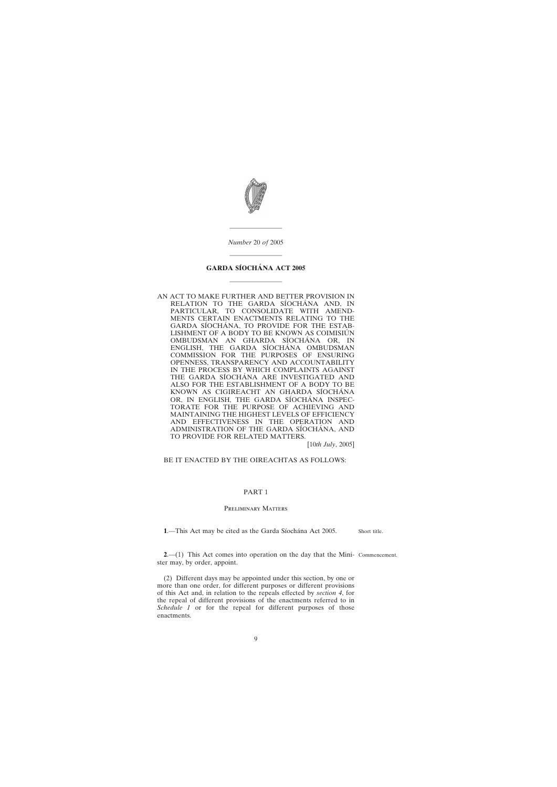<span id="page-8-0"></span>

*Number* 20 *of* 2005

————————

# ———————— **GARDA SÍOCHÁNA ACT 2005**

————————

AN ACT TO MAKE FURTHER AND BETTER PROVISION IN RELATION TO THE GARDA SÍOCHÁNA AND, IN PARTICULAR, TO CONSOLIDATE WITH AMEND-MENTS CERTAIN ENACTMENTS RELATING TO THE GARDA SÍOCHÁNA, TO PROVIDE FOR THE ESTAB-LISHMENT OF A BODY TO BE KNOWN AS COIMISIÚN OMBUDSMAN AN GHARDA SÍOCHÁNA OR, IN ENGLISH, THE GARDA SÍOCHÁNA OMBUDSMAN COMMISSION FOR THE PURPOSES OF ENSURING OPENNESS, TRANSPARENCY AND ACCOUNTABILITY IN THE PROCESS BY WHICH COMPLAINTS AGAINST THE GARDA SÍOCHÁNA ARE INVESTIGATED AND ALSO FOR THE ESTABLISHMENT OF A BODY TO BE KNOWN AS CIGIREACHT AN GHARDA SÍOCHÁNA OR, IN ENGLISH, THE GARDA SÍOCHÁNA INSPEC-TORATE FOR THE PURPOSE OF ACHIEVING AND MAINTAINING THE HIGHEST LEVELS OF EFFICIENCY AND EFFECTIVENESS IN THE OPERATION AND ADMINISTRATION OF THE GARDA SÍOCHÁNA, AND TO PROVIDE FOR RELATED MATTERS.

[10*th July*, 2005]

#### BE IT ENACTED BY THE OIREACHTAS AS FOLLOWS:

# PART 1

#### Preliminary Matters

**1.**—This Act may be cited as the Garda Síochána Act 2005.

Short title.

**2**.—(1) This Act comes into operation on the day that the Mini-Commencement.ster may, by order, appoint.

(2) Different days may be appointed under this section, by one or more than one order, for different purposes or different provisions of this Act and, in relation to the repeals effected by *section 4*, for the repeal of different provisions of the enactments referred to in *Schedule 1* or for the repeal for different purposes of those enactments.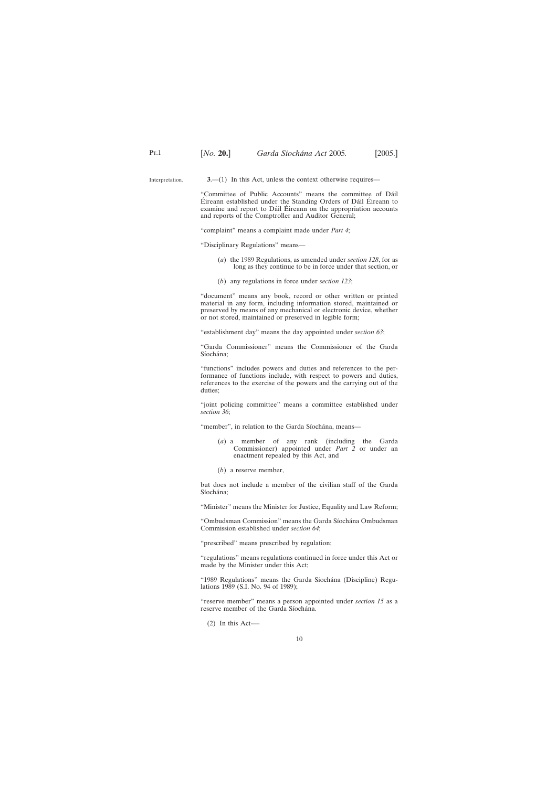Interpretation.

<span id="page-9-0"></span>Pt.1

**3.**—(1) In this Act, unless the context otherwise requires—

"Committee of Public Accounts" means the committee of Da´il Éireann established under the Standing Orders of Dáil Éireann to examine and report to Dáil Éireann on the appropriation accounts and reports of the Comptroller and Auditor General;

"complaint" means a complaint made under *Part 4*;

"Disciplinary Regulations" means—

- (*a*) the 1989 Regulations, as amended under *section 128*, for as long as they continue to be in force under that section, or
- (*b*) any regulations in force under *section 123*;

"document" means any book, record or other written or printed material in any form, including information stored, maintained or preserved by means of any mechanical or electronic device, whether or not stored, maintained or preserved in legible form;

"establishment day" means the day appointed under *section 63*;

"Garda Commissioner" means the Commissioner of the Garda Síochána:

"functions" includes powers and duties and references to the performance of functions include, with respect to powers and duties, references to the exercise of the powers and the carrying out of the duties;

"joint policing committee" means a committee established under *section 36*;

"member", in relation to the Garda Síochána, means—

- (*a*) a member of any rank (including the Garda Commissioner) appointed under *Part 2* or under an enactment repealed by this Act, and
- (*b*) a reserve member,

but does not include a member of the civilian staff of the Garda Síochána;

"Minister" means the Minister for Justice, Equality and Law Reform;

"Ombudsman Commission" means the Garda Síochána Ombudsman Commission established under *section 64*;

"prescribed" means prescribed by regulation;

"regulations" means regulations continued in force under this Act or made by the Minister under this Act;

"1989 Regulations" means the Garda Síochána (Discipline) Regulations 1989 (S.I. No. 94 of 1989);

"reserve member" means a person appointed under *section 15* as a reserve member of the Garda Síochána.

(2) In this Act-—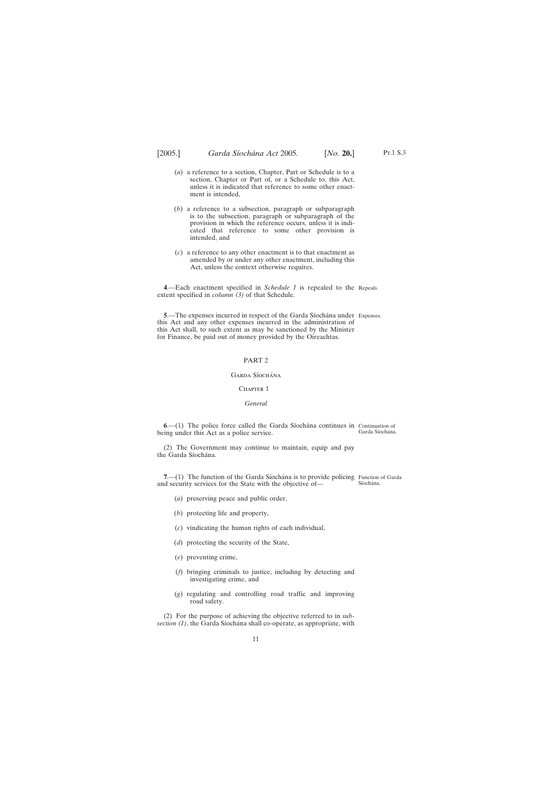- <span id="page-10-0"></span>(*a*) a reference to a section, Chapter, Part or Schedule is to a section, Chapter or Part of, or a Schedule to, this Act, unless it is indicated that reference to some other enactment is intended,
- (*b*) a reference to a subsection, paragraph or subparagraph is to the subsection, paragraph or subparagraph of the provision in which the reference occurs, unless it is indicated that reference to some other provision is intended, and
- (*c*) a reference to any other enactment is to that enactment as amended by or under any other enactment, including this Act, unless the context otherwise requires.

**4**.—Each enactment specified in *Schedule 1* is repealed to the Repeals. extent specified in *column (3)* of that Schedule.

**5**.—The expenses incurred in respect of the Garda Síochána under Expenses. this Act and any other expenses incurred in the administration of this Act shall, to such extent as may be sanctioned by the Minister for Finance, be paid out of money provided by the Oireachtas.

# PART 2

# GARDA SÍOCHÁNA

#### CHAPTER 1

# *General*

**6.**—(1) The police force called the Garda Síochána continues in Continuation of being under this Act as a police service. Garda Síochána.

(2) The Government may continue to maintain, equip and pay the Garda Síochána.

**7.** (1) The function of the Garda Síochána is to provide policing Function of Garda and security services for the State with the objective of— Síochána.

- (*a*) preserving peace and public order,
- (*b*) protecting life and property,
- (*c*) vindicating the human rights of each individual,
- (*d*) protecting the security of the State,
- (*e*) preventing crime,
- (*f*) bringing criminals to justice, including by detecting and investigating crime, and
- (*g*) regulating and controlling road traffic and improving road safety.

(2) For the purpose of achieving the objective referred to in *subsection (1)*, the Garda Síochána shall co-operate, as appropriate, with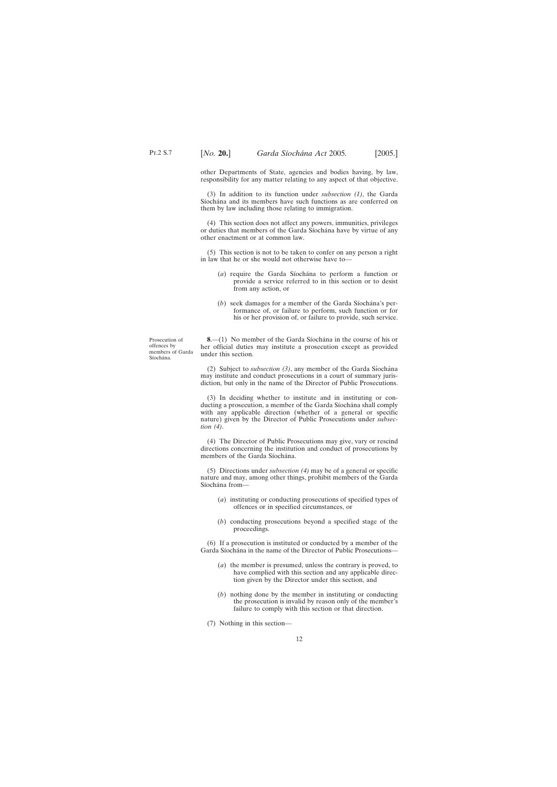<span id="page-11-0"></span>other Departments of State, agencies and bodies having, by law, responsibility for any matter relating to any aspect of that objective.

(3) In addition to its function under *subsection (1)*, the Garda Síochána and its members have such functions as are conferred on them by law including those relating to immigration.

(4) This section does not affect any powers, immunities, privileges or duties that members of the Garda Síochána have by virtue of any other enactment or at common law.

(5) This section is not to be taken to confer on any person a right in law that he or she would not otherwise have to—

- (*a*) require the Garda Siochana to perform a function or provide a service referred to in this section or to desist from any action, or
- (*b*) seek damages for a member of the Garda Siochana's performance of, or failure to perform, such function or for his or her provision of, or failure to provide, such service.

Prosecution of offences by members of Garda Síochána.

**8.**—(1) No member of the Garda Siochana in the course of his or her official duties may institute a prosecution except as provided under this section.

(2) Subject to *subsection*  $(3)$ , any member of the Garda Siochana may institute and conduct prosecutions in a court of summary jurisdiction, but only in the name of the Director of Public Prosecutions.

(3) In deciding whether to institute and in instituting or conducting a prosecution, a member of the Garda Síochána shall comply with any applicable direction (whether of a general or specific nature) given by the Director of Public Prosecutions under *subsection (4)*.

(4) The Director of Public Prosecutions may give, vary or rescind directions concerning the institution and conduct of prosecutions by members of the Garda Síochána.

(5) Directions under *subsection (4)* may be of a general or specific nature and may, among other things, prohibit members of the Garda Síochána from-

- (*a*) instituting or conducting prosecutions of specified types of offences or in specified circumstances, or
- (*b*) conducting prosecutions beyond a specified stage of the proceedings.

(6) If a prosecution is instituted or conducted by a member of the Garda Síochána in the name of the Director of Public Prosecutions—

- (*a*) the member is presumed, unless the contrary is proved, to have complied with this section and any applicable direction given by the Director under this section, and
- (*b*) nothing done by the member in instituting or conducting the prosecution is invalid by reason only of the member's failure to comply with this section or that direction.
- (7) Nothing in this section—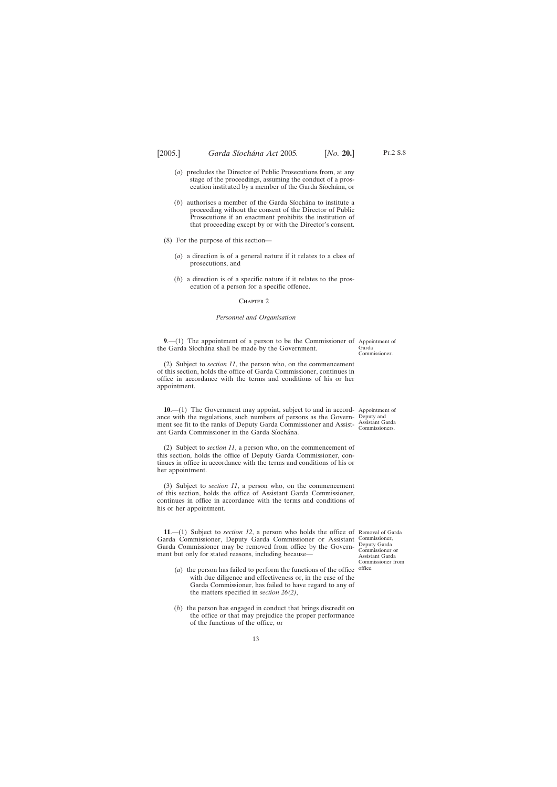- <span id="page-12-0"></span>(*a*) precludes the Director of Public Prosecutions from, at any stage of the proceedings, assuming the conduct of a prosecution instituted by a member of the Garda Síochána, or
- (b) authorises a member of the Garda Síochána to institute a proceeding without the consent of the Director of Public Prosecutions if an enactment prohibits the institution of that proceeding except by or with the Director's consent.
- (8) For the purpose of this section—
	- (*a*) a direction is of a general nature if it relates to a class of prosecutions, and
	- (*b*) a direction is of a specific nature if it relates to the prosecution of a person for a specific offence.

# CHAPTER<sub>2</sub>

#### *Personnel and Organisation*

**9.**—(1) The appointment of a person to be the Commissioner of Appointment of the Garda Síochána shall be made by the Government.

(2) Subject to *section 11*, the person who, on the commencement of this section, holds the office of Garda Commissioner, continues in office in accordance with the terms and conditions of his or her appointment.

**10.**—(1) The Government may appoint, subject to and in accord- Appointment of ance with the regulations, such numbers of persons as the Govern-Deputy and ment see fit to the ranks of Deputy Garda Commissioner and Assist-<br>Commissioners ant Garda Commissioner in the Garda Síochána.

(2) Subject to *section 11*, a person who, on the commencement of this section, holds the office of Deputy Garda Commissioner, continues in office in accordance with the terms and conditions of his or her appointment.

(3) Subject to *section 11*, a person who, on the commencement of this section, holds the office of Assistant Garda Commissioner, continues in office in accordance with the terms and conditions of his or her appointment.

**11**.—(1) Subject to *section 12*, a person who holds the office of Removal of Garda Garda Commissioner, Deputy Garda Commissioner or Assistant Commissioner, Garda Commissioner may be removed from office by the Government but only for stated reasons, including because—

- (*a*) the person has failed to perform the functions of the office with due diligence and effectiveness or, in the case of the Garda Commissioner, has failed to have regard to any of the matters specified in *section 26(2)*,
- (*b*) the person has engaged in conduct that brings discredit on the office or that may prejudice the proper performance of the functions of the office, or

Deputy Garda Commissioner or Assistant Garda Commissioner from

office.

Garda Commissioner.

Commissioners.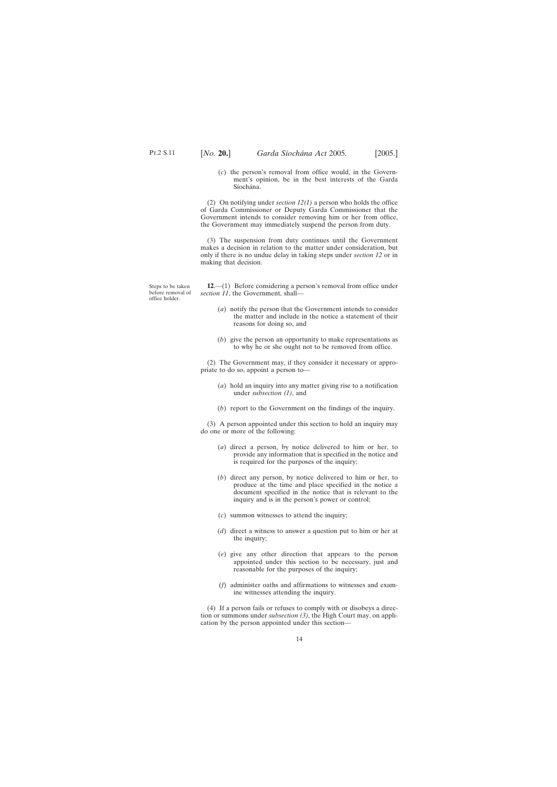<span id="page-13-0"></span>(*c*) the person's removal from office would, in the Government's opinion, be in the best interests of the Garda Síochána.

(2) On notifying under *section 12(1)* a person who holds the office of Garda Commissioner or Deputy Garda Commissioner that the Government intends to consider removing him or her from office, the Government may immediately suspend the person from duty.

(3) The suspension from duty continues until the Government makes a decision in relation to the matter under consideration, but only if there is no undue delay in taking steps under *section 12* or in making that decision.

Steps to be taken before removal of office holder.

**12**.—(1) Before considering a person's removal from office under *section 11*, the Government, shall—

- (*a*) notify the person that the Government intends to consider the matter and include in the notice a statement of their reasons for doing so, and
- (*b*) give the person an opportunity to make representations as to why he or she ought not to be removed from office.

(2) The Government may, if they consider it necessary or appropriate to do so, appoint a person to—

- (*a*) hold an inquiry into any matter giving rise to a notification under *subsection (1)*, and
- (*b*) report to the Government on the findings of the inquiry.

(3) A person appointed under this section to hold an inquiry may do one or more of the following:

- (*a*) direct a person, by notice delivered to him or her, to provide any information that is specified in the notice and is required for the purposes of the inquiry;
- (*b*) direct any person, by notice delivered to him or her, to produce at the time and place specified in the notice a document specified in the notice that is relevant to the inquiry and is in the person's power or control;
- (*c*) summon witnesses to attend the inquiry;
- (*d*) direct a witness to answer a question put to him or her at the inquiry;
- (*e*) give any other direction that appears to the person appointed under this section to be necessary, just and reasonable for the purposes of the inquiry;
- (*f*) administer oaths and affirmations to witnesses and examine witnesses attending the inquiry.

(4) If a person fails or refuses to comply with or disobeys a direction or summons under *subsection (3)*, the High Court may, on application by the person appointed under this section—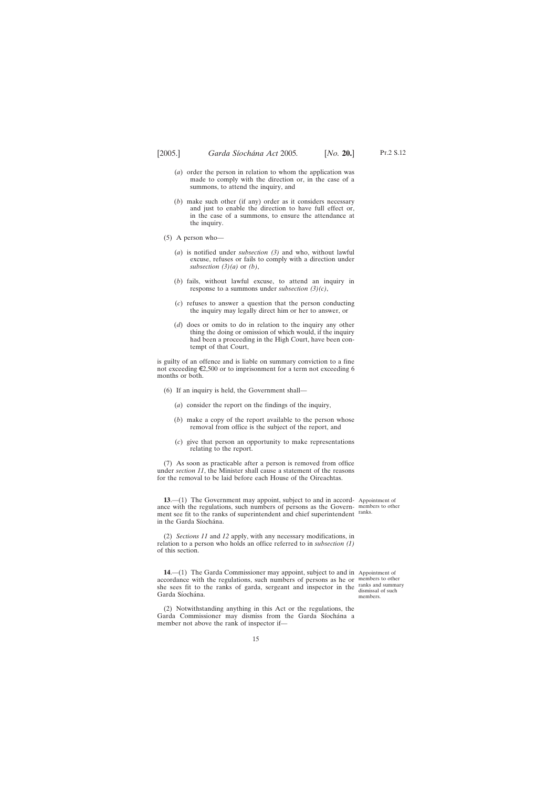- <span id="page-14-0"></span>(*a*) order the person in relation to whom the application was made to comply with the direction or, in the case of a summons, to attend the inquiry, and
- (*b*) make such other (if any) order as it considers necessary and just to enable the direction to have full effect or, in the case of a summons, to ensure the attendance at the inquiry.
- (5) A person who—
	- (*a*) is notified under *subsection (3)* and who, without lawful excuse, refuses or fails to comply with a direction under *subsection (3)(a)* or *(b)*,
	- (*b*) fails, without lawful excuse, to attend an inquiry in response to a summons under *subsection (3)(c)*,
	- (*c*) refuses to answer a question that the person conducting the inquiry may legally direct him or her to answer, or
	- (*d*) does or omits to do in relation to the inquiry any other thing the doing or omission of which would, if the inquiry had been a proceeding in the High Court, have been contempt of that Court,

is guilty of an offence and is liable on summary conviction to a fine not exceeding  $\epsilon$ 2,500 or to imprisonment for a term not exceeding 6 months or both.

- (6) If an inquiry is held, the Government shall—
	- (*a*) consider the report on the findings of the inquiry,
	- (*b*) make a copy of the report available to the person whose removal from office is the subject of the report, and
	- (*c*) give that person an opportunity to make representations relating to the report.

(7) As soon as practicable after a person is removed from office under *section 11*, the Minister shall cause a statement of the reasons for the removal to be laid before each House of the Oireachtas.

**13.**—(1) The Government may appoint, subject to and in accord- Appointment of ance with the regulations, such numbers of persons as the Govern-members to other ment see fit to the ranks of superintendent and chief superintendent ranks. in the Garda Síochána.

(2) *Sections 11* and *12* apply, with any necessary modifications, in relation to a person who holds an office referred to in *subsection (1)* of this section.

**14.** (1) The Garda Commissioner may appoint, subject to and in Appointment of accordance with the regulations, such numbers of persons as he or members to other she sees fit to the ranks of garda, sergeant and inspector in the  $\frac{ranks}{diamical}$  of such Garda Síochána.

(2) Notwithstanding anything in this Act or the regulations, the Garda Commissioner may dismiss from the Garda Síochána a member not above the rank of inspector if—

dismissal of such members.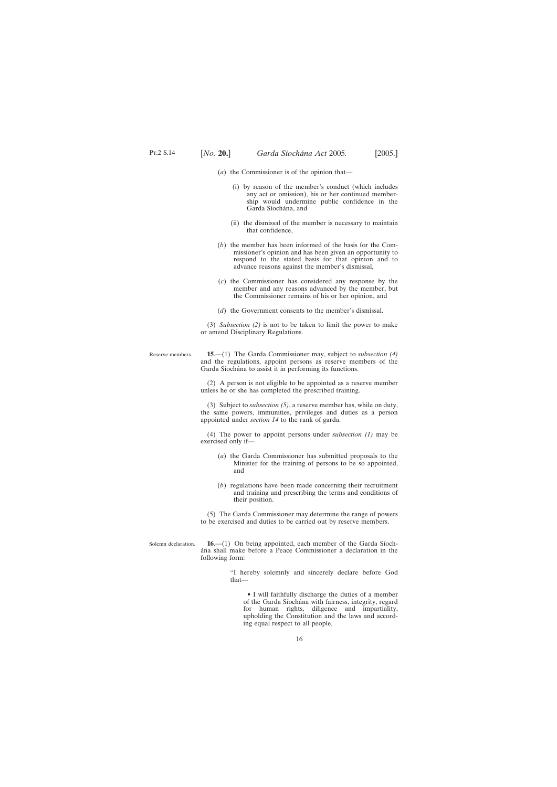- <span id="page-15-0"></span>(*a*) the Commissioner is of the opinion that—
	- (i) by reason of the member's conduct (which includes any act or omission), his or her continued membership would undermine public confidence in the Garda Síochána, and
	- (ii) the dismissal of the member is necessary to maintain that confidence,
- (*b*) the member has been informed of the basis for the Commissioner's opinion and has been given an opportunity to respond to the stated basis for that opinion and to advance reasons against the member's dismissal,
- (*c*) the Commissioner has considered any response by the member and any reasons advanced by the member, but the Commissioner remains of his or her opinion, and
- (*d*) the Government consents to the member's dismissal.

(3) *Subsection (2)* is not to be taken to limit the power to make or amend Disciplinary Regulations.

Reserve members. **15**.—(1) The Garda Commissioner may, subject to *subsection (4)* and the regulations, appoint persons as reserve members of the Garda Síochána to assist it in performing its functions.

> (2) A person is not eligible to be appointed as a reserve member unless he or she has completed the prescribed training.

> (3) Subject to *subsection (5)*, a reserve member has, while on duty, the same powers, immunities, privileges and duties as a person appointed under *section 14* to the rank of garda.

> (4) The power to appoint persons under *subsection (1)* may be exercised only if—

- (*a*) the Garda Commissioner has submitted proposals to the Minister for the training of persons to be so appointed, and
- (*b*) regulations have been made concerning their recruitment and training and prescribing the terms and conditions of their position.

(5) The Garda Commissioner may determine the range of powers to be exercised and duties to be carried out by reserve members.

Solemn declaration.

**16.—(1)** On being appointed, each member of the Garda Siocha´na shall make before a Peace Commissioner a declaration in the following form:

> "I hereby solemnly and sincerely declare before God that—

• I will faithfully discharge the duties of a member of the Garda Síochána with fairness, integrity, regard for human rights, diligence and impartiality, upholding the Constitution and the laws and according equal respect to all people,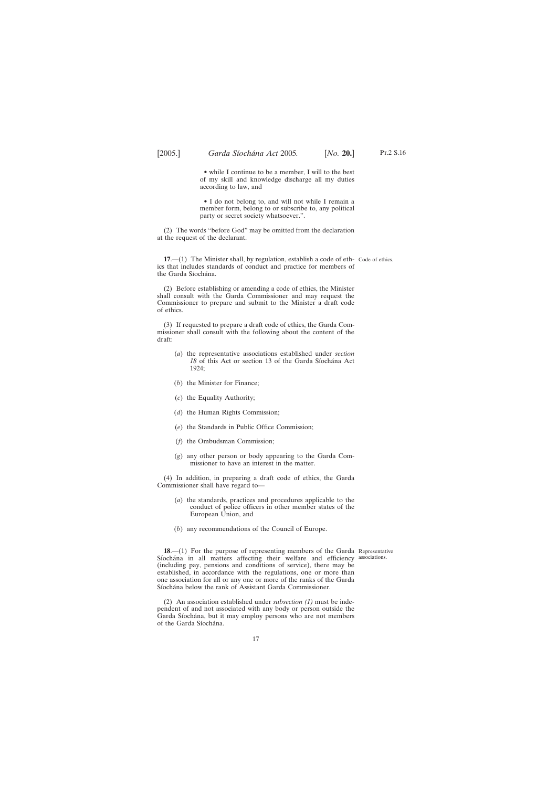<span id="page-16-0"></span>• while I continue to be a member, I will to the best of my skill and knowledge discharge all my duties according to law, and

• I do not belong to, and will not while I remain a member form, belong to or subscribe to, any political party or secret society whatsoever.".

(2) The words "before God" may be omitted from the declaration at the request of the declarant.

**17.**—(1) The Minister shall, by regulation, establish a code of eth- Code of ethics. ics that includes standards of conduct and practice for members of the Garda Síochána.

(2) Before establishing or amending a code of ethics, the Minister shall consult with the Garda Commissioner and may request the Commissioner to prepare and submit to the Minister a draft code of ethics.

(3) If requested to prepare a draft code of ethics, the Garda Commissioner shall consult with the following about the content of the draft:

- (*a*) the representative associations established under *section* 18 of this Act or section 13 of the Garda Síochána Act 1924;
- (*b*) the Minister for Finance;
- (*c*) the Equality Authority;
- (*d*) the Human Rights Commission;
- (*e*) the Standards in Public Office Commission;
- (*f*) the Ombudsman Commission;
- (*g*) any other person or body appearing to the Garda Commissioner to have an interest in the matter.

(4) In addition, in preparing a draft code of ethics, the Garda Commissioner shall have regard to—

- (*a*) the standards, practices and procedures applicable to the conduct of police officers in other member states of the European Union, and
- (*b*) any recommendations of the Council of Europe.

**18.**—(1) For the purpose of representing members of the Garda Representative Síochána in all matters affecting their welfare and efficiency associations. (including pay, pensions and conditions of service), there may be established, in accordance with the regulations, one or more than one association for all or any one or more of the ranks of the Garda Síochána below the rank of Assistant Garda Commissioner.

(2) An association established under *subsection (1)* must be independent of and not associated with any body or person outside the Garda Síochána, but it may employ persons who are not members of the Garda Síochána.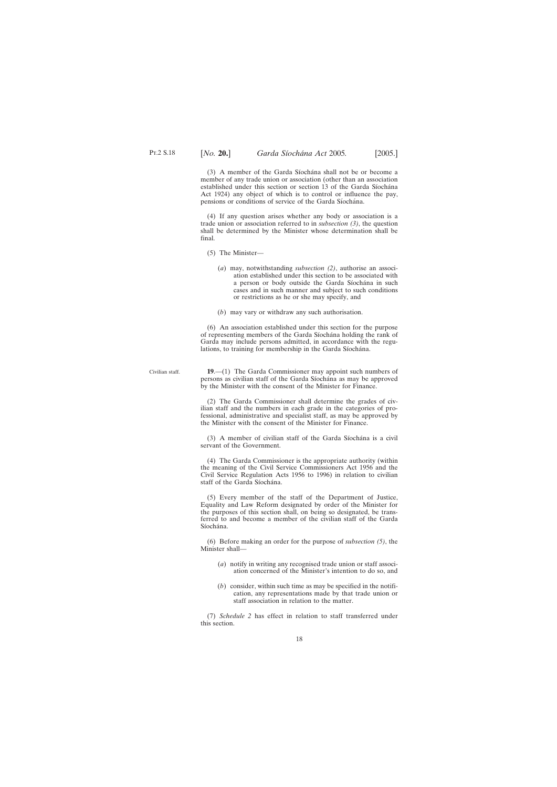<span id="page-17-0"></span>(3) A member of the Garda Síochána shall not be or become a member of any trade union or association (other than an association established under this section or section 13 of the Garda Síochána Act 1924) any object of which is to control or influence the pay, pensions or conditions of service of the Garda Síochána.

(4) If any question arises whether any body or association is a trade union or association referred to in *subsection (3)*, the question shall be determined by the Minister whose determination shall be final.

(5) The Minister—

- (*a*) may, notwithstanding *subsection (2)*, authorise an association established under this section to be associated with a person or body outside the Garda Síochána in such cases and in such manner and subject to such conditions or restrictions as he or she may specify, and
- (*b*) may vary or withdraw any such authorisation.

(6) An association established under this section for the purpose of representing members of the Garda Síochána holding the rank of Garda may include persons admitted, in accordance with the regulations, to training for membership in the Garda Síochána.

Civilian staff. **19**.—(1) The Garda Commissioner may appoint such numbers of persons as civilian staff of the Garda Síochána as may be approved by the Minister with the consent of the Minister for Finance.

> (2) The Garda Commissioner shall determine the grades of civilian staff and the numbers in each grade in the categories of professional, administrative and specialist staff, as may be approved by the Minister with the consent of the Minister for Finance.

> (3) A member of civilian staff of the Garda Síochána is a civil servant of the Government.

> (4) The Garda Commissioner is the appropriate authority (within the meaning of the Civil Service Commissioners Act 1956 and the Civil Service Regulation Acts 1956 to 1996) in relation to civilian staff of the Garda Síochána.

> (5) Every member of the staff of the Department of Justice, Equality and Law Reform designated by order of the Minister for the purposes of this section shall, on being so designated, be transferred to and become a member of the civilian staff of the Garda Síochána.

> (6) Before making an order for the purpose of *subsection (5)*, the Minister shall—

- (*a*) notify in writing any recognised trade union or staff association concerned of the Minister's intention to do so, and
- (*b*) consider, within such time as may be specified in the notification, any representations made by that trade union or staff association in relation to the matter.

(7) *Schedule 2* has effect in relation to staff transferred under this section.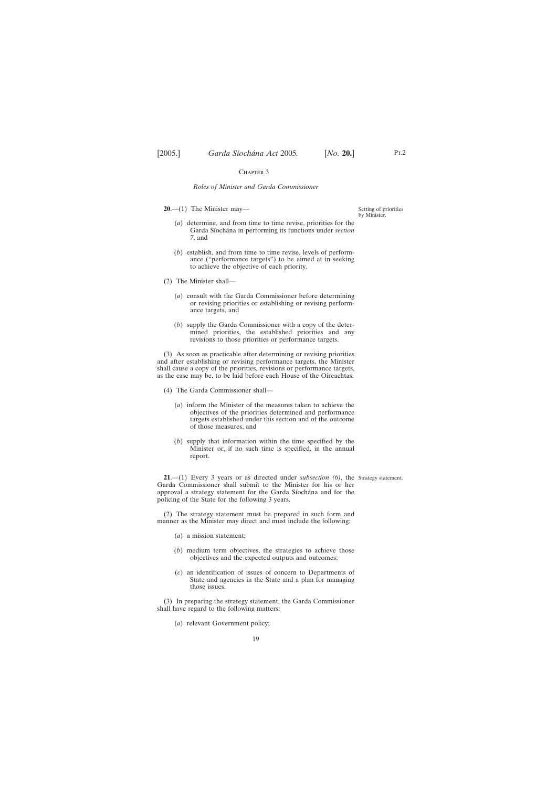### CHAPTER 3

#### *Roles of Minister and Garda Commissioner*

- <span id="page-18-0"></span>**20**.—(1) The Minister may—
	- (*a*) determine, and from time to time revise, priorities for the Garda Síochána in performing its functions under *section 7*, and
	- (*b*) establish, and from time to time revise, levels of performance ("performance targets") to be aimed at in seeking to achieve the objective of each priority.
- (2) The Minister shall—
	- (*a*) consult with the Garda Commissioner before determining or revising priorities or establishing or revising performance targets, and
	- (*b*) supply the Garda Commissioner with a copy of the determined priorities, the established priorities and any revisions to those priorities or performance targets.

(3) As soon as practicable after determining or revising priorities and after establishing or revising performance targets, the Minister shall cause a copy of the priorities, revisions or performance targets, as the case may be, to be laid before each House of the Oireachtas.

- (4) The Garda Commissioner shall—
	- (*a*) inform the Minister of the measures taken to achieve the objectives of the priorities determined and performance targets established under this section and of the outcome of those measures, and
	- (*b*) supply that information within the time specified by the Minister or, if no such time is specified, in the annual report.

**21**.—(1) Every 3 years or as directed under *subsection (6)*, the Strategy statement.Garda Commissioner shall submit to the Minister for his or her approval a strategy statement for the Garda Síochána and for the policing of the State for the following 3 years.

(2) The strategy statement must be prepared in such form and manner as the Minister may direct and must include the following:

- (*a*) a mission statement;
- (*b*) medium term objectives, the strategies to achieve those objectives and the expected outputs and outcomes;
- (*c*) an identification of issues of concern to Departments of State and agencies in the State and a plan for managing those issues.

(3) In preparing the strategy statement, the Garda Commissioner shall have regard to the following matters:

(*a*) relevant Government policy;

Pt.2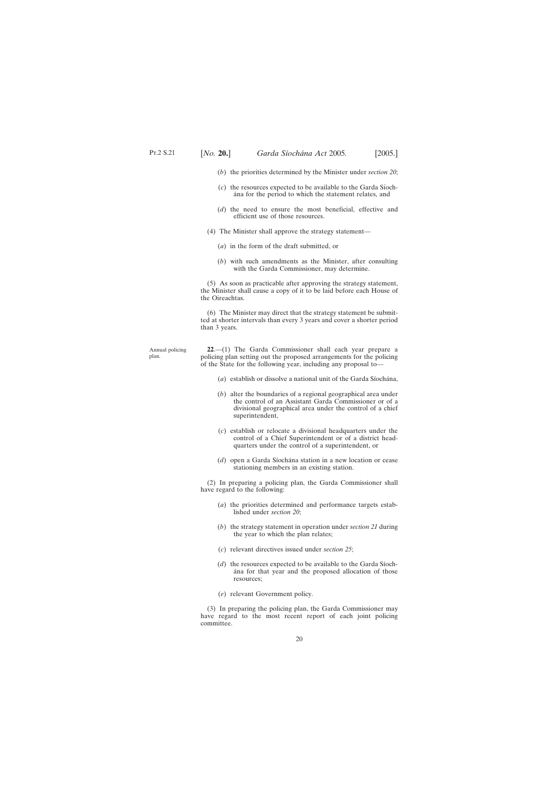Annual policing

plan.

- <span id="page-19-0"></span>(*b*) the priorities determined by the Minister under *section 20*;
- $(c)$  the resources expected to be available to the Garda Siocha´na for the period to which the statement relates, and
- (*d*) the need to ensure the most beneficial, effective and efficient use of those resources.
- (4) The Minister shall approve the strategy statement—
	- (*a*) in the form of the draft submitted, or
	- (*b*) with such amendments as the Minister, after consulting with the Garda Commissioner, may determine.

(5) As soon as practicable after approving the strategy statement, the Minister shall cause a copy of it to be laid before each House of the Oireachtas.

(6) The Minister may direct that the strategy statement be submitted at shorter intervals than every 3 years and cover a shorter period than 3 years.

**22**.—(1) The Garda Commissioner shall each year prepare a policing plan setting out the proposed arrangements for the policing of the State for the following year, including any proposal to—

- (*a*) establish or dissolve a national unit of the Garda Síochána,
- (*b*) alter the boundaries of a regional geographical area under the control of an Assistant Garda Commissioner or of a divisional geographical area under the control of a chief superintendent,
- (*c*) establish or relocate a divisional headquarters under the control of a Chief Superintendent or of a district headquarters under the control of a superintendent, or
- (*d*) open a Garda Síochána station in a new location or cease stationing members in an existing station.

(2) In preparing a policing plan, the Garda Commissioner shall have regard to the following:

- (*a*) the priorities determined and performance targets established under *section 20*;
- (*b*) the strategy statement in operation under *section 21* during the year to which the plan relates;
- (*c*) relevant directives issued under *section 25*;
- $(d)$  the resources expected to be available to the Garda Siochána for that year and the proposed allocation of those resources;
- (*e*) relevant Government policy.

(3) In preparing the policing plan, the Garda Commissioner may have regard to the most recent report of each joint policing committee.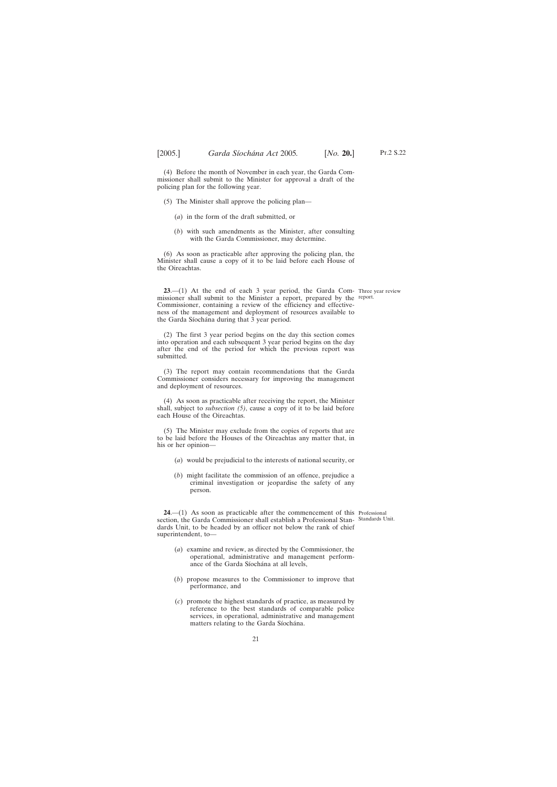<span id="page-20-0"></span>(4) Before the month of November in each year, the Garda Commissioner shall submit to the Minister for approval a draft of the policing plan for the following year.

(5) The Minister shall approve the policing plan—

- (*a*) in the form of the draft submitted, or
- (*b*) with such amendments as the Minister, after consulting with the Garda Commissioner, may determine.

(6) As soon as practicable after approving the policing plan, the Minister shall cause a copy of it to be laid before each House of the Oireachtas.

**23.**—(1) At the end of each 3 year period, the Garda Com-Three year review missioner shall submit to the Minister a report, prepared by the report. Commissioner, containing a review of the efficiency and effectiveness of the management and deployment of resources available to the Garda Síochána during that 3 year period.

(2) The first 3 year period begins on the day this section comes into operation and each subsequent 3 year period begins on the day after the end of the period for which the previous report was submitted.

(3) The report may contain recommendations that the Garda Commissioner considers necessary for improving the management and deployment of resources.

(4) As soon as practicable after receiving the report, the Minister shall, subject to *subsection (5)*, cause a copy of it to be laid before each House of the Oireachtas.

(5) The Minister may exclude from the copies of reports that are to be laid before the Houses of the Oireachtas any matter that, in his or her opinion—

- (*a*) would be prejudicial to the interests of national security, or
- (*b*) might facilitate the commission of an offence, prejudice a criminal investigation or jeopardise the safety of any person.

**24**.—(1) As soon as practicable after the commencement of this Professional section, the Garda Commissioner shall establish a Professional Stan-Standards Unit.dards Unit, to be headed by an officer not below the rank of chief

(*a*) examine and review, as directed by the Commissioner, the operational, administrative and management performance of the Garda Síochána at all levels,

superintendent, to—

- (*b*) propose measures to the Commissioner to improve that performance, and
- (*c*) promote the highest standards of practice, as measured by reference to the best standards of comparable police services, in operational, administrative and management matters relating to the Garda Síochána.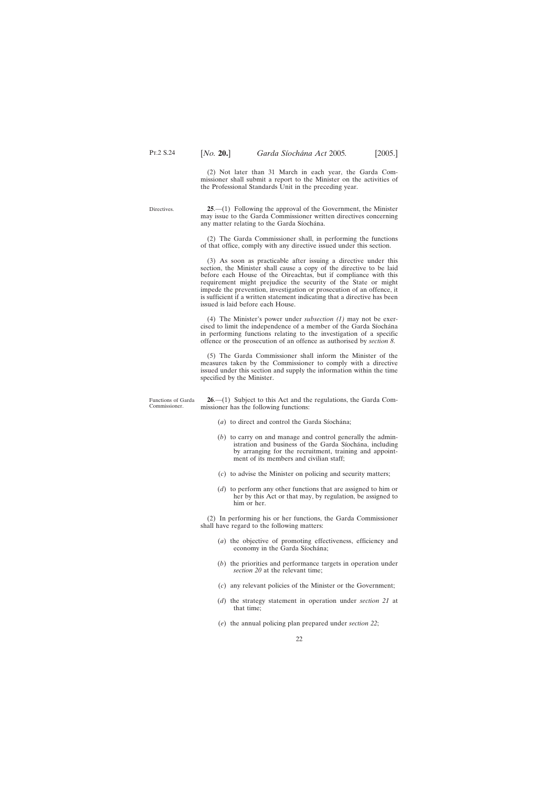(2) Not later than 31 March in each year, the Garda Commissioner shall submit a report to the Minister on the activities of the Professional Standards Unit in the preceding year.

<span id="page-21-0"></span>Directives.

**25**.—(1) Following the approval of the Government, the Minister may issue to the Garda Commissioner written directives concerning any matter relating to the Garda Síochána.

(2) The Garda Commissioner shall, in performing the functions of that office, comply with any directive issued under this section.

(3) As soon as practicable after issuing a directive under this section, the Minister shall cause a copy of the directive to be laid before each House of the Oireachtas, but if compliance with this requirement might prejudice the security of the State or might impede the prevention, investigation or prosecution of an offence, it is sufficient if a written statement indicating that a directive has been issued is laid before each House.

(4) The Minister's power under *subsection (1)* may not be exercised to limit the independence of a member of the Garda Síochána in performing functions relating to the investigation of a specific offence or the prosecution of an offence as authorised by *section 8*.

(5) The Garda Commissioner shall inform the Minister of the measures taken by the Commissioner to comply with a directive issued under this section and supply the information within the time specified by the Minister.

| Functions of Garda<br>Commissioner. | $26 - (1)$ Subject to this Act and the regulations, the Garda Com-<br>missioner has the following functions:                                                                                                                   |
|-------------------------------------|--------------------------------------------------------------------------------------------------------------------------------------------------------------------------------------------------------------------------------|
|                                     | (a) to direct and control the Garda Síochána;                                                                                                                                                                                  |
|                                     | $(b)$ to carry on and manage and control generally the admin-<br>istration and business of the Garda Síochána, including<br>by arranging for the recruitment, training and appoint-<br>ment of its members and civilian staff; |
|                                     | (c) to advise the Minister on policing and security matters;                                                                                                                                                                   |
|                                     | $(d)$ to perform any other functions that are assigned to him or<br>her by this Act or that may, by regulation, be assigned to<br>him or her.                                                                                  |
|                                     | (2) In performing his or her functions, the Garda Commissioner<br>shall have regard to the following matters:                                                                                                                  |
|                                     |                                                                                                                                                                                                                                |

- (*a*) the objective of promoting effectiveness, efficiency and economy in the Garda Síochána;
- (*b*) the priorities and performance targets in operation under *section 20* at the relevant time;
- (*c*) any relevant policies of the Minister or the Government;
- (*d*) the strategy statement in operation under *section 21* at that time;
- (*e*) the annual policing plan prepared under *section 22*;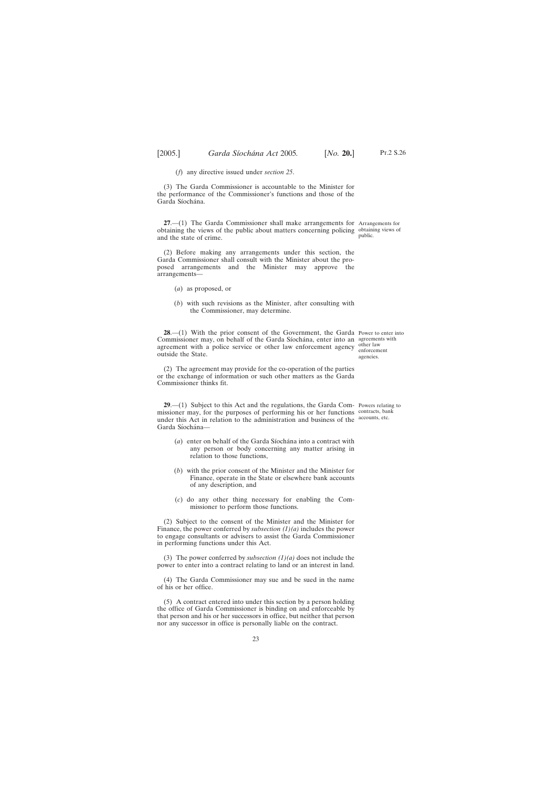(*f*) any directive issued under *section 25*.

<span id="page-22-0"></span>(3) The Garda Commissioner is accountable to the Minister for the performance of the Commissioner's functions and those of the Garda Síochána

**27**.—(1) The Garda Commissioner shall make arrangements for Arrangements for obtaining the views of the public about matters concerning policing obtaining views of and the state of crime.

(2) Before making any arrangements under this section, the Garda Commissioner shall consult with the Minister about the proposed arrangements and the Minister may approve the arrangements—

- (*a*) as proposed, or
- (*b*) with such revisions as the Minister, after consulting with the Commissioner, may determine.

**28.**—(1) With the prior consent of the Government, the Garda Power to enter into Commissioner may, on behalf of the Garda Síochána, enter into an agreements with agreement with a police service or other law enforcement agency other law outside the State.

(2) The agreement may provide for the co-operation of the parties or the exchange of information or such other matters as the Garda Commissioner thinks fit.

**29.**—(1) Subject to this Act and the regulations, the Garda Com- Powers relating to missioner may, for the purposes of performing his or her functions contracts, bank under this Act in relation to the administration and business of the accounts, etc. Garda Síochána-

- (*a*) enter on behalf of the Garda Síochána into a contract with any person or body concerning any matter arising in relation to those functions,
- (*b*) with the prior consent of the Minister and the Minister for Finance, operate in the State or elsewhere bank accounts of any description, and
- (*c*) do any other thing necessary for enabling the Commissioner to perform those functions.

(2) Subject to the consent of the Minister and the Minister for Finance, the power conferred by *subsection (1)(a)* includes the power to engage consultants or advisers to assist the Garda Commissioner in performing functions under this Act.

(3) The power conferred by *subsection (1)(a)* does not include the power to enter into a contract relating to land or an interest in land.

(4) The Garda Commissioner may sue and be sued in the name of his or her office.

(5) A contract entered into under this section by a person holding the office of Garda Commissioner is binding on and enforceable by that person and his or her successors in office, but neither that person nor any successor in office is personally liable on the contract.

public.

enforcement agencies.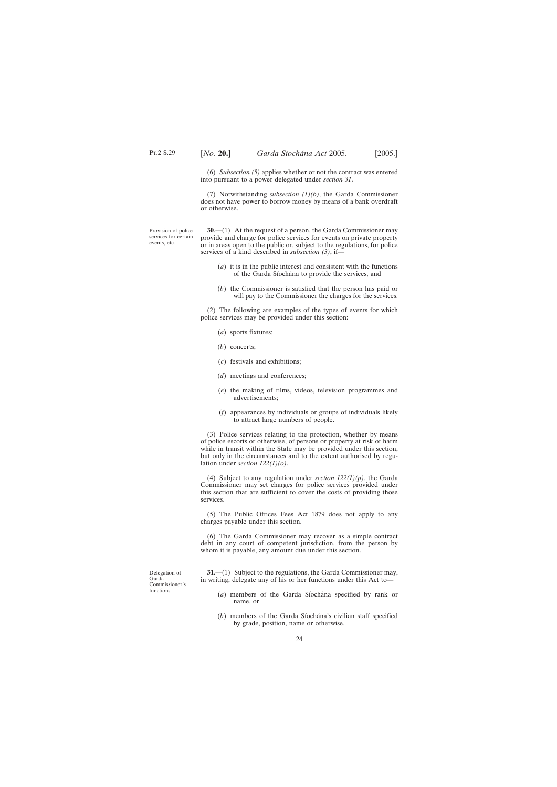<span id="page-23-0"></span>(6) *Subsection (5)* applies whether or not the contract was entered into pursuant to a power delegated under *section 31*.

(7) Notwithstanding *subsection (1)(b)*, the Garda Commissioner does not have power to borrow money by means of a bank overdraft or otherwise.

Provision of police services for certain events, etc.

**30**.—(1) At the request of a person, the Garda Commissioner may provide and charge for police services for events on private property or in areas open to the public or, subject to the regulations, for police services of a kind described in *subsection (3)*, if—

- (*a*) it is in the public interest and consistent with the functions of the Garda Síochána to provide the services, and
- (*b*) the Commissioner is satisfied that the person has paid or will pay to the Commissioner the charges for the services.

(2) The following are examples of the types of events for which police services may be provided under this section:

- (*a*) sports fixtures;
- (*b*) concerts;
- (*c*) festivals and exhibitions;
- (*d*) meetings and conferences;
- (*e*) the making of films, videos, television programmes and advertisements;
- (*f*) appearances by individuals or groups of individuals likely to attract large numbers of people.

(3) Police services relating to the protection, whether by means of police escorts or otherwise, of persons or property at risk of harm while in transit within the State may be provided under this section, but only in the circumstances and to the extent authorised by regulation under *section 122(1)(o)*.

(4) Subject to any regulation under *section 122(1)(p)*, the Garda Commissioner may set charges for police services provided under this section that are sufficient to cover the costs of providing those services.

(5) The Public Offices Fees Act 1879 does not apply to any charges payable under this section.

(6) The Garda Commissioner may recover as a simple contract debt in any court of competent jurisdiction, from the person by whom it is payable, any amount due under this section.

Delegation of Garda Commissioner's functions.

**31**.—(1) Subject to the regulations, the Garda Commissioner may, in writing, delegate any of his or her functions under this Act to—

- (*a*) members of the Garda Síochána specified by rank or name, or
- (b) members of the Garda Síochána's civilian staff specified by grade, position, name or otherwise.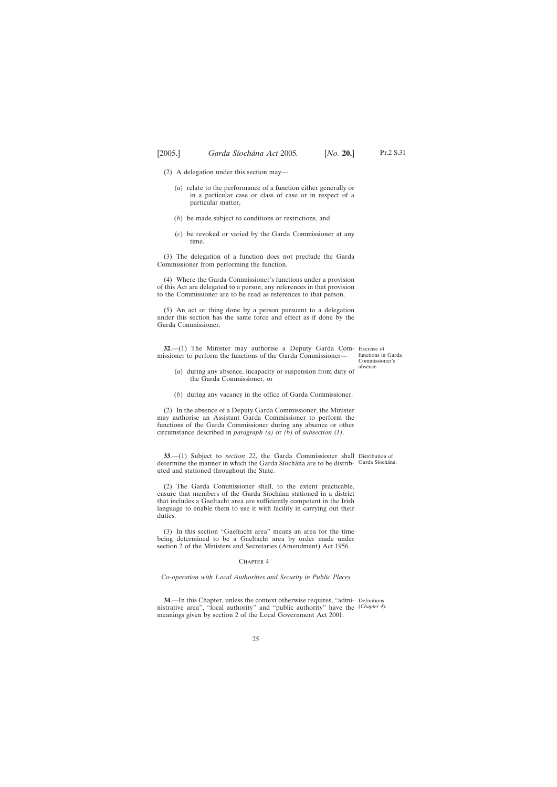<span id="page-24-0"></span>

(2) A delegation under this section may—

- (*a*) relate to the performance of a function either generally or in a particular case or class of case or in respect of a particular matter,
- (*b*) be made subject to conditions or restrictions, and
- (*c*) be revoked or varied by the Garda Commissioner at any time.

(3) The delegation of a function does not preclude the Garda Commissioner from performing the function.

(4) Where the Garda Commissioner's functions under a provision of this Act are delegated to a person, any references in that provision to the Commissioner are to be read as references to that person.

(5) An act or thing done by a person pursuant to a delegation under this section has the same force and effect as if done by the Garda Commissioner.

**32.**—(1) The Minister may authorise a Deputy Garda Com- Exercise of missioner to perform the functions of the Garda Commissioner—

functions in Garda Commissioner's absence.

- (*a*) during any absence, incapacity or suspension from duty of the Garda Commissioner, or
- (*b*) during any vacancy in the office of Garda Commissioner.

(2) In the absence of a Deputy Garda Commissioner, the Minister may authorise an Assistant Garda Commissioner to perform the functions of the Garda Commissioner during any absence or other circumstance described in *paragraph (a)* or *(b)* of *subsection (1)*.

**33**.—(1) Subject to *section 22*, the Garda Commissioner shall Distribution of determine the manner in which the Garda Síochána are to be distrib- Garda Síochána. uted and stationed throughout the State.

(2) The Garda Commissioner shall, to the extent practicable, ensure that members of the Garda Síochána stationed in a district that includes a Gaeltacht area are sufficiently competent in the Irish language to enable them to use it with facility in carrying out their duties.

(3) In this section "Gaeltacht area" means an area for the time being determined to be a Gaeltacht area by order made under section 2 of the Ministers and Secretaries (Amendment) Act 1956.

# CHAPTER 4

*Co-operation with Local Authorities and Security in Public Places*

**34**.—In this Chapter, unless the context otherwise requires, "admi-Definitions nistrative area", "local authority" and "public authority" have the (*Chapter 4*).meanings given by section 2 of the Local Government Act 2001.

25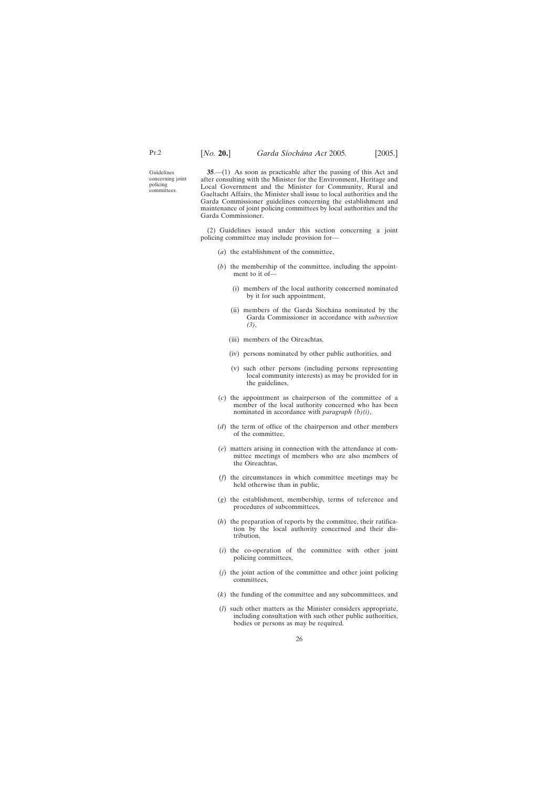<span id="page-25-0"></span>Guidelines concerning joint policing committees.

**35**.—(1) As soon as practicable after the passing of this Act and after consulting with the Minister for the Environment, Heritage and Local Government and the Minister for Community, Rural and Gaeltacht Affairs, the Minister shall issue to local authorities and the Garda Commissioner guidelines concerning the establishment and maintenance of joint policing committees by local authorities and the Garda Commissioner.

(2) Guidelines issued under this section concerning a joint policing committee may include provision for—

- (*a*) the establishment of the committee,
- (*b*) the membership of the committee, including the appointment to it of—
	- (i) members of the local authority concerned nominated by it for such appointment,
	- (ii) members of the Garda Síochána nominated by the Garda Commissioner in accordance with *subsection (3)*,
	- (iii) members of the Oireachtas,
	- (iv) persons nominated by other public authorities, and
	- (v) such other persons (including persons representing local community interests) as may be provided for in the guidelines,
- (*c*) the appointment as chairperson of the committee of a member of the local authority concerned who has been nominated in accordance with *paragraph (b)(i)*,
- (*d*) the term of office of the chairperson and other members of the committee,
- (*e*) matters arising in connection with the attendance at committee meetings of members who are also members of the Oireachtas,
- (*f*) the circumstances in which committee meetings may be held otherwise than in public,
- (*g*) the establishment, membership, terms of reference and procedures of subcommittees,
- (*h*) the preparation of reports by the committee, their ratification by the local authority concerned and their distribution,
- (*i*) the co-operation of the committee with other joint policing committees,
- (*j*) the joint action of the committee and other joint policing committees,
- (*k*) the funding of the committee and any subcommittees, and
- (*l*) such other matters as the Minister considers appropriate, including consultation with such other public authorities, bodies or persons as may be required.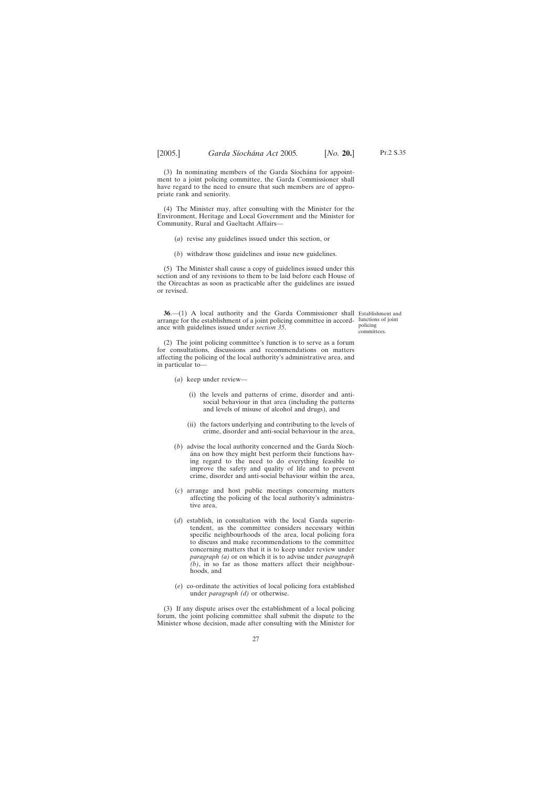<span id="page-26-0"></span>(3) In nominating members of the Garda Síochána for appointment to a joint policing committee, the Garda Commissioner shall have regard to the need to ensure that such members are of appropriate rank and seniority.

(4) The Minister may, after consulting with the Minister for the Environment, Heritage and Local Government and the Minister for Community, Rural and Gaeltacht Affairs—

- (*a*) revise any guidelines issued under this section, or
- (*b*) withdraw those guidelines and issue new guidelines.

(5) The Minister shall cause a copy of guidelines issued under this section and of any revisions to them to be laid before each House of the Oireachtas as soon as practicable after the guidelines are issued or revised.

**36.**—(1) A local authority and the Garda Commissioner shall Establishment and arrange for the establishment of a joint policing committee in accord-functions of joint ance with guidelines issued under *section 35*.

policing committees.

(2) The joint policing committee's function is to serve as a forum for consultations, discussions and recommendations on matters affecting the policing of the local authority's administrative area, and in particular to—

- (*a*) keep under review—
	- (i) the levels and patterns of crime, disorder and antisocial behaviour in that area (including the patterns and levels of misuse of alcohol and drugs), and
	- (ii) the factors underlying and contributing to the levels of crime, disorder and anti-social behaviour in the area,
- $(b)$  advise the local authority concerned and the Garda Siochána on how they might best perform their functions having regard to the need to do everything feasible to improve the safety and quality of life and to prevent crime, disorder and anti-social behaviour within the area,
- (*c*) arrange and host public meetings concerning matters affecting the policing of the local authority's administrative area,
- (*d*) establish, in consultation with the local Garda superintendent, as the committee considers necessary within specific neighbourhoods of the area, local policing fora to discuss and make recommendations to the committee concerning matters that it is to keep under review under *paragraph (a)* or on which it is to advise under *paragraph (b)*, in so far as those matters affect their neighbourhoods, and
- (*e*) co-ordinate the activities of local policing fora established under *paragraph (d)* or otherwise.

(3) If any dispute arises over the establishment of a local policing forum, the joint policing committee shall submit the dispute to the Minister whose decision, made after consulting with the Minister for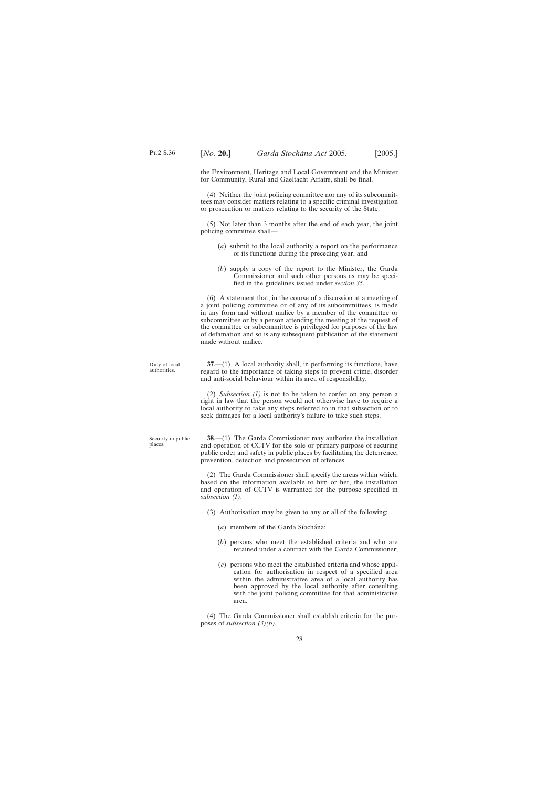<span id="page-27-0"></span>the Environment, Heritage and Local Government and the Minister for Community, Rural and Gaeltacht Affairs, shall be final.

(4) Neither the joint policing committee nor any of its subcommittees may consider matters relating to a specific criminal investigation or prosecution or matters relating to the security of the State.

(5) Not later than 3 months after the end of each year, the joint policing committee shall—

- (*a*) submit to the local authority a report on the performance of its functions during the preceding year, and
- (*b*) supply a copy of the report to the Minister, the Garda Commissioner and such other persons as may be specified in the guidelines issued under *section 35*.

(6) A statement that, in the course of a discussion at a meeting of a joint policing committee or of any of its subcommittees, is made in any form and without malice by a member of the committee or subcommittee or by a person attending the meeting at the request of the committee or subcommittee is privileged for purposes of the law of defamation and so is any subsequent publication of the statement made without malice.

**37**.—(1) A local authority shall, in performing its functions, have regard to the importance of taking steps to prevent crime, disorder and anti-social behaviour within its area of responsibility.

(2) *Subsection (1)* is not to be taken to confer on any person a right in law that the person would not otherwise have to require a local authority to take any steps referred to in that subsection or to seek damages for a local authority's failure to take such steps.

Security in public places.

Duty of local authorities.

> **38.**—(1) The Garda Commissioner may authorise the installation and operation of CCTV for the sole or primary purpose of securing public order and safety in public places by facilitating the deterrence, prevention, detection and prosecution of offences.

> (2) The Garda Commissioner shall specify the areas within which, based on the information available to him or her, the installation and operation of CCTV is warranted for the purpose specified in *subsection (1)*.

(3) Authorisation may be given to any or all of the following:

- (a) members of the Garda Síochána;
- (*b*) persons who meet the established criteria and who are retained under a contract with the Garda Commissioner;
- (*c*) persons who meet the established criteria and whose application for authorisation in respect of a specified area within the administrative area of a local authority has been approved by the local authority after consulting with the joint policing committee for that administrative area.

(4) The Garda Commissioner shall establish criteria for the purposes of *subsection (3)(b)*.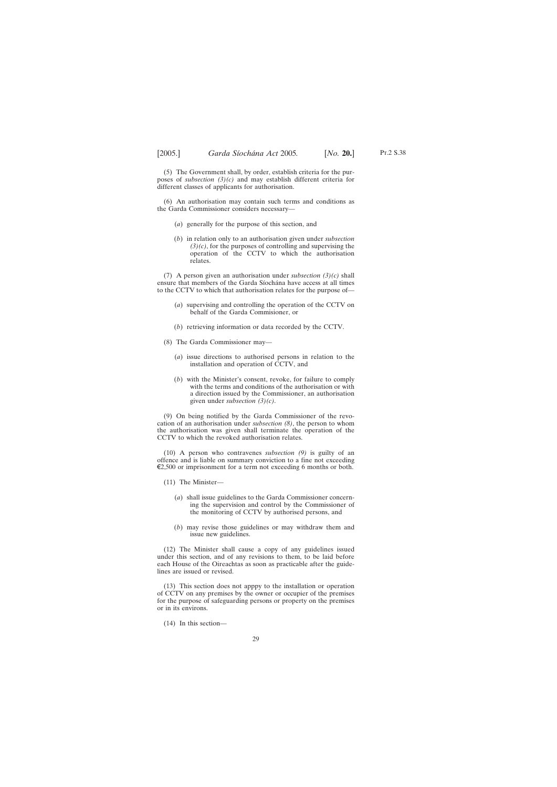(5) The Government shall, by order, establish criteria for the purposes of *subsection (3)(c)* and may establish different criteria for different classes of applicants for authorisation.

(6) An authorisation may contain such terms and conditions as the Garda Commissioner considers necessary—

- (*a*) generally for the purpose of this section, and
- (*b*) in relation only to an authorisation given under *subsection (3)(c)*, for the purposes of controlling and supervising the operation of the CCTV to which the authorisation relates.

(7) A person given an authorisation under *subsection (3)(c)* shall ensure that members of the Garda Síochána have access at all times to the CCTV to which that authorisation relates for the purpose of—

- (*a*) supervising and controlling the operation of the CCTV on behalf of the Garda Commisioner, or
- (*b*) retrieving information or data recorded by the CCTV.
- (8) The Garda Commissioner may—
	- (*a*) issue directions to authorised persons in relation to the installation and operation of CCTV, and
	- (*b*) with the Minister's consent, revoke, for failure to comply with the terms and conditions of the authorisation or with a direction issued by the Commissioner, an authorisation given under *subsection (3)(c)*.

(9) On being notified by the Garda Commissioner of the revocation of an authorisation under *subsection (8)*, the person to whom the authorisation was given shall terminate the operation of the CCTV to which the revoked authorisation relates.

(10) A person who contravenes *subsection (9)* is guilty of an offence and is liable on summary conviction to a fine not exceeding  $\epsilon$ 2,500 or imprisonment for a term not exceeding 6 months or both.

- (11) The Minister—
	- (*a*) shall issue guidelines to the Garda Commissioner concerning the supervision and control by the Commissioner of the monitoring of CCTV by authorised persons, and
	- (*b*) may revise those guidelines or may withdraw them and issue new guidelines.

(12) The Minister shall cause a copy of any guidelines issued under this section, and of any revisions to them, to be laid before each House of the Oireachtas as soon as practicable after the guidelines are issued or revised.

(13) This section does not apppy to the installation or operation of CCTV on any premises by the owner or occupier of the premises for the purpose of safeguarding persons or property on the premises or in its environs.

(14) In this section—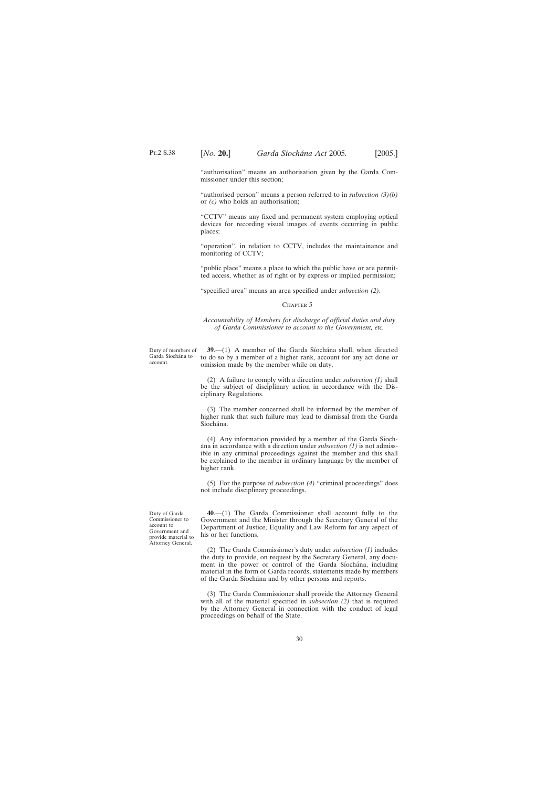<span id="page-29-0"></span>"authorisation" means an authorisation given by the Garda Commissioner under this section;

"authorised person" means a person referred to in *subsection (3)(b)* or *(c)* who holds an authorisation;

"CCTV" means any fixed and permanent system employing optical devices for recording visual images of events occurring in public places;

"operation", in relation to CCTV, includes the maintainance and monitoring of CCTV;

"public place" means a place to which the public have or are permitted access, whether as of right or by express or implied permission;

"specified area" means an area specified under *subsection (2)*.

#### CHAPTER<sub>5</sub>

*Accountability of Members for discharge of official duties and duty of Garda Commissioner to account to the Government, etc.*

Duty of members of Garda Síochána to account.

**39.**—(1) A member of the Garda Síochána shall, when directed to do so by a member of a higher rank, account for any act done or omission made by the member while on duty.

(2) A failure to comply with a direction under *subsection (1)* shall be the subject of disciplinary action in accordance with the Disciplinary Regulations.

(3) The member concerned shall be informed by the member of higher rank that such failure may lead to dismissal from the Garda Síochána.

 $(4)$  Any information provided by a member of the Garda Siocha´na in accordance with a direction under *subsection (1)* is not admissible in any criminal proceedings against the member and this shall be explained to the member in ordinary language by the member of higher rank.

(5) For the purpose of *subsection (4)* "criminal proceedings" does not include disciplinary proceedings.

Duty of Garda Commissioner to account to Government and provide material to Attorney General.

**40**.—(1) The Garda Commissioner shall account fully to the Government and the Minister through the Secretary General of the Department of Justice, Equality and Law Reform for any aspect of his or her functions.

(2) The Garda Commissioner's duty under *subsection (1)* includes the duty to provide, on request by the Secretary General, any document in the power or control of the Garda Síochána, including material in the form of Garda records, statements made by members of the Garda Síochána and by other persons and reports.

(3) The Garda Commissioner shall provide the Attorney General with all of the material specified in *subsection (2)* that is required by the Attorney General in connection with the conduct of legal proceedings on behalf of the State.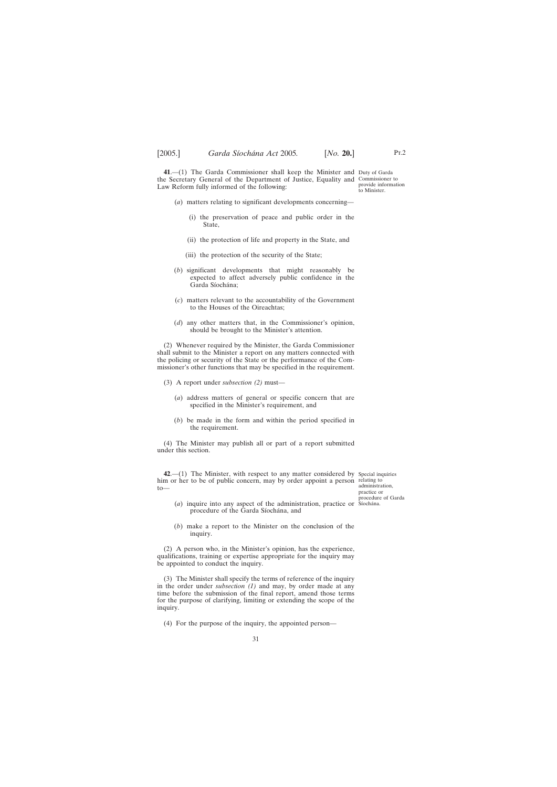<span id="page-30-0"></span>**41**.—(1) The Garda Commissioner shall keep the Minister and Duty of Garda the Secretary General of the Department of Justice, Equality and Commissioner to Law Reform fully informed of the following:

provide information to Minister.

- (*a*) matters relating to significant developments concerning—
	- (i) the preservation of peace and public order in the State,
	- (ii) the protection of life and property in the State, and
	- (iii) the protection of the security of the State;
- (*b*) significant developments that might reasonably be expected to affect adversely public confidence in the Garda Síochána;
- (*c*) matters relevant to the accountability of the Government to the Houses of the Oireachtas;
- (*d*) any other matters that, in the Commissioner's opinion, should be brought to the Minister's attention.

(2) Whenever required by the Minister, the Garda Commissioner shall submit to the Minister a report on any matters connected with the policing or security of the State or the performance of the Commissioner's other functions that may be specified in the requirement.

- (3) A report under *subsection (2)* must—
	- (*a*) address matters of general or specific concern that are specified in the Minister's requirement, and
	- (*b*) be made in the form and within the period specified in the requirement.

(4) The Minister may publish all or part of a report submitted under this section.

**42**.—(1) The Minister, with respect to any matter considered by Special inquiries him or her to be of public concern, may by order appoint a person relating to to—

administration, practice or procedure of Garda

- (*a*) inquire into any aspect of the administration, practice or Síochána. procedure of the Garda Síochána, and
- (*b*) make a report to the Minister on the conclusion of the inquiry.

(2) A person who, in the Minister's opinion, has the experience, qualifications, training or expertise appropriate for the inquiry may be appointed to conduct the inquiry.

(3) The Minister shall specify the terms of reference of the inquiry in the order under *subsection (1)* and may, by order made at any time before the submission of the final report, amend those terms for the purpose of clarifying, limiting or extending the scope of the inquiry.

(4) For the purpose of the inquiry, the appointed person—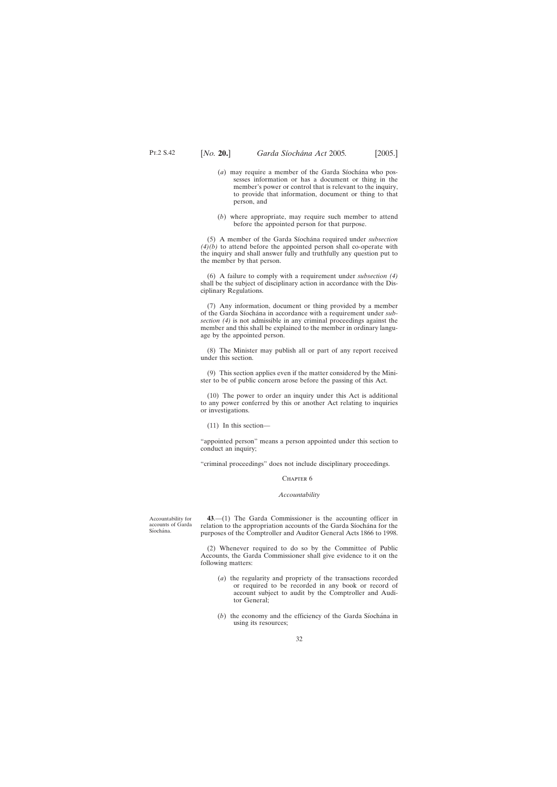- 
- <span id="page-31-0"></span>(*a*) may require a member of the Garda Siochana who possesses information or has a document or thing in the member's power or control that is relevant to the inquiry, to provide that information, document or thing to that person, and
- (*b*) where appropriate, may require such member to attend before the appointed person for that purpose.

(5) A member of the Garda Sı´ocha´na required under *subsection (4)(b)* to attend before the appointed person shall co-operate with the inquiry and shall answer fully and truthfully any question put to the member by that person.

(6) A failure to comply with a requirement under *subsection (4)* shall be the subject of disciplinary action in accordance with the Disciplinary Regulations.

(7) Any information, document or thing provided by a member of the Garda Síochána in accordance with a requirement under *subsection (4)* is not admissible in any criminal proceedings against the member and this shall be explained to the member in ordinary language by the appointed person.

(8) The Minister may publish all or part of any report received under this section.

(9) This section applies even if the matter considered by the Minister to be of public concern arose before the passing of this Act.

(10) The power to order an inquiry under this Act is additional to any power conferred by this or another Act relating to inquiries or investigations.

(11) In this section—

"appointed person" means a person appointed under this section to conduct an inquiry;

"criminal proceedings" does not include disciplinary proceedings.

#### CHAPTER<sub>6</sub>

#### *Accountability*

Accountability for accounts of Garda Síochána.

**43**.—(1) The Garda Commissioner is the accounting officer in relation to the appropriation accounts of the Garda Síochána for the purposes of the Comptroller and Auditor General Acts 1866 to 1998.

(2) Whenever required to do so by the Committee of Public Accounts, the Garda Commissioner shall give evidence to it on the following matters:

- (*a*) the regularity and propriety of the transactions recorded or required to be recorded in any book or record of account subject to audit by the Comptroller and Auditor General;
- (*b*) the economy and the efficiency of the Garda Siochana in using its resources;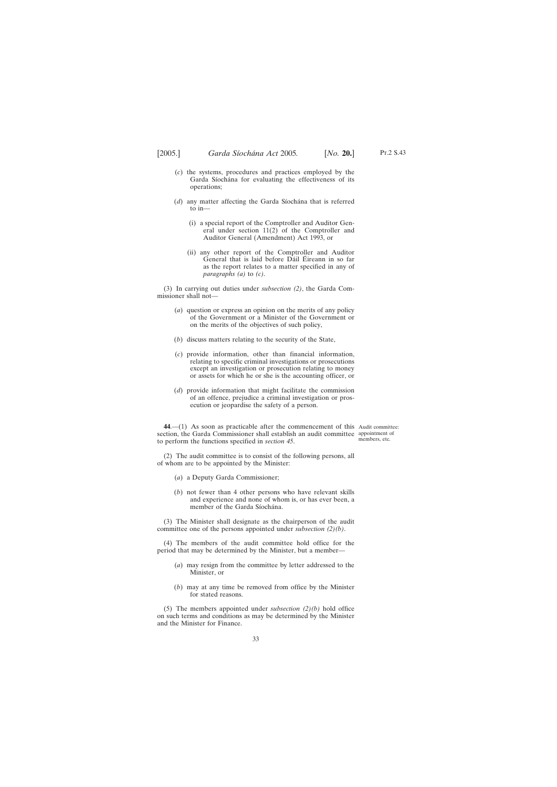- <span id="page-32-0"></span>(*c*) the systems, procedures and practices employed by the Garda Síochána for evaluating the effectiveness of its operations;
- (*d*) any matter affecting the Garda Síochána that is referred to in—
	- (i) a special report of the Comptroller and Auditor General under section 11(2) of the Comptroller and Auditor General (Amendment) Act 1993, or
	- (ii) any other report of the Comptroller and Auditor General that is laid before Dáil Éireann in so far as the report relates to a matter specified in any of *paragraphs (a)* to *(c)*.

(3) In carrying out duties under *subsection (2)*, the Garda Commissioner shall not—

- (*a*) question or express an opinion on the merits of any policy of the Government or a Minister of the Government or on the merits of the objectives of such policy,
- (*b*) discuss matters relating to the security of the State,
- (*c*) provide information, other than financial information, relating to specific criminal investigations or prosecutions except an investigation or prosecution relating to money or assets for which he or she is the accounting officer, or
- (*d*) provide information that might facilitate the commission of an offence, prejudice a criminal investigation or prosecution or jeopardise the safety of a person.

**44**.—(1) As soon as practicable after the commencement of this Audit committee: section, the Garda Commissioner shall establish an audit committee appointment of to perform the functions specified in *section 45*.

members, etc.

(2) The audit committee is to consist of the following persons, all of whom are to be appointed by the Minister:

- (*a*) a Deputy Garda Commissioner;
- (*b*) not fewer than 4 other persons who have relevant skills and experience and none of whom is, or has ever been, a member of the Garda Síochána.

(3) The Minister shall designate as the chairperson of the audit committee one of the persons appointed under *subsection (2)(b)*.

(4) The members of the audit committee hold office for the period that may be determined by the Minister, but a member—

- (*a*) may resign from the committee by letter addressed to the Minister, or
- (*b*) may at any time be removed from office by the Minister for stated reasons.

(5) The members appointed under *subsection (2)(b)* hold office on such terms and conditions as may be determined by the Minister and the Minister for Finance.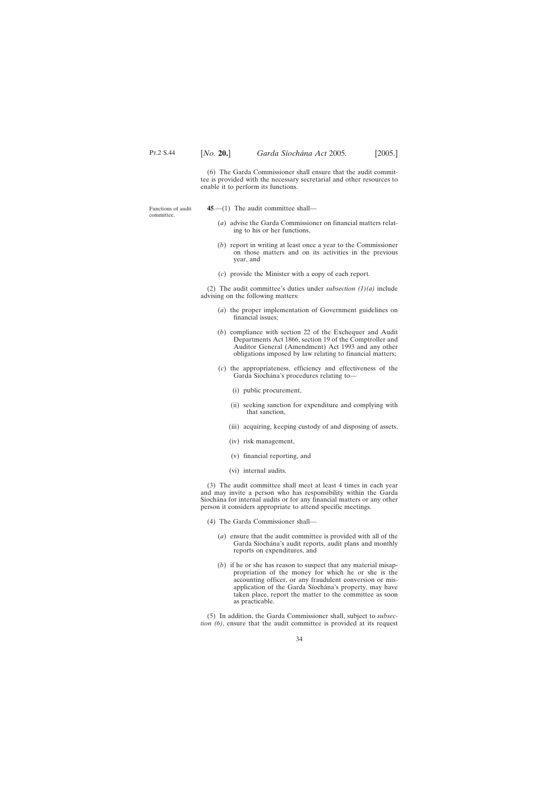(6) The Garda Commissioner shall ensure that the audit committee is provided with the necessary secretarial and other resources to enable it to perform its functions.

<span id="page-33-0"></span>Functions of audit committee.

**45**.—(1) The audit committee shall—

- (*a*) advise the Garda Commissioner on financial matters relating to his or her functions,
- (*b*) report in writing at least once a year to the Commissioner on those matters and on its activities in the previous year, and
- (*c*) provide the Minister with a copy of each report.

(2) The audit committee's duties under *subsection (1)(a)* include advising on the following matters:

- (*a*) the proper implementation of Government guidelines on financial issues;
- (*b*) compliance with section 22 of the Exchequer and Audit Departments Act 1866, section 19 of the Comptroller and Auditor General (Amendment) Act 1993 and any other obligations imposed by law relating to financial matters;
- (*c*) the appropriateness, efficiency and effectiveness of the Garda Síochána's procedures relating to-
	- (i) public procurement,
	- (ii) seeking sanction for expenditure and complying with that sanction,
	- (iii) acquiring, keeping custody of and disposing of assets,
	- (iv) risk management,
	- (v) financial reporting, and
	- (vi) internal audits.

(3) The audit committee shall meet at least 4 times in each year and may invite a person who has responsibility within the Garda Síochána for internal audits or for any financial matters or any other person it considers appropriate to attend specific meetings.

- (4) The Garda Commissioner shall—
	- (*a*) ensure that the audit committee is provided with all of the Garda Síochána's audit reports, audit plans and monthly reports on expenditures, and
	- (*b*) if he or she has reason to suspect that any material misappropriation of the money for which he or she is the accounting officer, or any fraudulent conversion or misapplication of the Garda Síochána's property, may have taken place, report the matter to the committee as soon as practicable.

(5) In addition, the Garda Commissioner shall, subject to *subsection (6)*, ensure that the audit committee is provided at its request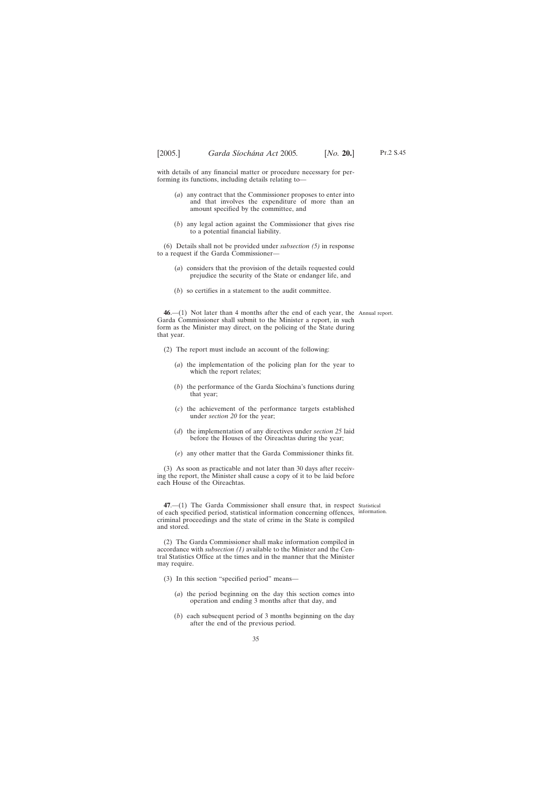<span id="page-34-0"></span>with details of any financial matter or procedure necessary for performing its functions, including details relating to—

- (*a*) any contract that the Commissioner proposes to enter into and that involves the expenditure of more than an amount specified by the committee, and
- (*b*) any legal action against the Commissioner that gives rise to a potential financial liability.

(6) Details shall not be provided under *subsection (5)* in response to a request if the Garda Commissioner—

- (*a*) considers that the provision of the details requested could prejudice the security of the State or endanger life, and
- (*b*) so certifies in a statement to the audit committee.

**46**.—(1) Not later than 4 months after the end of each year, the Annual report. Garda Commissioner shall submit to the Minister a report, in such form as the Minister may direct, on the policing of the State during that year.

- (2) The report must include an account of the following:
	- (*a*) the implementation of the policing plan for the year to which the report relates;
	- (b) the performance of the Garda Siochana's functions during that year;
	- (*c*) the achievement of the performance targets established under *section 20* for the year;
	- (*d*) the implementation of any directives under *section 25* laid before the Houses of the Oireachtas during the year;
	- (*e*) any other matter that the Garda Commissioner thinks fit.

(3) As soon as practicable and not later than 30 days after receiving the report, the Minister shall cause a copy of it to be laid before each House of the Oireachtas.

**47**.—(1) The Garda Commissioner shall ensure that, in respect Statistical of each specified period, statistical information concerning offences, information.criminal proceedings and the state of crime in the State is compiled and stored.

(2) The Garda Commissioner shall make information compiled in accordance with *subsection (1)* available to the Minister and the Central Statistics Office at the times and in the manner that the Minister may require.

- (3) In this section "specified period" means—
	- (*a*) the period beginning on the day this section comes into operation and ending 3 months after that day, and
	- (*b*) each subsequent period of 3 months beginning on the day after the end of the previous period.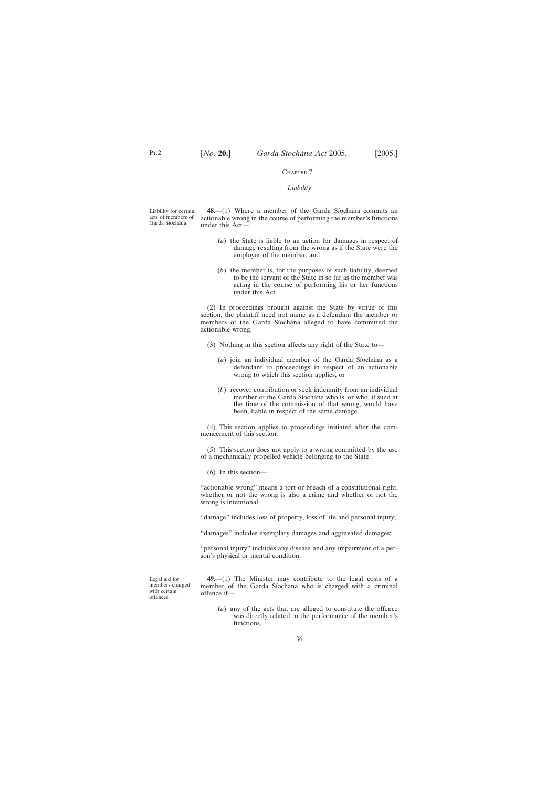#### CHAPTER<sub>7</sub>

#### *Liability*

<span id="page-35-0"></span>Liability for certain acts of members of Garda Síochána.

**48.**—(1) Where a member of the Garda Síochána commits an actionable wrong in the course of performing the member's functions under this Act—

- (*a*) the State is liable to an action for damages in respect of damage resulting from the wrong as if the State were the employer of the member, and
- (*b*) the member is, for the purposes of such liability, deemed to be the servant of the State in so far as the member was acting in the course of performing his or her functions under this Act.

(2) In proceedings brought against the State by virtue of this section, the plaintiff need not name as a defendant the member or members of the Garda Síochána alleged to have committed the actionable wrong.

- (3) Nothing in this section affects any right of the State to—
	- (*a*) join an individual member of the Garda Síochána as a defendant to proceedings in respect of an actionable wrong to which this section applies, or
	- (*b*) recover contribution or seek indemnity from an individual member of the Garda Síochána who is, or who, if sued at the time of the commission of that wrong, would have been, liable in respect of the same damage.

(4) This section applies to proceedings initiated after the commencement of this section.

(5) This section does not apply to a wrong committed by the use of a mechanically propelled vehicle belonging to the State.

(6) In this section—

"actionable wrong" means a tort or breach of a constitutional right, whether or not the wrong is also a crime and whether or not the wrong is intentional;

"damage" includes loss of property, loss of life and personal injury;

"damages" includes exemplary damages and aggravated damages;

"personal injury" includes any disease and any impairment of a person's physical or mental condition.

Legal aid for members charged with certain offences.

**49**.—(1) The Minister may contribute to the legal costs of a member of the Garda Síochána who is charged with a criminal offence if—

(*a*) any of the acts that are alleged to constitute the offence was directly related to the performance of the member's functions,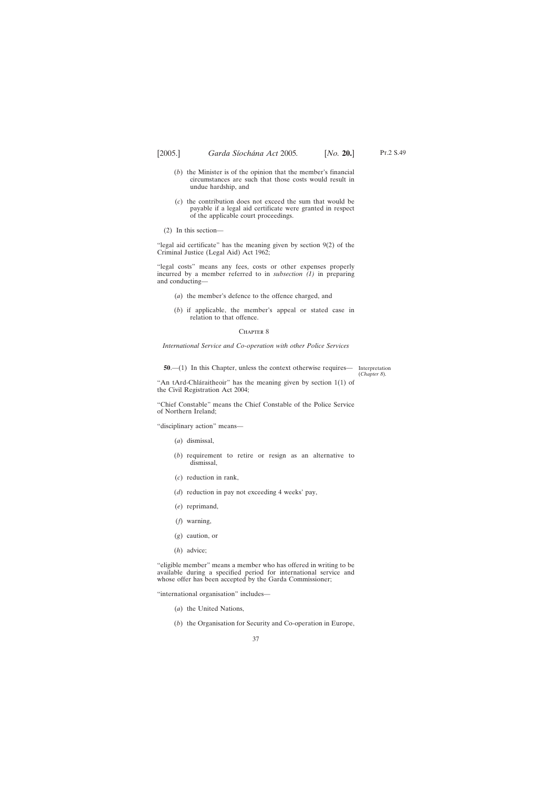- (*b*) the Minister is of the opinion that the member's financial circumstances are such that those costs would result in undue hardship, and
- (*c*) the contribution does not exceed the sum that would be payable if a legal aid certificate were granted in respect of the applicable court proceedings.
- (2) In this section—

"legal aid certificate" has the meaning given by section 9(2) of the Criminal Justice (Legal Aid) Act 1962;

"legal costs" means any fees, costs or other expenses properly incurred by a member referred to in *subsection (1)* in preparing and conducting—

- (*a*) the member's defence to the offence charged, and
- (*b*) if applicable, the member's appeal or stated case in relation to that offence.

### CHAPTER 8

*International Service and Co-operation with other Police Services*

**50.**—(1) In this Chapter, unless the context otherwise requires—

Interpretation (*Chapter 8*).

"An tArd-Chláraitheoir" has the meaning given by section  $1(1)$  of the Civil Registration Act 2004;

"Chief Constable" means the Chief Constable of the Police Service of Northern Ireland;

"disciplinary action" means—

- (*a*) dismissal,
- (*b*) requirement to retire or resign as an alternative to dismissal,
- (*c*) reduction in rank,
- (*d*) reduction in pay not exceeding 4 weeks' pay,
- (*e*) reprimand,
- (*f*) warning,
- (*g*) caution, or
- (*h*) advice;

"eligible member" means a member who has offered in writing to be available during a specified period for international service and whose offer has been accepted by the Garda Commissioner;

"international organisation" includes—

- (*a*) the United Nations,
- (*b*) the Organisation for Security and Co-operation in Europe,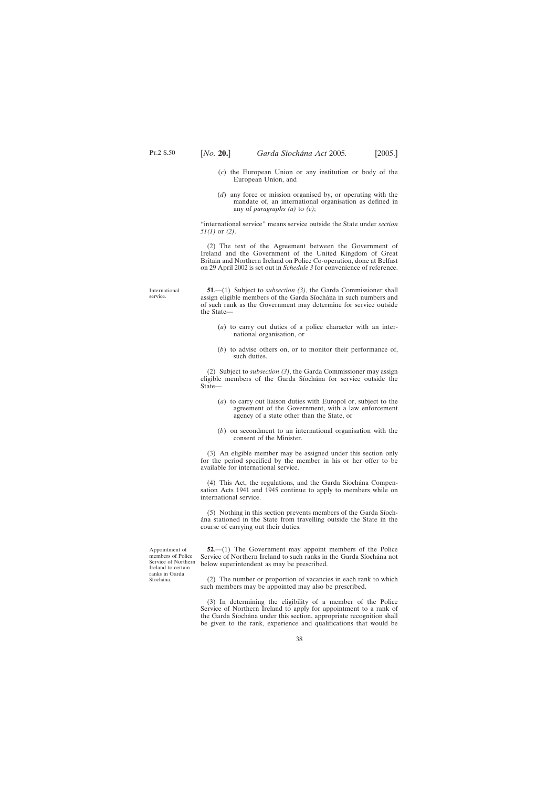International service.

- (*c*) the European Union or any institution or body of the European Union, and
- (*d*) any force or mission organised by, or operating with the mandate of, an international organisation as defined in any of *paragraphs (a)* to *(c)*;

"international service" means service outside the State under *section 51(1)* or *(2)*.

(2) The text of the Agreement between the Government of Ireland and the Government of the United Kingdom of Great Britain and Northern Ireland on Police Co-operation, done at Belfast on 29 April 2002 is set out in *Schedule 3* for convenience of reference.

**51**.—(1) Subject to *subsection (3)*, the Garda Commissioner shall assign eligible members of the Garda Síochána in such numbers and of such rank as the Government may determine for service outside the State—

- (*a*) to carry out duties of a police character with an international organisation, or
- (*b*) to advise others on, or to monitor their performance of, such duties.

(2) Subject to *subsection (3)*, the Garda Commissioner may assign eligible members of the Garda Síochána for service outside the State—

- (*a*) to carry out liaison duties with Europol or, subject to the agreement of the Government, with a law enforcement agency of a state other than the State, or
- (*b*) on secondment to an international organisation with the consent of the Minister.

(3) An eligible member may be assigned under this section only for the period specified by the member in his or her offer to be available for international service.

(4) This Act, the regulations, and the Garda Síochána Compensation Acts 1941 and 1945 continue to apply to members while on international service.

 $(5)$  Nothing in this section prevents members of the Garda Síocha´na stationed in the State from travelling outside the State in the course of carrying out their duties.

**52**.—(1) The Government may appoint members of the Police Service of Northern Ireland to such ranks in the Garda Síochána not below superintendent as may be prescribed.

(2) The number or proportion of vacancies in each rank to which such members may be appointed may also be prescribed.

(3) In determining the eligibility of a member of the Police Service of Northern Ireland to apply for appointment to a rank of the Garda Síochána under this section, appropriate recognition shall be given to the rank, experience and qualifications that would be

Appointment of members of Police Service of Northern Ireland to certain ranks in Garda Síochána.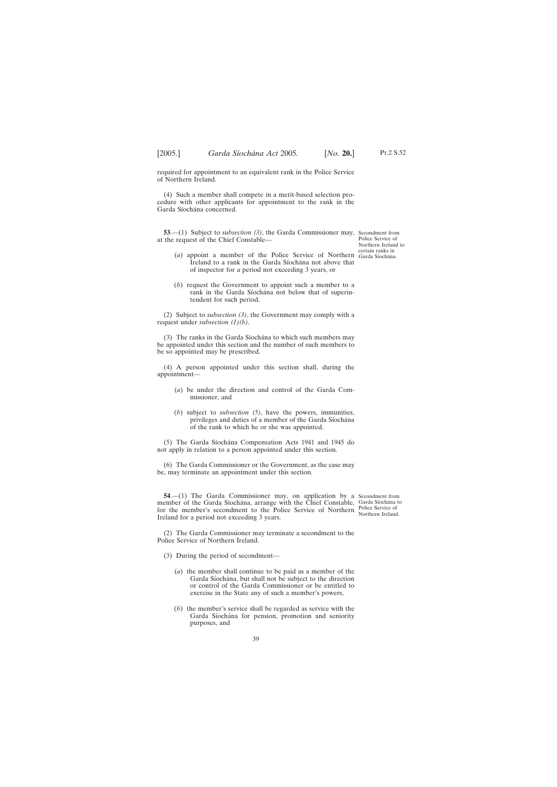required for appointment to an equivalent rank in the Police Service of Northern Ireland.

(4) Such a member shall compete in a merit-based selection procedure with other applicants for appointment to the rank in the Garda Síochána concerned.

**53.**—(1) Subject to *subsection* (3), the Garda Commissioner may, Secondment from at the request of the Chief Constable—

(*a*) appoint a member of the Police Service of Northern Garda Siochana. Ireland to a rank in the Garda Síochána not above that of inspector for a period not exceeding 3 years, or

(*b*) request the Government to appoint such a member to a rank in the Garda Síochána not below that of superintendent for such period.

(2) Subject to *subsection (3)*, the Government may comply with a request under *subsection (1)(b)*.

(3) The ranks in the Garda Síochána to which such members may be appointed under this section and the number of such members to be so appointed may be prescribed.

(4) A person appointed under this section shall, during the appointment—

- (*a*) be under the direction and control of the Garda Commissioner, and
- (*b*) subject to *subsection (5)*, have the powers, immunities, privileges and duties of a member of the Garda Síochána of the rank to which he or she was appointed.

(5) The Garda Síochána Compensation Acts 1941 and 1945 do not apply in relation to a person appointed under this section.

(6) The Garda Commissioner or the Government, as the case may be, may terminate an appointment under this section.

**54.**—(1) The Garda Commissioner may, on application by a Secondment from member of the Garda Síochána, arrange with the Chief Constable, Garda Síochána to for the member's secondment to the Police Service of Northern Police Service of Ireland for a period not exceeding 3 years.

Northern Ireland.

(2) The Garda Commissioner may terminate a secondment to the Police Service of Northern Ireland.

- (3) During the period of secondment—
	- (*a*) the member shall continue to be paid as a member of the Garda Síochána, but shall not be subject to the direction or control of the Garda Commissioner or be entitled to exercise in the State any of such a member's powers,
	- (*b*) the member's service shall be regarded as service with the Garda Síochána for pension, promotion and seniority purposes, and

Police Service of Northern Ireland to certain ranks in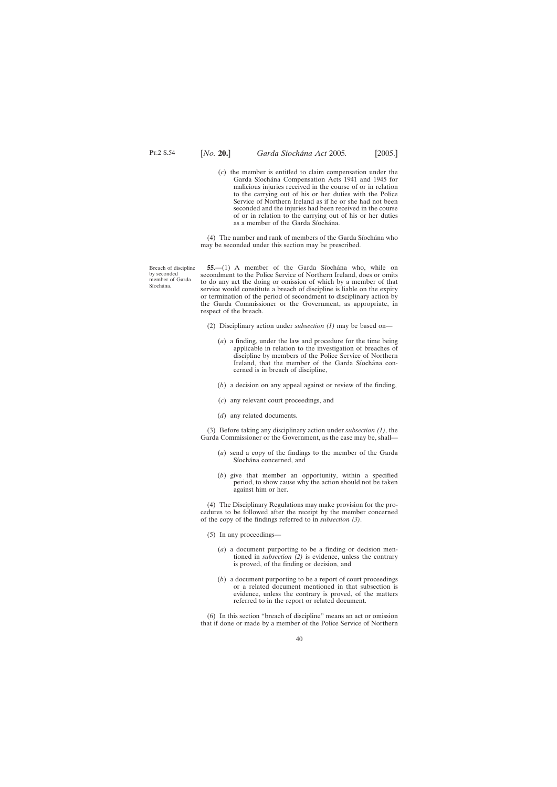(*c*) the member is entitled to claim compensation under the Garda Síochána Compensation Acts 1941 and 1945 for malicious injuries received in the course of or in relation to the carrying out of his or her duties with the Police Service of Northern Ireland as if he or she had not been seconded and the injuries had been received in the course of or in relation to the carrying out of his or her duties as a member of the Garda Síochána.

(4) The number and rank of members of the Garda Siochana who may be seconded under this section may be prescribed.

Breach of discipline by seconded member of Garda Síochána

**55.**—(1) A member of the Garda Siochana who, while on secondment to the Police Service of Northern Ireland, does or omits to do any act the doing or omission of which by a member of that service would constitute a breach of discipline is liable on the expiry or termination of the period of secondment to disciplinary action by the Garda Commissioner or the Government, as appropriate, in respect of the breach.

- (2) Disciplinary action under *subsection (1)* may be based on—
	- (*a*) a finding, under the law and procedure for the time being applicable in relation to the investigation of breaches of discipline by members of the Police Service of Northern Ireland, that the member of the Garda Síochána concerned is in breach of discipline,
	- (*b*) a decision on any appeal against or review of the finding,
	- (*c*) any relevant court proceedings, and
	- (*d*) any related documents.

(3) Before taking any disciplinary action under *subsection (1)*, the Garda Commissioner or the Government, as the case may be, shall—

- (*a*) send a copy of the findings to the member of the Garda Síochána concerned, and
- (*b*) give that member an opportunity, within a specified period, to show cause why the action should not be taken against him or her.

(4) The Disciplinary Regulations may make provision for the procedures to be followed after the receipt by the member concerned of the copy of the findings referred to in *subsection (3)*.

- (5) In any proceedings—
	- (*a*) a document purporting to be a finding or decision mentioned in *subsection (2)* is evidence, unless the contrary is proved, of the finding or decision, and
	- (*b*) a document purporting to be a report of court proceedings or a related document mentioned in that subsection is evidence, unless the contrary is proved, of the matters referred to in the report or related document.

(6) In this section "breach of discipline" means an act or omission that if done or made by a member of the Police Service of Northern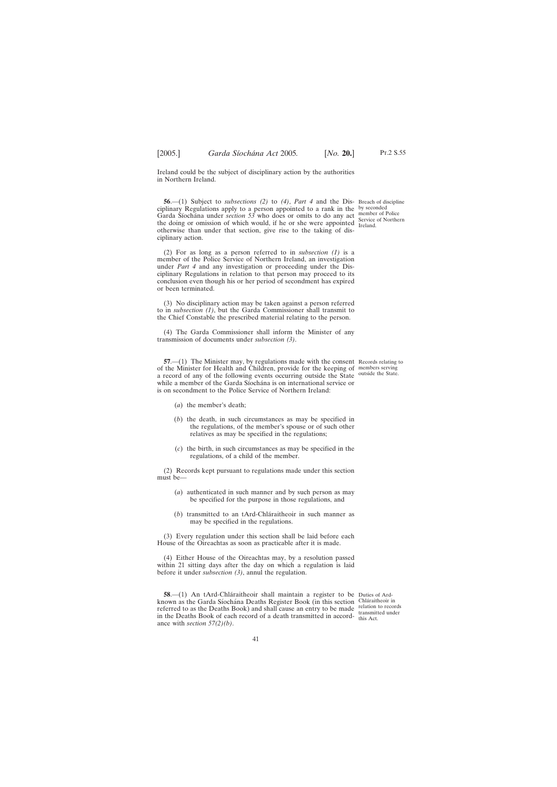Ireland could be the subject of disciplinary action by the authorities in Northern Ireland.

**56.**—(1) Subject to *subsections* (2) to (4), *Part* 4 and the Dis-Breach of discipline ciplinary Regulations apply to a person appointed to a rank in the by seconded Garda Síochána under *section 53* who does or omits to do any act member of Police behind the doing or omission of which would, if he or she were appointed Ireland. otherwise than under that section, give rise to the taking of disciplinary action.

(2) For as long as a person referred to in *subsection (1)* is a member of the Police Service of Northern Ireland, an investigation under *Part 4* and any investigation or proceeding under the Disciplinary Regulations in relation to that person may proceed to its conclusion even though his or her period of secondment has expired or been terminated.

(3) No disciplinary action may be taken against a person referred to in *subsection (1)*, but the Garda Commissioner shall transmit to the Chief Constable the prescribed material relating to the person.

(4) The Garda Commissioner shall inform the Minister of any transmission of documents under *subsection (3)*.

**57.**—(1) The Minister may, by regulations made with the consent Records relating to of the Minister for Health and Children, provide for the keeping of members serving a record of any of the following events occurring outside the State outside the State. while a member of the Garda Síochána is on international service or is on secondment to the Police Service of Northern Ireland:

- (*a*) the member's death;
- (*b*) the death, in such circumstances as may be specified in the regulations, of the member's spouse or of such other relatives as may be specified in the regulations;
- (*c*) the birth, in such circumstances as may be specified in the regulations, of a child of the member.

(2) Records kept pursuant to regulations made under this section must be—

- (*a*) authenticated in such manner and by such person as may be specified for the purpose in those regulations, and
- (*b*) transmitted to an tArd-Chláraitheoir in such manner as may be specified in the regulations.

(3) Every regulation under this section shall be laid before each House of the Oireachtas as soon as practicable after it is made.

(4) Either House of the Oireachtas may, by a resolution passed within 21 sitting days after the day on which a regulation is laid before it under *subsection (3)*, annul the regulation.

**58.**—(1) An tArd-Chláraitheoir shall maintain a register to be Duties of Ardknown as the Garda Síochána Deaths Register Book (in this section Chláraitheoir in referred to as the Deaths Book) and shall cause an entry to be made in the Deaths Book of each record of a death transmitted in accordance with *section 57(2)(b)*.

relation to records transmitted under this Act.

Ireland.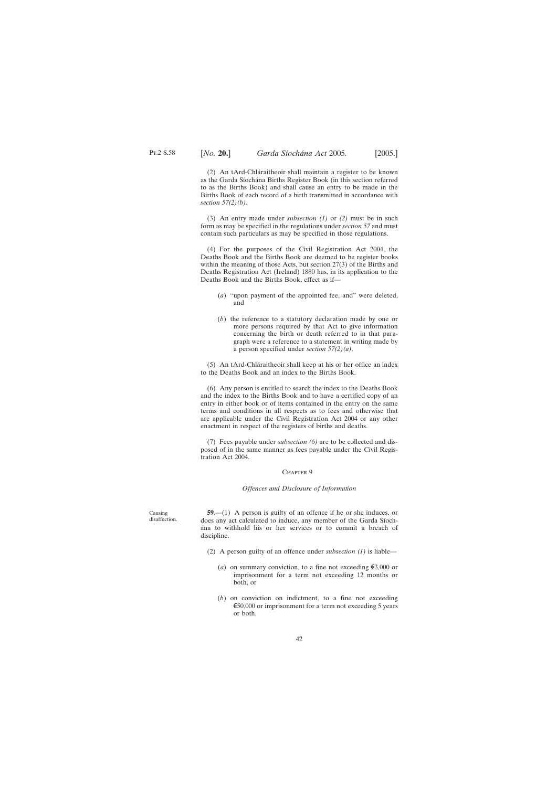(2) An tArd-Chla´raitheoir shall maintain a register to be known as the Garda Síochána Births Register Book (in this section referred to as the Births Book) and shall cause an entry to be made in the Births Book of each record of a birth transmitted in accordance with *section 57(2)(b)*.

(3) An entry made under *subsection (1)* or *(2)* must be in such form as may be specified in the regulations under *section 57* and must contain such particulars as may be specified in those regulations.

(4) For the purposes of the Civil Registration Act 2004, the Deaths Book and the Births Book are deemed to be register books within the meaning of those Acts, but section 27(3) of the Births and Deaths Registration Act (Ireland) 1880 has, in its application to the Deaths Book and the Births Book, effect as if—

- (*a*) "upon payment of the appointed fee, and" were deleted, and
- (*b*) the reference to a statutory declaration made by one or more persons required by that Act to give information concerning the birth or death referred to in that paragraph were a reference to a statement in writing made by a person specified under *section 57(2)(a)*.

(5) An tArd-Chláraitheoir shall keep at his or her office an index to the Deaths Book and an index to the Births Book.

(6) Any person is entitled to search the index to the Deaths Book and the index to the Births Book and to have a certified copy of an entry in either book or of items contained in the entry on the same terms and conditions in all respects as to fees and otherwise that are applicable under the Civil Registration Act 2004 or any other enactment in respect of the registers of births and deaths.

(7) Fees payable under *subsection (6)* are to be collected and disposed of in the same manner as fees payable under the Civil Registration Act 2004.

# CHAPTER 9

### *Offences and Disclosure of Information*

Causing disaffection.

**59**.—(1) A person is guilty of an offence if he or she induces, or does any act calculated to induce, any member of the Garda Síocha´na to withhold his or her services or to commit a breach of discipline.

- (2) A person guilty of an offence under *subsection (1)* is liable—
	- (*a*) on summary conviction, to a fine not exceeding  $\epsilon$ 3,000 or imprisonment for a term not exceeding 12 months or both, or
	- (*b*) on conviction on indictment, to a fine not exceeding  $\epsilon$ 50,000 or imprisonment for a term not exceeding 5 years or both.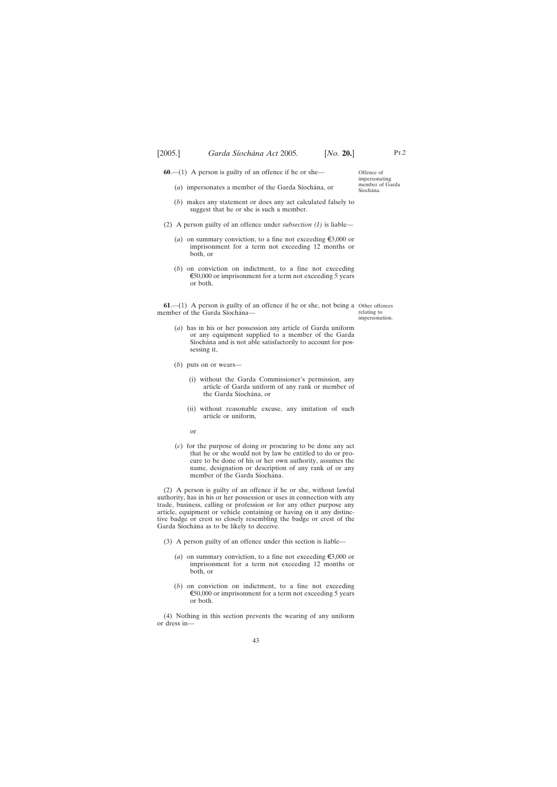**60.**—(1) A person is guilty of an offence if he or she—

- (*a*) impersonates a member of the Garda Síochána, or
- (*b*) makes any statement or does any act calculated falsely to suggest that he or she is such a member.
- (2) A person guilty of an offence under *subsection (1)* is liable—
	- (*a*) on summary conviction, to a fine not exceeding  $\epsilon$ 3,000 or imprisonment for a term not exceeding 12 months or both, or
	- (*b*) on conviction on indictment, to a fine not exceeding  $\epsilon$ 50,000 or imprisonment for a term not exceeding 5 years or both.

**61.**—(1) A person is guilty of an offence if he or she, not being a Other offences member of the Garda Síochána-

relating to impersonation.

- (*a*) has in his or her possession any article of Garda uniform or any equipment supplied to a member of the Garda Síochána and is not able satisfactorily to account for possessing it,
- (*b*) puts on or wears—
	- (i) without the Garda Commissioner's permission, any article of Garda uniform of any rank or member of the Garda Síochána, or
	- (ii) without reasonable excuse, any imitation of such article or uniform,
	- or
- (*c*) for the purpose of doing or procuring to be done any act that he or she would not by law be entitled to do or procure to be done of his or her own authority, assumes the name, designation or description of any rank of or any member of the Garda Síochána.

(2) A person is guilty of an offence if he or she, without lawful authority, has in his or her possession or uses in connection with any trade, business, calling or profession or for any other purpose any article, equipment or vehicle containing or having on it any distinctive badge or crest so closely resembling the badge or crest of the Garda Síochána as to be likely to deceive.

- (3) A person guilty of an offence under this section is liable—
	- (*a*) on summary conviction, to a fine not exceeding  $\epsilon$ 3,000 or imprisonment for a term not exceeding 12 months or both, or
	- (*b*) on conviction on indictment, to a fine not exceeding  $\epsilon$ 50,000 or imprisonment for a term not exceeding 5 years or both.

(4) Nothing in this section prevents the wearing of any uniform or dress inPt.2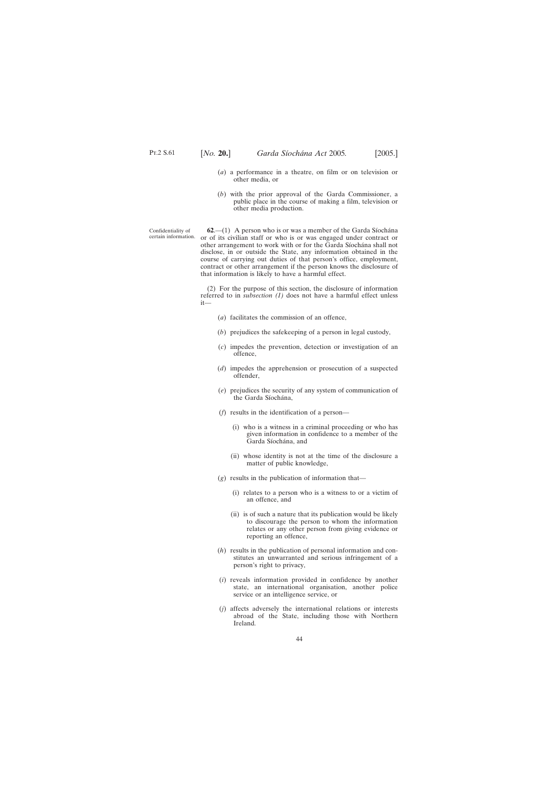- (*a*) a performance in a theatre, on film or on television or other media, or
- (*b*) with the prior approval of the Garda Commissioner, a public place in the course of making a film, television or other media production.

Confidentiality of certain information.

 $62$ .—(1) A person who is or was a member of the Garda Siochana or of its civilian staff or who is or was engaged under contract or other arrangement to work with or for the Garda Síochána shall not disclose, in or outside the State, any information obtained in the course of carrying out duties of that person's office, employment, contract or other arrangement if the person knows the disclosure of that information is likely to have a harmful effect.

(2) For the purpose of this section, the disclosure of information referred to in *subsection (1)* does not have a harmful effect unless it—

- (*a*) facilitates the commission of an offence,
- (*b*) prejudices the safekeeping of a person in legal custody,
- (*c*) impedes the prevention, detection or investigation of an offence,
- (*d*) impedes the apprehension or prosecution of a suspected offender,
- (*e*) prejudices the security of any system of communication of the Garda Síochána.
- (*f*) results in the identification of a person—
	- (i) who is a witness in a criminal proceeding or who has given information in confidence to a member of the Garda Síochána, and
	- (ii) whose identity is not at the time of the disclosure a matter of public knowledge,
- (*g*) results in the publication of information that—
	- (i) relates to a person who is a witness to or a victim of an offence, and
	- (ii) is of such a nature that its publication would be likely to discourage the person to whom the information relates or any other person from giving evidence or reporting an offence,
- (*h*) results in the publication of personal information and constitutes an unwarranted and serious infringement of a person's right to privacy,
- (*i*) reveals information provided in confidence by another state, an international organisation, another police service or an intelligence service, or
- (*j*) affects adversely the international relations or interests abroad of the State, including those with Northern Ireland.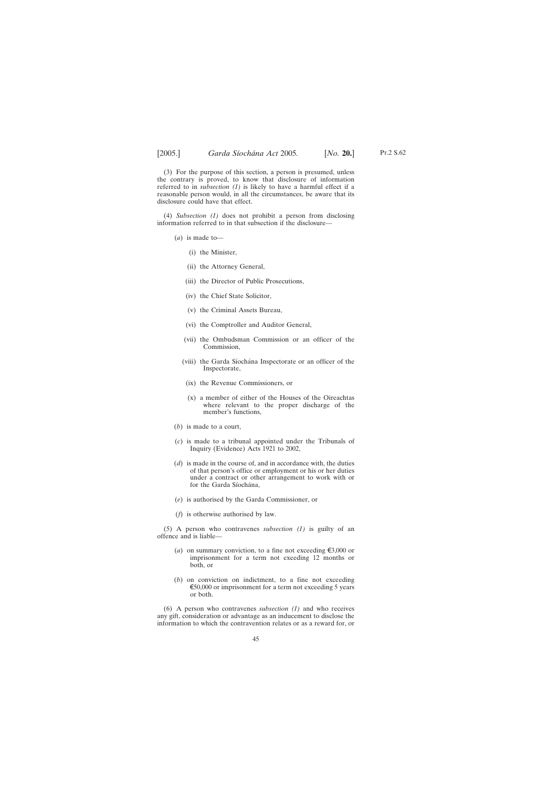(3) For the purpose of this section, a person is presumed, unless the contrary is proved, to know that disclosure of information referred to in *subsection (1)* is likely to have a harmful effect if a reasonable person would, in all the circumstances, be aware that its disclosure could have that effect.

(4) *Subsection (1)* does not prohibit a person from disclosing information referred to in that subsection if the disclosure—

- (*a*) is made to—
	- (i) the Minister,
	- (ii) the Attorney General,
	- (iii) the Director of Public Prosecutions,
	- (iv) the Chief State Solicitor,
	- (v) the Criminal Assets Bureau,
	- (vi) the Comptroller and Auditor General,
	- (vii) the Ombudsman Commission or an officer of the Commission,
	- (viii) the Garda Síochána Inspectorate or an officer of the Inspectorate,
	- (ix) the Revenue Commissioners, or
	- (x) a member of either of the Houses of the Oireachtas where relevant to the proper discharge of the member's functions,
- (*b*) is made to a court,
- (*c*) is made to a tribunal appointed under the Tribunals of Inquiry (Evidence) Acts 1921 to 2002,
- (*d*) is made in the course of, and in accordance with, the duties of that person's office or employment or his or her duties under a contract or other arrangement to work with or for the Garda Síochána,
- (*e*) is authorised by the Garda Commissioner, or
- (*f*) is otherwise authorised by law.

(5) A person who contravenes *subsection (1)* is guilty of an offence and is liable—

- (*a*) on summary conviction, to a fine not exceeding  $\epsilon$ 3,000 or imprisonment for a term not exeeding 12 months or both, or
- (*b*) on conviction on indictment, to a fine not exceeding  $\epsilon$ 50,000 or imprisonment for a term not exceeding 5 years or both.

(6) A person who contravenes *subsection (1)* and who receives any gift, consideration or advantage as an inducement to disclose the information to which the contravention relates or as a reward for, or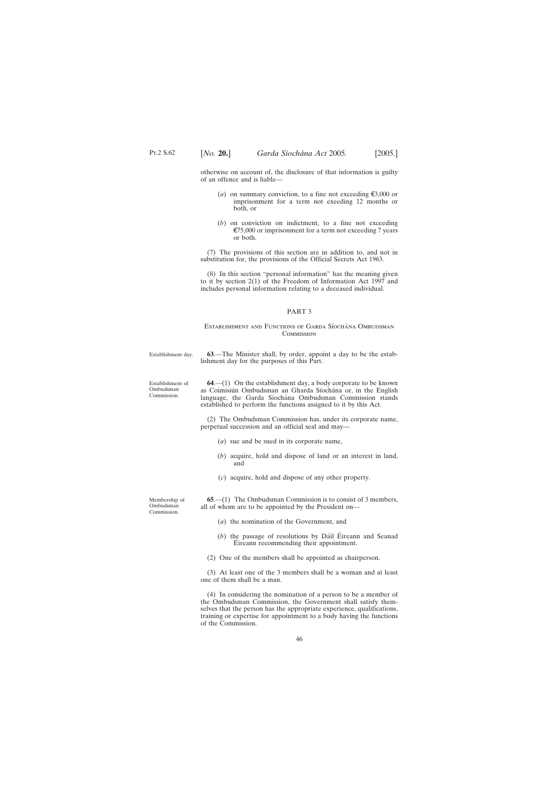otherwise on account of, the disclosure of that information is guilty of an offence and is liable—

- (*a*) on summary conviction, to a fine not exceeding  $\epsilon$ 3,000 or imprisonment for a term not exeeding 12 months or both, or
- (*b*) on conviction on indictment, to a fine not exceeding  $\epsilon$ 75,000 or imprisonment for a term not exceeding 7 years or both.

(7) The provisions of this section are in addition to, and not in substitution for, the provisions of the Official Secrets Act 1963.

(8) In this section "personal information" has the meaning given to it by section 2(1) of the Freedom of Information Act 1997 and includes personal information relating to a deceased individual.

### PART 3

## ESTABLISHMENT AND FUNCTIONS OF GARDA SÍOCHÁNA OMBUDSMAN **COMMISSION**

| Establishment day. | <b>63.</b> —The Minister shall, by order, appoint a day to be the estab- |
|--------------------|--------------------------------------------------------------------------|
|                    | lishment day for the purposes of this Part.                              |

Establishment of Ombudsman Commission.

**64**.—(1) On the establishment day, a body corporate to be known as Coimisiún Ombudsman an Gharda Síochána or, in the English language, the Garda Síochána Ombudsman Commission stands established to perform the functions assigned to it by this Act.

(2) The Ombudsman Commission has, under its corporate name, perpetual succession and an official seal and may—

- (*a*) sue and be sued in its corporate name,
- (*b*) acquire, hold and dispose of land or an interest in land, and
- (*c*) acquire, hold and dispose of any other property.

Membership of Ombudsman Commission.

**65**.—(1) The Ombudsman Commission is to consist of 3 members, all of whom are to be appointed by the President on—

- (*a*) the nomination of the Government, and
- $(b)$  the passage of resolutions by Datil Eireann and Seanad Eireann recommending their appointment.
- (2) One of the members shall be appointed as chairperson.

(3) At least one of the 3 members shall be a woman and at least one of them shall be a man.

(4) In considering the nomination of a person to be a member of the Ombudsman Commission, the Government shall satisfy themselves that the person has the appropriate experience, qualifications, training or expertise for appointment to a body having the functions of the Commission.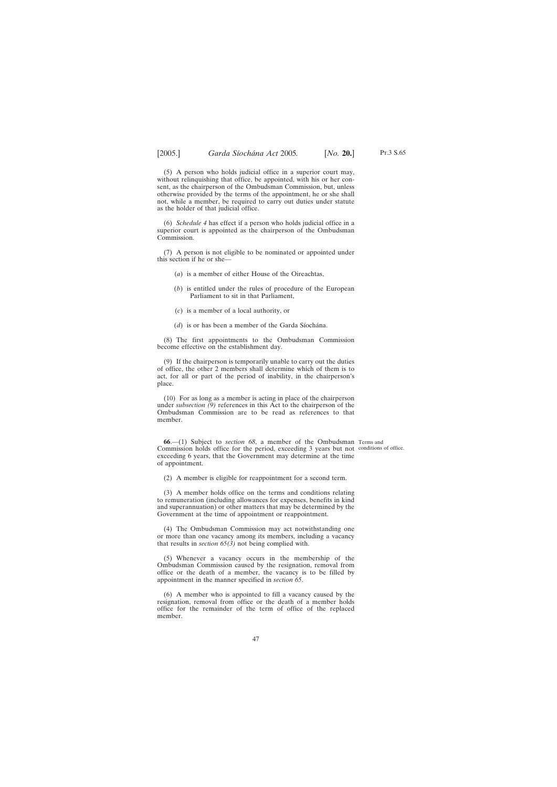(5) A person who holds judicial office in a superior court may, without relinquishing that office, be appointed, with his or her consent, as the chairperson of the Ombudsman Commission, but, unless otherwise provided by the terms of the appointment, he or she shall not, while a member, be required to carry out duties under statute as the holder of that judicial office.

(6) *Schedule 4* has effect if a person who holds judicial office in a superior court is appointed as the chairperson of the Ombudsman Commission.

(7) A person is not eligible to be nominated or appointed under this section if he or she—

- (*a*) is a member of either House of the Oireachtas,
- (*b*) is entitled under the rules of procedure of the European Parliament to sit in that Parliament,
- (*c*) is a member of a local authority, or
- (*d*) is or has been a member of the Garda Síochána.

(8) The first appointments to the Ombudsman Commission become effective on the establishment day.

(9) If the chairperson is temporarily unable to carry out the duties of office, the other 2 members shall determine which of them is to act, for all or part of the period of inability, in the chairperson's place.

(10) For as long as a member is acting in place of the chairperson under *subsection* (9) references in this Act to the chairperson of the Ombudsman Commission are to be read as references to that member.

**66**.—(1) Subject to *section 68*, a member of the Ombudsman Terms and Commission holds office for the period, exceeding 3 years but not conditions of office.exceeding 6 years, that the Government may determine at the time of appointment.

(2) A member is eligible for reappointment for a second term.

(3) A member holds office on the terms and conditions relating to remuneration (including allowances for expenses, benefits in kind and superannuation) or other matters that may be determined by the Government at the time of appointment or reappointment.

(4) The Ombudsman Commission may act notwithstanding one or more than one vacancy among its members, including a vacancy that results in *section 65(3)* not being complied with.

(5) Whenever a vacancy occurs in the membership of the Ombudsman Commission caused by the resignation, removal from office or the death of a member, the vacancy is to be filled by appointment in the manner specified in *section 65*.

(6) A member who is appointed to fill a vacancy caused by the resignation, removal from office or the death of a member holds office for the remainder of the term of office of the replaced member.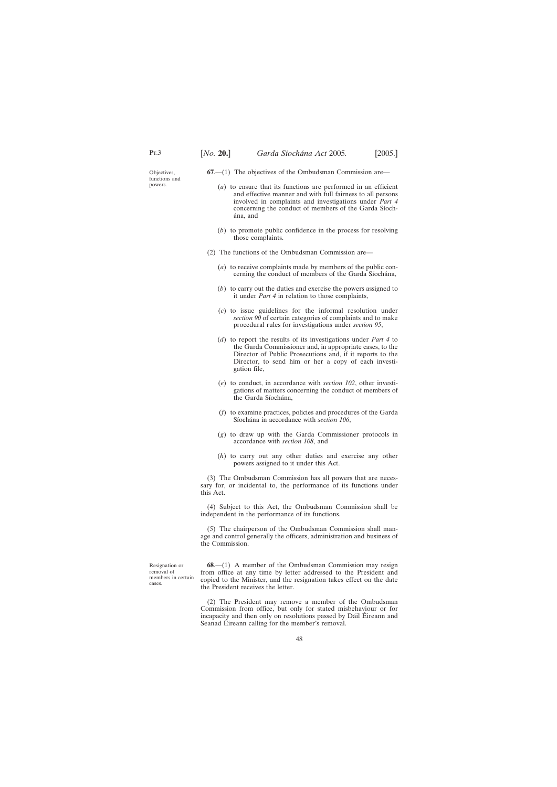Objectives, functions and powers.

- **67**.—(1) The objectives of the Ombudsman Commission are—
	- (*a*) to ensure that its functions are performed in an efficient and effective manner and with full fairness to all persons involved in complaints and investigations under *Part 4* concerning the conduct of members of the Garda Síochána, and
	- (*b*) to promote public confidence in the process for resolving those complaints.
- (2) The functions of the Ombudsman Commission are—
	- (*a*) to receive complaints made by members of the public concerning the conduct of members of the Garda Síochána,
	- (*b*) to carry out the duties and exercise the powers assigned to it under *Part 4* in relation to those complaints,
	- (*c*) to issue guidelines for the informal resolution under *section 90* of certain categories of complaints and to make procedural rules for investigations under *section 95*,
	- (*d*) to report the results of its investigations under *Part 4* to the Garda Commissioner and, in appropriate cases, to the Director of Public Prosecutions and, if it reports to the Director, to send him or her a copy of each investigation file,
	- (*e*) to conduct, in accordance with *section 102*, other investigations of matters concerning the conduct of members of the Garda Síochána.
	- (*f*) to examine practices, policies and procedures of the Garda Síochána in accordance with *section 106*,
	- (*g*) to draw up with the Garda Commissioner protocols in accordance with *section 108*, and
	- (*h*) to carry out any other duties and exercise any other powers assigned to it under this Act.

(3) The Ombudsman Commission has all powers that are necessary for, or incidental to, the performance of its functions under this Act.

(4) Subject to this Act, the Ombudsman Commission shall be independent in the performance of its functions.

(5) The chairperson of the Ombudsman Commission shall manage and control generally the officers, administration and business of the Commission.

Resignation or removal of members in certain cases.

**68**.—(1) A member of the Ombudsman Commission may resign from office at any time by letter addressed to the President and copied to the Minister, and the resignation takes effect on the date the President receives the letter.

(2) The President may remove a member of the Ombudsman Commission from office, but only for stated misbehaviour or for incapacity and then only on resolutions passed by Dáil Eireann and Seanad Éireann calling for the member's removal.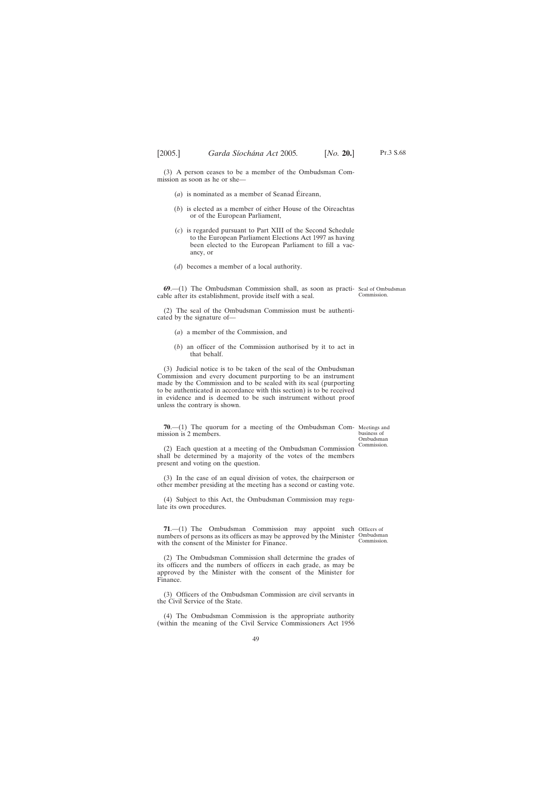(3) A person ceases to be a member of the Ombudsman Commission as soon as he or she—

- $(a)$  is nominated as a member of Seanad Éireann,
- (*b*) is elected as a member of either House of the Oireachtas or of the European Parliament,
- (*c*) is regarded pursuant to Part XIII of the Second Schedule to the European Parliament Elections Act 1997 as having been elected to the European Parliament to fill a vacancy, or
- (*d*) becomes a member of a local authority.

**69.**—(1) The Ombudsman Commission shall, as soon as practi- Seal of Ombudsman cable after its establishment, provide itself with a seal. Commission.

(2) The seal of the Ombudsman Commission must be authenticated by the signature of—

- (*a*) a member of the Commission, and
- (*b*) an officer of the Commission authorised by it to act in that behalf.

(3) Judicial notice is to be taken of the seal of the Ombudsman Commission and every document purporting to be an instrument made by the Commission and to be sealed with its seal (purporting to be authenticated in accordance with this section) is to be received in evidence and is deemed to be such instrument without proof unless the contrary is shown.

**70.**—(1) The quorum for a meeting of the Ombudsman Com- Meetings and mission is 2 members.

business of Ombudsman Commission.

(2) Each question at a meeting of the Ombudsman Commission shall be determined by a majority of the votes of the members present and voting on the question.

(3) In the case of an equal division of votes, the chairperson or other member presiding at the meeting has a second or casting vote.

(4) Subject to this Act, the Ombudsman Commission may regulate its own procedures.

**71.**—(1) The Ombudsman Commission may appoint such Officers of numbers of persons as its officers as may be approved by the Minister Ombudsman with the consent of the Minister for Finance. Commission.

(2) The Ombudsman Commission shall determine the grades of its officers and the numbers of officers in each grade, as may be approved by the Minister with the consent of the Minister for Finance.

(3) Officers of the Ombudsman Commission are civil servants in the Civil Service of the State.

(4) The Ombudsman Commission is the appropriate authority (within the meaning of the Civil Service Commissioners Act 1956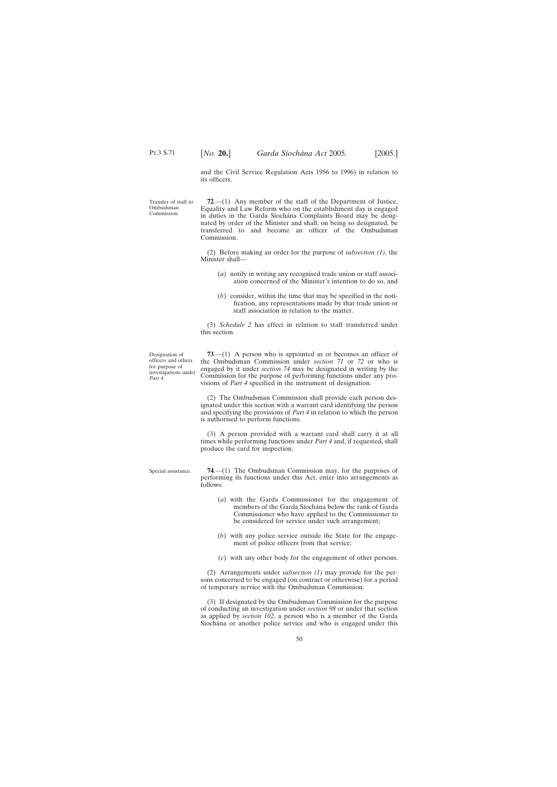and the Civil Service Regulation Acts 1956 to 1996) in relation to its officers.

Transfer of staff to Ombudsman Commission.

**72**.—(1) Any member of the staff of the Department of Justice, Equality and Law Reform who on the establishment day is engaged in duties in the Garda Síochána Complaints Board may be designated by order of the Minister and shall, on being so designated, be transferred to and become an officer of the Ombudsman Commission.

(2) Before making an order for the purpose of *subsection (1)*, the Minister shall—

- (*a*) notify in writing any recognised trade union or staff association concerned of the Minister's intention to do so, and
- (*b*) consider, within the time that may be specified in the notification, any representations made by that trade union or staff association in relation to the matter.

(3) *Schedule 2* has effect in relation to staff transferred under this section.

Designation of officers and others for purpose of investigations under *Part 4*.

**73**.—(1) A person who is appointed as or becomes an officer of the Ombudsman Commission under *section 71* or *72* or who is engaged by it under *section 74* may be designated in writing by the Commission for the purpose of performing functions under any provisions of *Part 4* specified in the instrument of designation.

(2) The Ombudsman Commission shall provide each person designated under this section with a warrant card identifying the person and specifying the provisions of *Part 4* in relation to which the person is authorised to perform functions.

(3) A person provided with a warrant card shall carry it at all times while performing functions under *Part 4* and, if requested, shall produce the card for inspection.

Special assistance.

**74**.—(1) The Ombudsman Commission may, for the purposes of performing its functions under this Act, enter into arrangements as follows:

- (*a*) with the Garda Commissioner for the engagement of members of the Garda Síochána below the rank of Garda Commissioner who have applied to the Commissioner to be considered for service under such arrangement;
- (*b*) with any police service outside the State for the engagement of police officers from that service;
- (*c*) with any other body for the engagement of other persons.

(2) Arrangements under *subsection (1)* may provide for the persons concerned to be engaged (on contract or otherwise) for a period of temporary service with the Ombudsman Commission.

(3) If designated by the Ombudsman Commission for the purpose of conducting an investigation under *section 98* or under that section as applied by *section 102*, a person who is a member of the Garda Síochána or another police service and who is engaged under this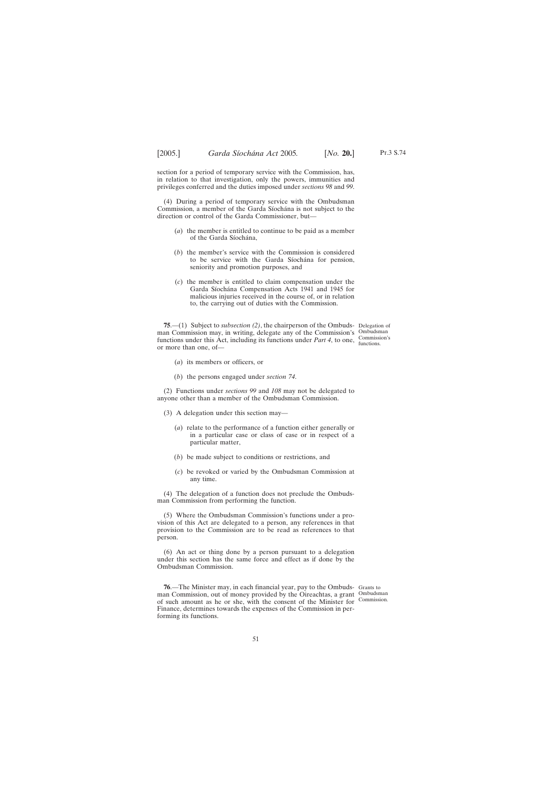section for a period of temporary service with the Commission, has, in relation to that investigation, only the powers, immunities and privileges conferred and the duties imposed under *sections 98* and *99*.

(4) During a period of temporary service with the Ombudsman Commission, a member of the Garda Síochána is not subject to the direction or control of the Garda Commissioner, but—

- (*a*) the member is entitled to continue to be paid as a member of the Garda Síochána,
- (*b*) the member's service with the Commission is considered to be service with the Garda Síochána for pension, seniority and promotion purposes, and
- (*c*) the member is entitled to claim compensation under the Garda Síochána Compensation Acts 1941 and 1945 for malicious injuries received in the course of, or in relation to, the carrying out of duties with the Commission.

**75.**—(1) Subject to *subsection* (2), the chairperson of the Ombuds- Delegation of man Commission may, in writing, delegate any of the Commission's Ombudsman functions under this Act, including its functions under *Part 4*, to one,  $\frac{\text{Commission's}}{\text{functions}}$ or more than one, of—

functions.

- (*a*) its members or officers, or
- (*b*) the persons engaged under *section 74*.

(2) Functions under *sections 99* and *108* may not be delegated to anyone other than a member of the Ombudsman Commission.

- (3) A delegation under this section may—
	- (*a*) relate to the performance of a function either generally or in a particular case or class of case or in respect of a particular matter,
	- (*b*) be made subject to conditions or restrictions, and
	- (*c*) be revoked or varied by the Ombudsman Commission at any time.

(4) The delegation of a function does not preclude the Ombudsman Commission from performing the function.

(5) Where the Ombudsman Commission's functions under a provision of this Act are delegated to a person, any references in that provision to the Commission are to be read as references to that person.

(6) An act or thing done by a person pursuant to a delegation under this section has the same force and effect as if done by the Ombudsman Commission.

**76**.—The Minister may, in each financial year, pay to the Ombuds-Grants to man Commission, out of money provided by the Oireachtas, a grant Ombudsman of such amount as he or she, with the consent of the Minister for Finance, determines towards the expenses of the Commission in performing its functions.

Commission.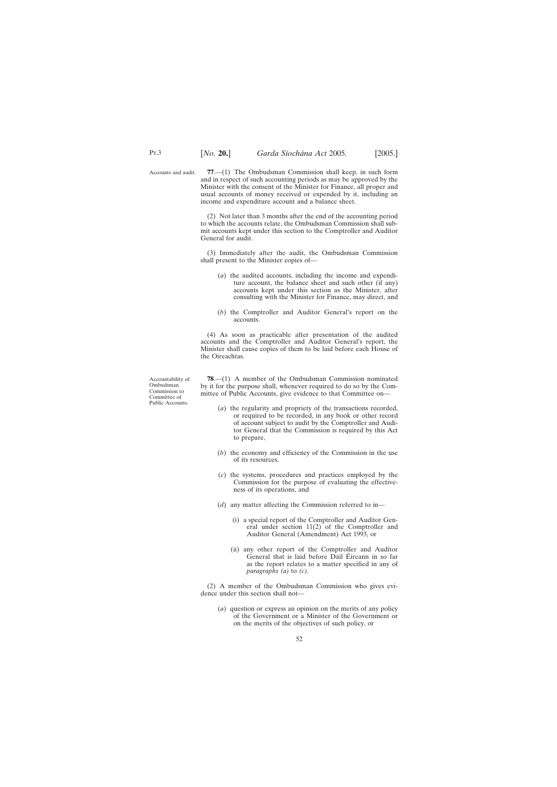Accounts and audit.

**77**.—(1) The Ombudsman Commission shall keep, in such form and in respect of such accounting periods as may be approved by the Minister with the consent of the Minister for Finance, all proper and usual accounts of money received or expended by it, including an income and expenditure account and a balance sheet.

(2) Not later than 3 months after the end of the accounting period to which the accounts relate, the Ombudsman Commission shall submit accounts kept under this section to the Comptroller and Auditor General for audit.

(3) Immediately after the audit, the Ombudsman Commission shall present to the Minister copies of—

- (*a*) the audited accounts, including the income and expenditure account, the balance sheet and such other (if any) accounts kept under this section as the Minister, after consulting with the Minister for Finance, may direct, and
- (*b*) the Comptroller and Auditor General's report on the accounts.

(4) As soon as practicable after presentation of the audited accounts and the Comptroller and Auditor General's report, the Minister shall cause copies of them to be laid before each House of the Oireachtas.

**78**.—(1) A member of the Ombudsman Commission nominated by it for the purpose shall, whenever required to do so by the Committee of Public Accounts, give evidence to that Committee on—

- (*a*) the regularity and propriety of the transactions recorded, or required to be recorded, in any book or other record of account subject to audit by the Comptroller and Auditor General that the Commission is required by this Act to prepare,
- (*b*) the economy and efficiency of the Commission in the use of its resources,
- (*c*) the systems, procedures and practices employed by the Commission for the purpose of evaluating the effectiveness of its operations, and
- (*d*) any matter affecting the Commission referred to in—
	- (i) a special report of the Comptroller and Auditor General under section 11(2) of the Comptroller and Auditor General (Amendment) Act 1993, or
	- (ii) any other report of the Comptroller and Auditor General that is laid before Dáil Éireann in so far as the report relates to a matter specified in any of *paragraphs (a)* to *(c)*.

(2) A member of the Ombudsman Commission who gives evidence under this section shall not—

(*a*) question or express an opinion on the merits of any policy of the Government or a Minister of the Government or on the merits of the objectives of such policy, or

Accountability of Ombudsman Commission to Committee of Public Accounts.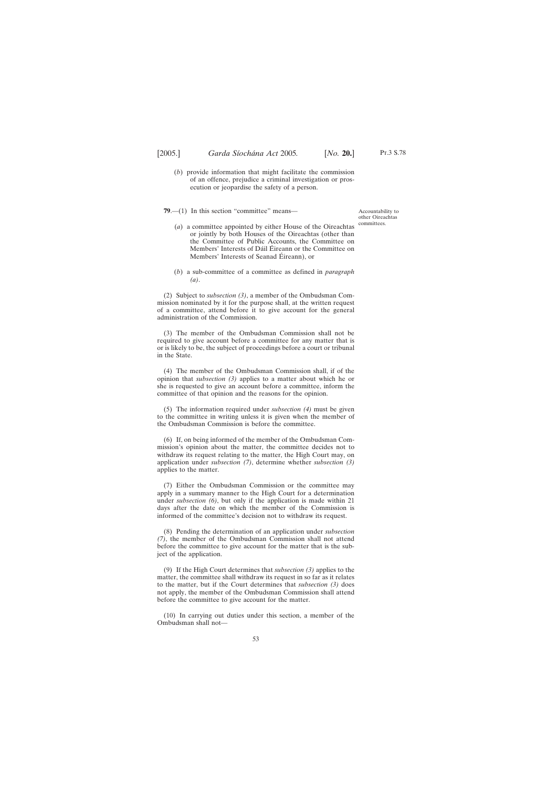- (*b*) provide information that might facilitate the commission of an offence, prejudice a criminal investigation or prosecution or jeopardise the safety of a person.
- **79.**—(1) In this section "committee" means—

Accountability to other Oireachtas committees.

- (*a*) a committee appointed by either House of the Oireachtas or jointly by both Houses of the Oireachtas (other than the Committee of Public Accounts, the Committee on Members' Interests of Dáil Éireann or the Committee on Members' Interests of Seanad Éireann), or
- (*b*) a sub-committee of a committee as defined in *paragraph (a)*.

(2) Subject to *subsection (3)*, a member of the Ombudsman Commission nominated by it for the purpose shall, at the written request of a committee, attend before it to give account for the general administration of the Commission.

(3) The member of the Ombudsman Commission shall not be required to give account before a committee for any matter that is or is likely to be, the subject of proceedings before a court or tribunal in the State.

(4) The member of the Ombudsman Commission shall, if of the opinion that *subsection (3)* applies to a matter about which he or she is requested to give an account before a committee, inform the committee of that opinion and the reasons for the opinion.

(5) The information required under *subsection (4)* must be given to the committee in writing unless it is given when the member of the Ombudsman Commission is before the committee.

(6) If, on being informed of the member of the Ombudsman Commission's opinion about the matter, the committee decides not to withdraw its request relating to the matter, the High Court may, on application under *subsection (7)*, determine whether *subsection (3)* applies to the matter.

(7) Either the Ombudsman Commission or the committee may apply in a summary manner to the High Court for a determination under *subsection (6)*, but only if the application is made within 21 days after the date on which the member of the Commission is informed of the committee's decision not to withdraw its request.

(8) Pending the determination of an application under *subsection (7)*, the member of the Ombudsman Commission shall not attend before the committee to give account for the matter that is the subject of the application.

(9) If the High Court determines that *subsection (3)* applies to the matter, the committee shall withdraw its request in so far as it relates to the matter, but if the Court determines that *subsection (3)* does not apply, the member of the Ombudsman Commission shall attend before the committee to give account for the matter.

(10) In carrying out duties under this section, a member of the Ombudsman shall not—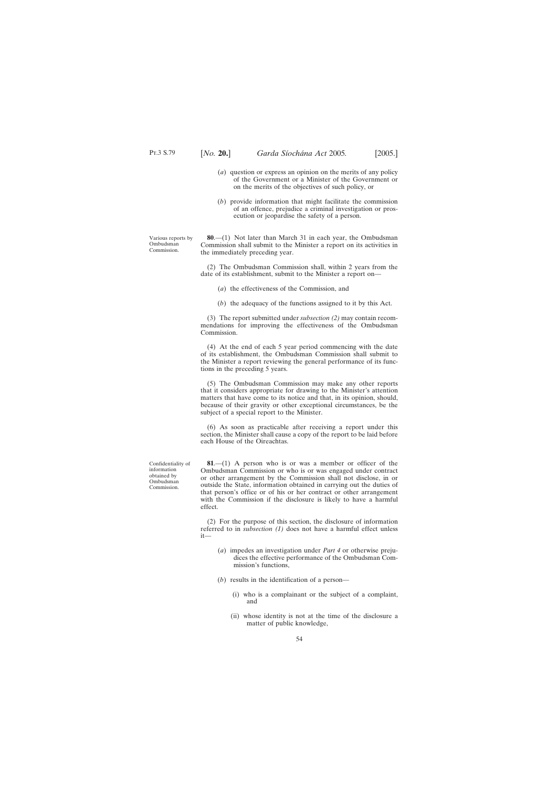- (*a*) question or express an opinion on the merits of any policy of the Government or a Minister of the Government or on the merits of the objectives of such policy, or
- (*b*) provide information that might facilitate the commission of an offence, prejudice a criminal investigation or prosecution or jeopardise the safety of a person.

Various reports by Ombudsman Commission.

**80**.—(1) Not later than March 31 in each year, the Ombudsman Commission shall submit to the Minister a report on its activities in the immediately preceding year.

(2) The Ombudsman Commission shall, within 2 years from the date of its establishment, submit to the Minister a report on—

(*a*) the effectiveness of the Commission, and

(*b*) the adequacy of the functions assigned to it by this Act.

(3) The report submitted under *subsection (2)* may contain recommendations for improving the effectiveness of the Ombudsman Commission.

(4) At the end of each 5 year period commencing with the date of its establishment, the Ombudsman Commission shall submit to the Minister a report reviewing the general performance of its functions in the preceding 5 years.

(5) The Ombudsman Commission may make any other reports that it considers appropriate for drawing to the Minister's attention matters that have come to its notice and that, in its opinion, should, because of their gravity or other exceptional circumstances, be the subject of a special report to the Minister.

(6) As soon as practicable after receiving a report under this section, the Minister shall cause a copy of the report to be laid before each House of the Oireachtas.

**81**.—(1) A person who is or was a member or officer of the Ombudsman Commission or who is or was engaged under contract or other arrangement by the Commission shall not disclose, in or outside the State, information obtained in carrying out the duties of that person's office or of his or her contract or other arrangement with the Commission if the disclosure is likely to have a harmful effect.

(2) For the purpose of this section, the disclosure of information referred to in *subsection (1)* does not have a harmful effect unless it—

- (*a*) impedes an investigation under *Part 4* or otherwise prejudices the effective performance of the Ombudsman Commission's functions,
- (*b*) results in the identification of a person—
	- (i) who is a complainant or the subject of a complaint, and
	- (ii) whose identity is not at the time of the disclosure a matter of public knowledge,

Confidentiality of information obtained by Ombudsman Commission.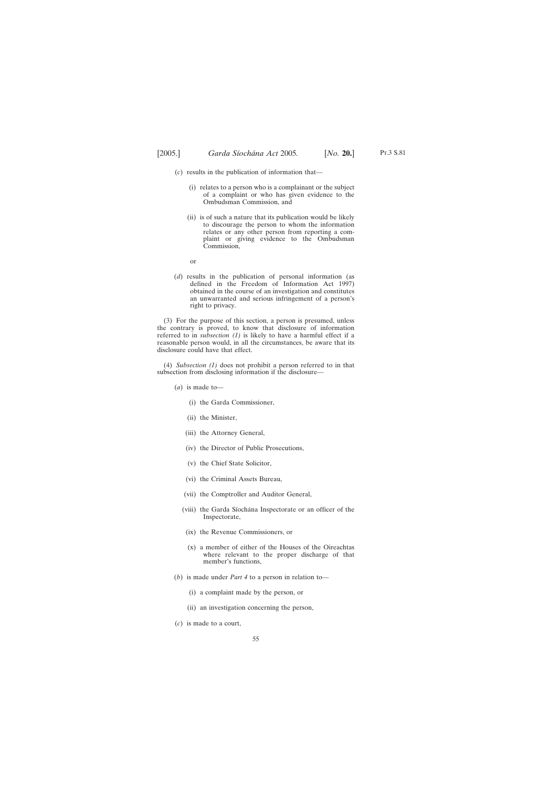- (*c*) results in the publication of information that—
	- (i) relates to a person who is a complainant or the subject of a complaint or who has given evidence to the Ombudsman Commission, and
	- (ii) is of such a nature that its publication would be likely to discourage the person to whom the information relates or any other person from reporting a complaint or giving evidence to the Ombudsman Commission,
	- or
- (*d*) results in the publication of personal information (as defined in the Freedom of Information Act 1997) obtained in the course of an investigation and constitutes an unwarranted and serious infringement of a person's right to privacy.

(3) For the purpose of this section, a person is presumed, unless the contrary is proved, to know that disclosure of information referred to in *subsection (1)* is likely to have a harmful effect if a reasonable person would, in all the circumstances, be aware that its disclosure could have that effect.

(4) *Subsection (1)* does not prohibit a person referred to in that subsection from disclosing information if the disclosure—

- (*a*) is made to—
	- (i) the Garda Commissioner,
	- (ii) the Minister,
	- (iii) the Attorney General,
	- (iv) the Director of Public Prosecutions,
	- (v) the Chief State Solicitor,
	- (vi) the Criminal Assets Bureau,
	- (vii) the Comptroller and Auditor General,
	- (viii) the Garda Síochána Inspectorate or an officer of the Inspectorate,
	- (ix) the Revenue Commissioners, or
	- (x) a member of either of the Houses of the Oireachtas where relevant to the proper discharge of that member's functions,
- (*b*) is made under *Part 4* to a person in relation to—
	- (i) a complaint made by the person, or
	- (ii) an investigation concerning the person,
- (*c*) is made to a court,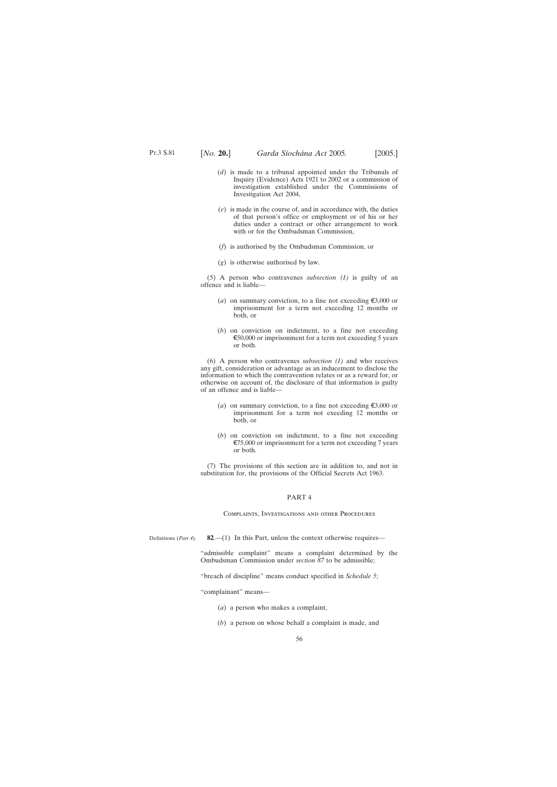- (*d*) is made to a tribunal appointed under the Tribunals of Inquiry (Evidence) Acts 1921 to 2002 or a commission of investigation established under the Commissions of Investigation Act 2004,
- (*e*) is made in the course of, and in accordance with, the duties of that person's office or employment or of his or her duties under a contract or other arrangement to work with or for the Ombudsman Commission,
- (*f*) is authorised by the Ombudsman Commission, or
- (*g*) is otherwise authorised by law.

(5) A person who contravenes *subsection (1)* is guilty of an offence and is liable—

- (*a*) on summary conviction, to a fine not exceeding  $\epsilon$ 3,000 or imprisonment for a term not exceeding 12 months or both, or
- (*b*) on conviction on indictment, to a fine not exceeding  $\epsilon$ 50,000 or imprisonment for a term not exceeding 5 years or both.

(6) A person who contravenes *subsection (1)* and who receives any gift, consideration or advantage as an inducement to disclose the information to which the contravention relates or as a reward for, or otherwise on account of, the disclosure of that information is guilty of an offence and is liable—

- (*a*) on summary conviction, to a fine not exceeding  $\epsilon$ 3,000 or imprisonment for a term not exeeding 12 months or both, or
- (*b*) on conviction on indictment, to a fine not exceeding  $\epsilon$ 75,000 or imprisonment for a term not exceeding 7 years or both.

(7) The provisions of this section are in addition to, and not in substitution for, the provisions of the Official Secrets Act 1963.

# PART 4

Complaints, Investigations and other Procedures

Definitions (*Part 4*). **82**.—(1) In this Part, unless the context otherwise requires—

> "admissible complaint" means a complaint determined by the Ombudsman Commission under *section 87* to be admissible;

"breach of discipline" means conduct specified in *Schedule 5*;

"complainant" means—

- (*a*) a person who makes a complaint,
- (*b*) a person on whose behalf a complaint is made, and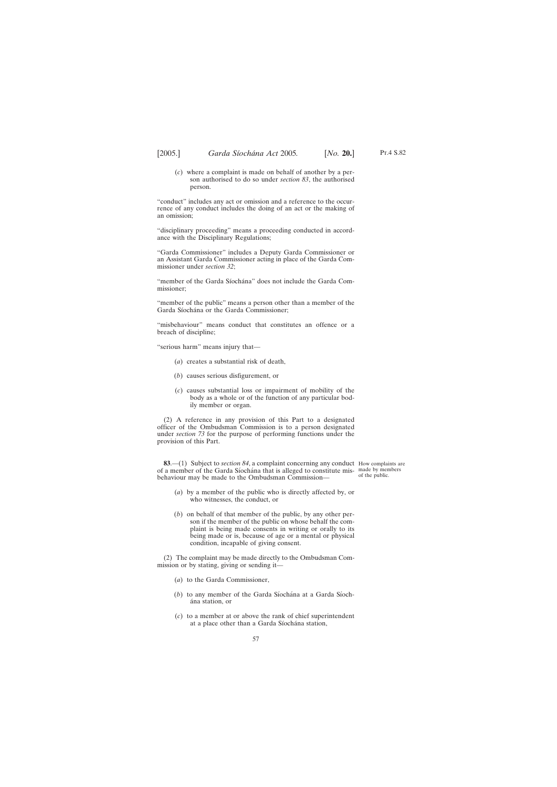(*c*) where a complaint is made on behalf of another by a person authorised to do so under *section 83*, the authorised person.

"conduct" includes any act or omission and a reference to the occurrence of any conduct includes the doing of an act or the making of an omission;

"disciplinary proceeding" means a proceeding conducted in accordance with the Disciplinary Regulations;

"Garda Commissioner" includes a Deputy Garda Commissioner or an Assistant Garda Commissioner acting in place of the Garda Commissioner under *section 32*;

"member of the Garda Síochána" does not include the Garda Commissioner;

"member of the public" means a person other than a member of the Garda Síochána or the Garda Commissioner;

"misbehaviour" means conduct that constitutes an offence or a breach of discipline;

"serious harm" means injury that—

- (*a*) creates a substantial risk of death,
- (*b*) causes serious disfigurement, or
- (*c*) causes substantial loss or impairment of mobility of the body as a whole or of the function of any particular bodily member or organ.

(2) A reference in any provision of this Part to a designated officer of the Ombudsman Commission is to a person designated under *section 73* for the purpose of performing functions under the provision of this Part.

**83.**—(1) Subject to *section 84*, a complaint concerning any conduct How complaints are of a member of the Garda Síochána that is alleged to constitute mis- made by members behaviour may be made to the Ombudsman Commission—

of the public.

- (*a*) by a member of the public who is directly affected by, or who witnesses, the conduct, or
- (*b*) on behalf of that member of the public, by any other person if the member of the public on whose behalf the complaint is being made consents in writing or orally to its being made or is, because of age or a mental or physical condition, incapable of giving consent.

(2) The complaint may be made directly to the Ombudsman Commission or by stating, giving or sending it—

- (*a*) to the Garda Commissioner,
- (b) to any member of the Garda Síochana at a Garda Síochána station, or
- (*c*) to a member at or above the rank of chief superintendent at a place other than a Garda Síochána station,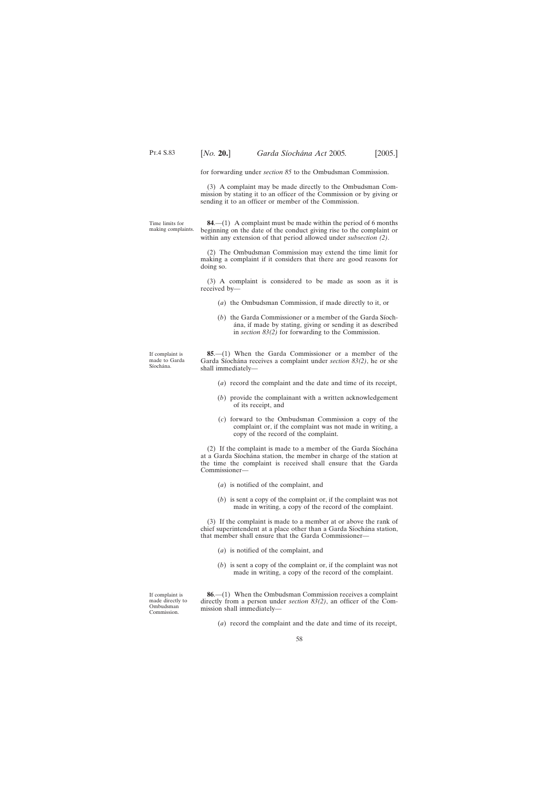for forwarding under *section 85* to the Ombudsman Commission.

(3) A complaint may be made directly to the Ombudsman Commission by stating it to an officer of the Commission or by giving or sending it to an officer or member of the Commission.

Time limits for making complaints.

**84**.—(1) A complaint must be made within the period of 6 months beginning on the date of the conduct giving rise to the complaint or within any extension of that period allowed under *subsection (2)*.

(2) The Ombudsman Commission may extend the time limit for making a complaint if it considers that there are good reasons for doing so.

(3) A complaint is considered to be made as soon as it is received by—

- (*a*) the Ombudsman Commission, if made directly to it, or
- $(b)$  the Garda Commissioner or a member of the Garda Siochána, if made by stating, giving or sending it as described in *section 83(2)* for forwarding to the Commission.

If complaint is made to Garda Síochána.

**85**.—(1) When the Garda Commissioner or a member of the Garda Síochána receives a complaint under *section 83(2)*, he or she shall immediately—

- (*a*) record the complaint and the date and time of its receipt,
- (*b*) provide the complainant with a written acknowledgement of its receipt, and
- (*c*) forward to the Ombudsman Commission a copy of the complaint or, if the complaint was not made in writing, a copy of the record of the complaint.

 $(2)$  If the complaint is made to a member of the Garda Síochána at a Garda Síochána station, the member in charge of the station at the time the complaint is received shall ensure that the Garda Commissioner—

- (*a*) is notified of the complaint, and
- (*b*) is sent a copy of the complaint or, if the complaint was not made in writing, a copy of the record of the complaint.

(3) If the complaint is made to a member at or above the rank of chief superintendent at a place other than a Garda Síochána station, that member shall ensure that the Garda Commissioner—

- (*a*) is notified of the complaint, and
- (*b*) is sent a copy of the complaint or, if the complaint was not made in writing, a copy of the record of the complaint.

If complaint is made directly to Ombudsman Commission.

**86**.—(1) When the Ombudsman Commission receives a complaint directly from a person under *section 83(2)*, an officer of the Commission shall immediately—

(*a*) record the complaint and the date and time of its receipt,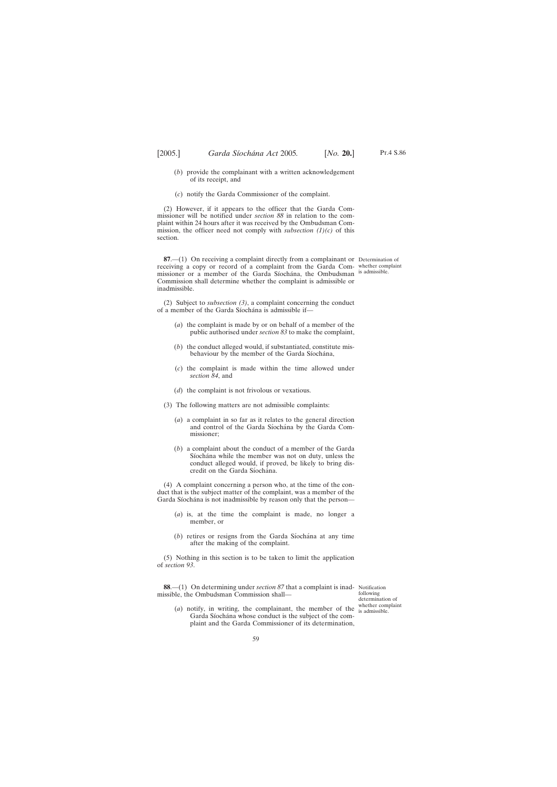- (*b*) provide the complainant with a written acknowledgement of its receipt, and
- (*c*) notify the Garda Commissioner of the complaint.

(2) However, if it appears to the officer that the Garda Commissioner will be notified under *section 88* in relation to the complaint within 24 hours after it was received by the Ombudsman Commission, the officer need not comply with *subsection (1)(c)* of this section.

**87.**—(1) On receiving a complaint directly from a complainant or Determination of receiving a copy or record of a complaint from the Garda Com-whether complaint missioner or a member of the Garda Síochána, the Ombudsman is admissible. Commission shall determine whether the complaint is admissible or inadmissible.

(2) Subject to *subsection (3)*, a complaint concerning the conduct of a member of the Garda Síochána is admissible if-

- (*a*) the complaint is made by or on behalf of a member of the public authorised under *section 83* to make the complaint,
- (*b*) the conduct alleged would, if substantiated, constitute misbehaviour by the member of the Garda Síochána,
- (*c*) the complaint is made within the time allowed under *section 84*, and
- (*d*) the complaint is not frivolous or vexatious.
- (3) The following matters are not admissible complaints:
	- (*a*) a complaint in so far as it relates to the general direction and control of the Garda Síochána by the Garda Commissioner;
	- (*b*) a complaint about the conduct of a member of the Garda Síochána while the member was not on duty, unless the conduct alleged would, if proved, be likely to bring discredit on the Garda Síochána.

(4) A complaint concerning a person who, at the time of the conduct that is the subject matter of the complaint, was a member of the Garda Síochána is not inadmissible by reason only that the person-

- (*a*) is, at the time the complaint is made, no longer a member, or
- (*b*) retires or resigns from the Garda Siochana at any time after the making of the complaint.

(5) Nothing in this section is to be taken to limit the application of *section 93*.

**88.**—(1) On determining under *section 87* that a complaint is inad- Notification missible, the Ombudsman Commission shall—

following determination of whether complaint

(*a*) notify, in writing, the complainant, the member of the *is admissible*. Garda Síochána whose conduct is the subject of the complaint and the Garda Commissioner of its determination,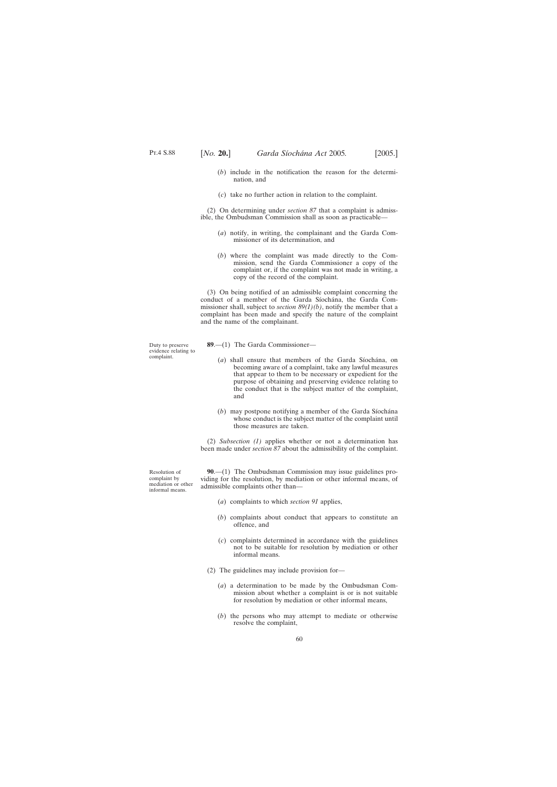- (*b*) include in the notification the reason for the determination, and
- (*c*) take no further action in relation to the complaint.

(2) On determining under *section 87* that a complaint is admissible, the Ombudsman Commission shall as soon as practicable—

- (*a*) notify, in writing, the complainant and the Garda Commissioner of its determination, and
- (*b*) where the complaint was made directly to the Commission, send the Garda Commissioner a copy of the complaint or, if the complaint was not made in writing, a copy of the record of the complaint.

(3) On being notified of an admissible complaint concerning the conduct of a member of the Garda Síochána, the Garda Commissioner shall, subject to *section 89(1)(b)*, notify the member that a complaint has been made and specify the nature of the complaint and the name of the complainant.

Duty to preserve evidence relating to complaint.

- **89**.—(1) The Garda Commissioner—
	- (*a*) shall ensure that members of the Garda Síochána, on becoming aware of a complaint, take any lawful measures that appear to them to be necessary or expedient for the purpose of obtaining and preserving evidence relating to the conduct that is the subject matter of the complaint, and
	- (*b*) may postpone notifying a member of the Garda Siochana whose conduct is the subject matter of the complaint until those measures are taken.

(2) *Subsection (1)* applies whether or not a determination has been made under *section 87* about the admissibility of the complaint.

Resolution of complaint by mediation or other informal means.

**90**.—(1) The Ombudsman Commission may issue guidelines providing for the resolution, by mediation or other informal means, of admissible complaints other than—

- (*a*) complaints to which *section 91* applies,
- (*b*) complaints about conduct that appears to constitute an offence, and
- (*c*) complaints determined in accordance with the guidelines not to be suitable for resolution by mediation or other informal means.
- (2) The guidelines may include provision for—
	- (*a*) a determination to be made by the Ombudsman Commission about whether a complaint is or is not suitable for resolution by mediation or other informal means,
	- (*b*) the persons who may attempt to mediate or otherwise resolve the complaint,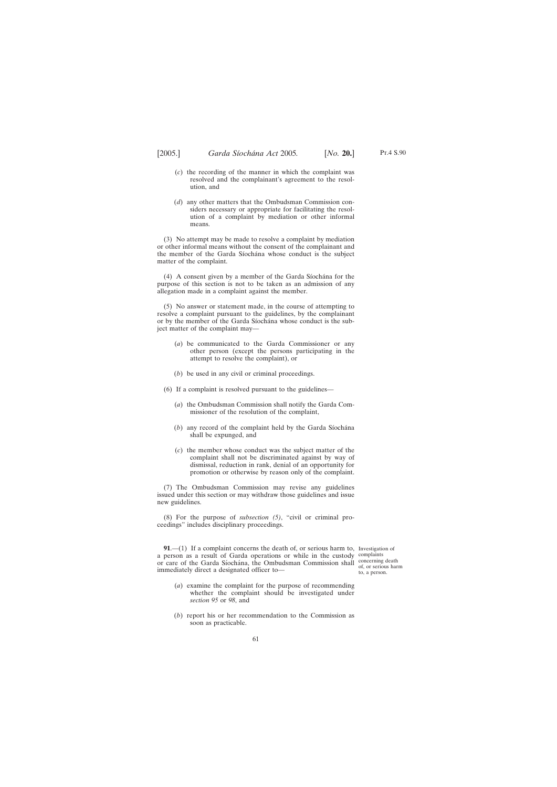- (*c*) the recording of the manner in which the complaint was resolved and the complainant's agreement to the resolution, and
- (*d*) any other matters that the Ombudsman Commission considers necessary or appropriate for facilitating the resolution of a complaint by mediation or other informal means.

(3) No attempt may be made to resolve a complaint by mediation or other informal means without the consent of the complainant and the member of the Garda Síochána whose conduct is the subject matter of the complaint.

(4) A consent given by a member of the Garda Síochána for the purpose of this section is not to be taken as an admission of any allegation made in a complaint against the member.

(5) No answer or statement made, in the course of attempting to resolve a complaint pursuant to the guidelines, by the complainant or by the member of the Garda Síochána whose conduct is the subject matter of the complaint may—

- (*a*) be communicated to the Garda Commissioner or any other person (except the persons participating in the attempt to resolve the complaint), or
- (*b*) be used in any civil or criminal proceedings.
- (6) If a complaint is resolved pursuant to the guidelines—
	- (*a*) the Ombudsman Commission shall notify the Garda Commissioner of the resolution of the complaint,
	- $(b)$  any record of the complaint held by the Garda Siochana shall be expunged, and
	- (*c*) the member whose conduct was the subject matter of the complaint shall not be discriminated against by way of dismissal, reduction in rank, denial of an opportunity for promotion or otherwise by reason only of the complaint.

(7) The Ombudsman Commission may revise any guidelines issued under this section or may withdraw those guidelines and issue new guidelines.

(8) For the purpose of *subsection (5)*, "civil or criminal proceedings" includes disciplinary proceedings.

**91.**—(1) If a complaint concerns the death of, or serious harm to, Investigation of a person as a result of Garda operations or while in the custody complaints or care of the Garda Síochána, the Ombudsman Commission shall concerning death immediately direct a designated officer to—

of, or serious harm to, a person.

- (*a*) examine the complaint for the purpose of recommending whether the complaint should be investigated under *section 95* or *98*, and
- (*b*) report his or her recommendation to the Commission as soon as practicable.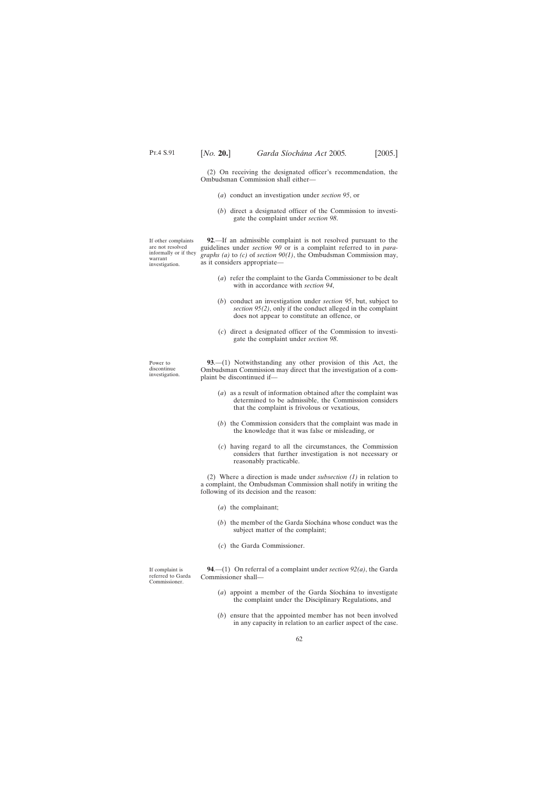(2) On receiving the designated officer's recommendation, the Ombudsman Commission shall either—

- (*a*) conduct an investigation under *section 95*, or
- (*b*) direct a designated officer of the Commission to investigate the complaint under *section 98*.

If other complaints are not resolved informally or if they warrant investigation.

**92**.—If an admissible complaint is not resolved pursuant to the guidelines under *section 90* or is a complaint referred to in *paragraphs (a)* to *(c)* of *section 90(1)*, the Ombudsman Commission may, as it considers appropriate—

- (*a*) refer the complaint to the Garda Commissioner to be dealt with in accordance with *section 94*,
- (*b*) conduct an investigation under *section 95*, but, subject to *section 95(2)*, only if the conduct alleged in the complaint does not appear to constitute an offence, or
- (*c*) direct a designated officer of the Commission to investigate the complaint under *section 98*.

Power to discontinue investigation.

**93**.—(1) Notwithstanding any other provision of this Act, the Ombudsman Commission may direct that the investigation of a complaint be discontinued if—

- (*a*) as a result of information obtained after the complaint was determined to be admissible, the Commission considers that the complaint is frivolous or vexatious,
- (*b*) the Commission considers that the complaint was made in the knowledge that it was false or misleading, or
- (*c*) having regard to all the circumstances, the Commission considers that further investigation is not necessary or reasonably practicable.

(2) Where a direction is made under *subsection (1)* in relation to a complaint, the Ombudsman Commission shall notify in writing the following of its decision and the reason:

- (*a*) the complainant;
- (*b*) the member of the Garda Síochána whose conduct was the subject matter of the complaint;
- (*c*) the Garda Commissioner.

If complaint is referred to Garda Commissioner.

**94**.—(1) On referral of a complaint under *section 92(a)*, the Garda Commissioner shall—

- $(a)$  appoint a member of the Garda Síochána to investigate the complaint under the Disciplinary Regulations, and
- (*b*) ensure that the appointed member has not been involved in any capacity in relation to an earlier aspect of the case.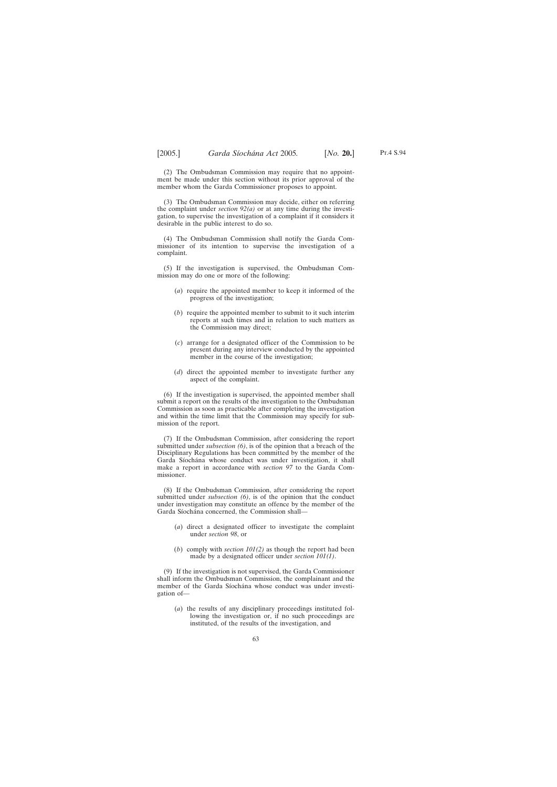(2) The Ombudsman Commission may require that no appointment be made under this section without its prior approval of the

(3) The Ombudsman Commission may decide, either on referring the complaint under *section 92(a)* or at any time during the investigation, to supervise the investigation of a complaint if it considers it desirable in the public interest to do so.

member whom the Garda Commissioner proposes to appoint.

(4) The Ombudsman Commission shall notify the Garda Commissioner of its intention to supervise the investigation of a complaint.

(5) If the investigation is supervised, the Ombudsman Commission may do one or more of the following:

- (*a*) require the appointed member to keep it informed of the progress of the investigation;
- (*b*) require the appointed member to submit to it such interim reports at such times and in relation to such matters as the Commission may direct;
- (*c*) arrange for a designated officer of the Commission to be present during any interview conducted by the appointed member in the course of the investigation;
- (*d*) direct the appointed member to investigate further any aspect of the complaint.

(6) If the investigation is supervised, the appointed member shall submit a report on the results of the investigation to the Ombudsman Commission as soon as practicable after completing the investigation and within the time limit that the Commission may specify for submission of the report.

(7) If the Ombudsman Commission, after considering the report submitted under *subsection (6)*, is of the opinion that a breach of the Disciplinary Regulations has been committed by the member of the Garda Síochána whose conduct was under investigation, it shall make a report in accordance with *section 97* to the Garda Commissioner.

(8) If the Ombudsman Commission, after considering the report submitted under *subsection (6)*, is of the opinion that the conduct under investigation may constitute an offence by the member of the Garda Síochána concerned, the Commission shall—

- (*a*) direct a designated officer to investigate the complaint under *section 98*, or
- (*b*) comply with *section 101(2)* as though the report had been made by a designated officer under *section 101(1)*.

(9) If the investigation is not supervised, the Garda Commissioner shall inform the Ombudsman Commission, the complainant and the member of the Garda Síochána whose conduct was under investigation of—

(*a*) the results of any disciplinary proceedings instituted following the investigation or, if no such proceedings are instituted, of the results of the investigation, and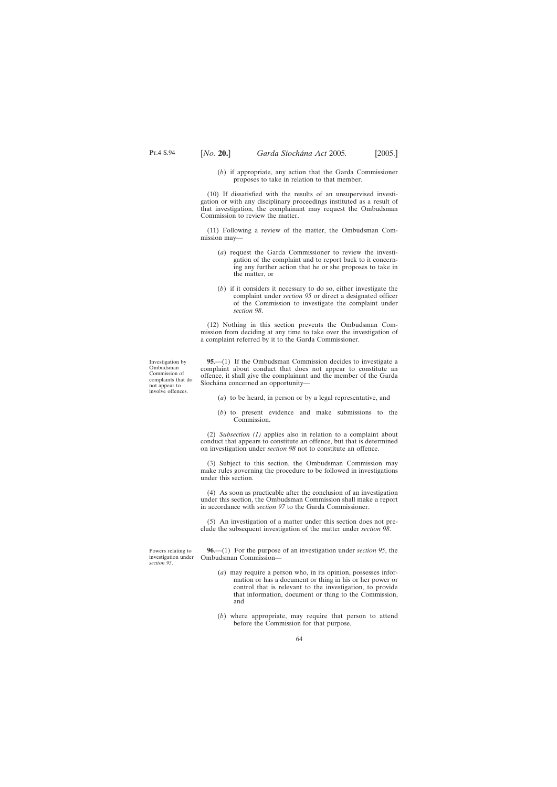(*b*) if appropriate, any action that the Garda Commissioner proposes to take in relation to that member.

(10) If dissatisfied with the results of an unsupervised investigation or with any disciplinary proceedings instituted as a result of that investigation, the complainant may request the Ombudsman Commission to review the matter.

(11) Following a review of the matter, the Ombudsman Commission may—

- (*a*) request the Garda Commissioner to review the investigation of the complaint and to report back to it concerning any further action that he or she proposes to take in the matter, or
- (*b*) if it considers it necessary to do so, either investigate the complaint under *section 95* or direct a designated officer of the Commission to investigate the complaint under *section 98*.

(12) Nothing in this section prevents the Ombudsman Commission from deciding at any time to take over the investigation of a complaint referred by it to the Garda Commissioner.

**95**.—(1) If the Ombudsman Commission decides to investigate a complaint about conduct that does not appear to constitute an offence, it shall give the complainant and the member of the Garda Síochána concerned an opportunity—

(*a*) to be heard, in person or by a legal representative, and

(*b*) to present evidence and make submissions to the Commission.

(2) *Subsection (1)* applies also in relation to a complaint about conduct that appears to constitute an offence, but that is determined on investigation under *section 98* not to constitute an offence.

(3) Subject to this section, the Ombudsman Commission may make rules governing the procedure to be followed in investigations under this section.

(4) As soon as practicable after the conclusion of an investigation under this section, the Ombudsman Commission shall make a report in accordance with *section 97* to the Garda Commissioner.

(5) An investigation of a matter under this section does not preclude the subsequent investigation of the matter under *section 98*.

**96**.—(1) For the purpose of an investigation under *section 95*, the Ombudsman Commission—

- (*a*) may require a person who, in its opinion, possesses information or has a document or thing in his or her power or control that is relevant to the investigation, to provide that information, document or thing to the Commission, and
- (*b*) where appropriate, may require that person to attend before the Commission for that purpose,

Investigation by Ombudsman Commission of complaints that do not appear to involve offences.

Powers relating to investigation under *section 95*.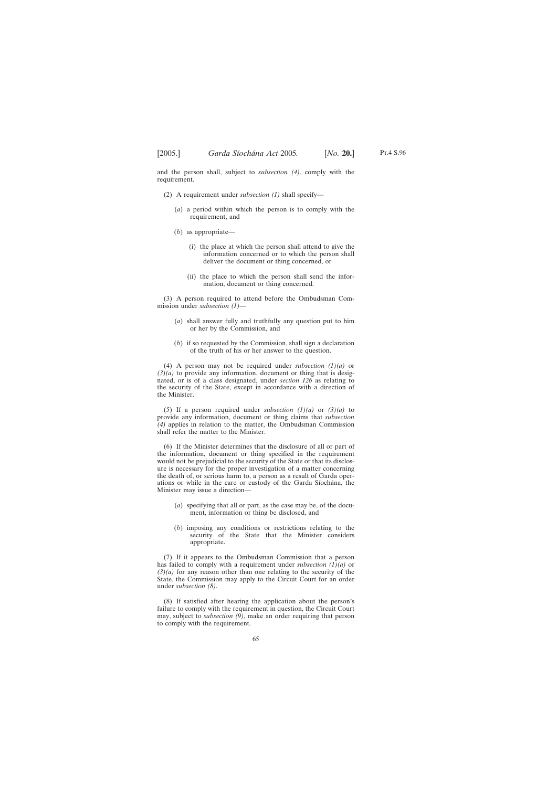and the person shall, subject to *subsection (4)*, comply with the requirement.

- (2) A requirement under *subsection (1)* shall specify—
	- (*a*) a period within which the person is to comply with the requirement, and
	- (*b*) as appropriate—
		- (i) the place at which the person shall attend to give the information concerned or to which the person shall deliver the document or thing concerned, or
		- (ii) the place to which the person shall send the information, document or thing concerned.

(3) A person required to attend before the Ombudsman Commission under *subsection (1)*—

- (*a*) shall answer fully and truthfully any question put to him or her by the Commission, and
- (*b*) if so requested by the Commission, shall sign a declaration of the truth of his or her answer to the question.

(4) A person may not be required under *subsection (1)(a)* or  $(3)(a)$  to provide any information, document or thing that is designated, or is of a class designated, under *section 126* as relating to the security of the State, except in accordance with a direction of the Minister.

(5) If a person required under *subsection (1)(a)* or *(3)(a)* to provide any information, document or thing claims that *subsection (4)* applies in relation to the matter, the Ombudsman Commission shall refer the matter to the Minister.

(6) If the Minister determines that the disclosure of all or part of the information, document or thing specified in the requirement would not be prejudicial to the security of the State or that its disclosure is necessary for the proper investigation of a matter concerning the death of, or serious harm to, a person as a result of Garda operations or while in the care or custody of the Garda Síochána, the Minister may issue a direction—

- (*a*) specifying that all or part, as the case may be, of the document, information or thing be disclosed, and
- (*b*) imposing any conditions or restrictions relating to the security of the State that the Minister considers appropriate.

(7) If it appears to the Ombudsman Commission that a person has failed to comply with a requirement under *subsection (1)(a)* or *(3)(a)* for any reason other than one relating to the security of the State, the Commission may apply to the Circuit Court for an order under *subsection (8)*.

(8) If satisfied after hearing the application about the person's failure to comply with the requirement in question, the Circuit Court may, subject to *subsection (9)*, make an order requiring that person to comply with the requirement.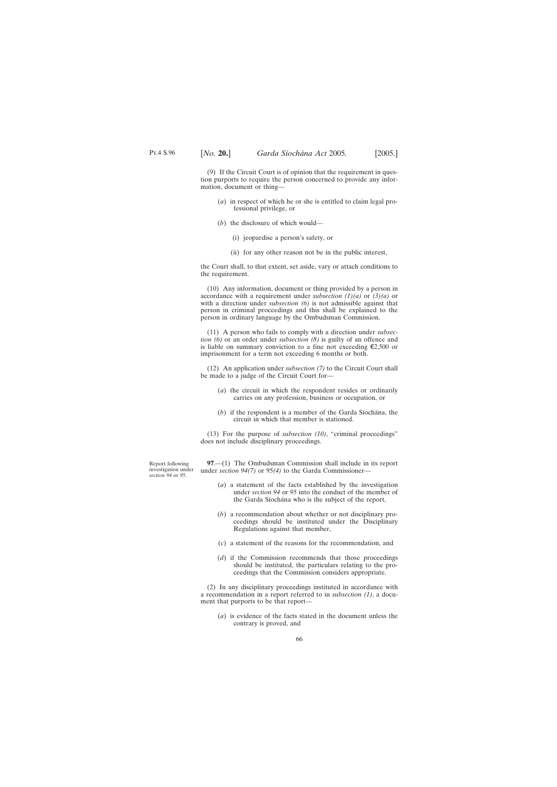(9) If the Circuit Court is of opinion that the requirement in question purports to require the person concerned to provide any information, document or thing—

- (*a*) in respect of which he or she is entitled to claim legal professional privilege, or
- (*b*) the disclosure of which would—
	- (i) jeopardise a person's safety, or
	- (ii) for any other reason not be in the public interest,

the Court shall, to that extent, set aside, vary or attach conditions to the requirement.

(10) Any information, document or thing provided by a person in accordance with a requirement under *subsection (1)(a)* or *(3)(a)* or with a direction under *subsection (6)* is not admissible against that person in criminal proceedings and this shall be explained to the person in ordinary language by the Ombudsman Commission.

(11) A person who fails to comply with a direction under *subsection (6)* or an order under *subsection (8)* is guilty of an offence and is liable on summary conviction to a fine not exceeding  $\epsilon$ 2,500 or imprisonment for a term not exceeding 6 months or both.

(12) An application under *subsection (7)* to the Circuit Court shall be made to a judge of the Circuit Court for—

- (*a*) the circuit in which the respondent resides or ordinarily carries on any profession, business or occupation, or
- $(b)$  if the respondent is a member of the Garda Siochana, the circuit in which that member is stationed.

(13) For the purpose of *subsection (10)*, "criminal proceedings" does not include disciplinary proceedings.

**97**.—(1) The Ombudsman Commission shall include in its report under *section 94(7)* or 95*(4)* to the Garda Commissioner—

- (*a*) a statement of the facts established by the investigation under *section 94* or *95* into the conduct of the member of the Garda Síochána who is the subject of the report,
- (*b*) a recommendation about whether or not disciplinary proceedings should be instituted under the Disciplinary Regulations against that member,
- (*c*) a statement of the reasons for the recommendation, and
- (*d*) if the Commission recommends that those proceedings should be instituted, the particulars relating to the proceedings that the Commission considers appropriate.

(2) In any disciplinary proceedings instituted in accordance with a recommendation in a report referred to in *subsection (1)*, a document that purports to be that report—

(*a*) is evidence of the facts stated in the document unless the contrary is proved, and

Report following investigation under *section 94* or *95*.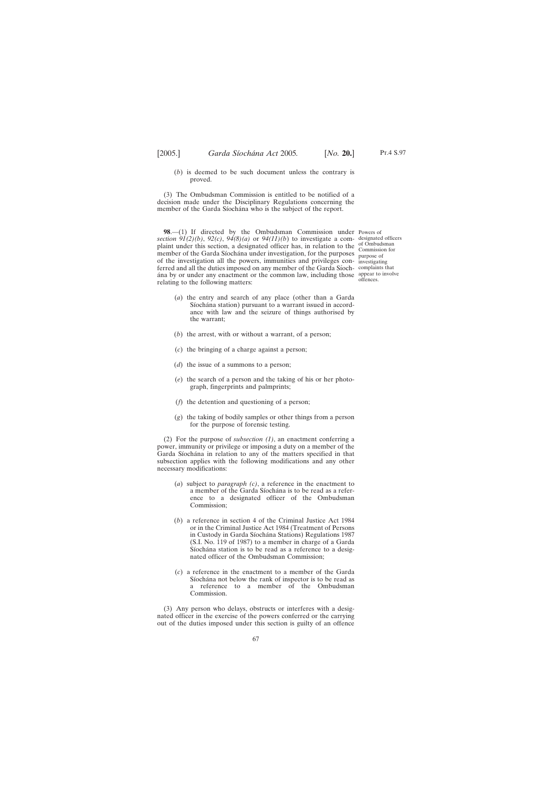(*b*) is deemed to be such document unless the contrary is proved.

(3) The Ombudsman Commission is entitled to be notified of a decision made under the Disciplinary Regulations concerning the member of the Garda Síochána who is the subject of the report.

**98.**—(1) If directed by the Ombudsman Commission under Powers of *section 91(2)(b)*, *92(c)*, *94(8)(a)* or *94(11)(b*) to investigate a com-designated officers plaint under this section, a designated officer has, in relation to the of Ombudsman member of the Garda Síochána under investigation, for the purposes of the investigation all the powers, immunities and privileges con-investigating ferred and all the duties imposed on any member of the Garda Síoch- complaints that ána by or under any enactment or the common law, including those appear to involve relating to the following matters:

Commission for purpose of offences.

- (*a*) the entry and search of any place (other than a Garda Síochána station) pursuant to a warrant issued in accordance with law and the seizure of things authorised by the warrant;
- (*b*) the arrest, with or without a warrant, of a person;
- (*c*) the bringing of a charge against a person;
- (*d*) the issue of a summons to a person;
- (*e*) the search of a person and the taking of his or her photograph, fingerprints and palmprints;
- (*f*) the detention and questioning of a person;
- (*g*) the taking of bodily samples or other things from a person for the purpose of forensic testing.

(2) For the purpose of *subsection (1)*, an enactment conferring a power, immunity or privilege or imposing a duty on a member of the Garda Síochána in relation to any of the matters specified in that subsection applies with the following modifications and any other necessary modifications:

- (*a*) subject to *paragraph (c)*, a reference in the enactment to a member of the Garda Síochána is to be read as a reference to a designated officer of the Ombudsman Commission;
- (*b*) a reference in section 4 of the Criminal Justice Act 1984 or in the Criminal Justice Act 1984 (Treatment of Persons in Custody in Garda Síochána Stations) Regulations 1987 (S.I. No. 119 of 1987) to a member in charge of a Garda Síochána station is to be read as a reference to a designated officer of the Ombudsman Commission;
- (*c*) a reference in the enactment to a member of the Garda Síochána not below the rank of inspector is to be read as a reference to a member of the Ombudsman Commission.

(3) Any person who delays, obstructs or interferes with a designated officer in the exercise of the powers conferred or the carrying out of the duties imposed under this section is guilty of an offence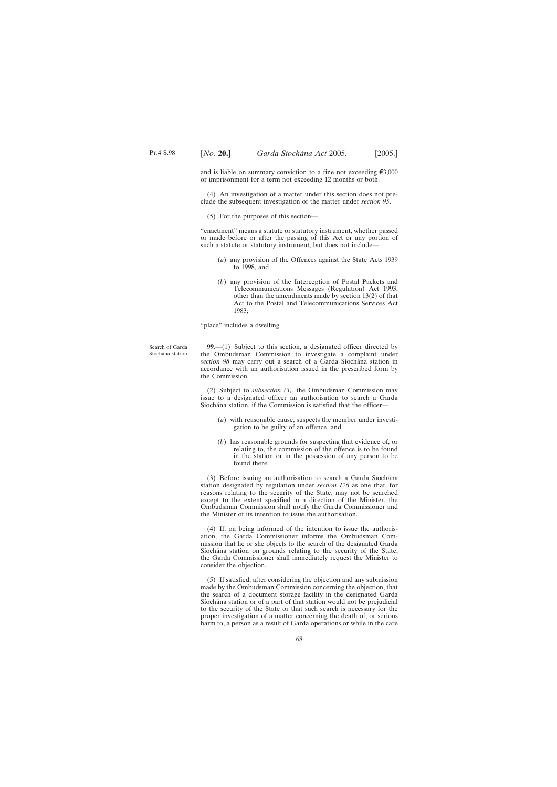and is liable on summary conviction to a fine not exceeding  $\xi$ 3,000 or imprisonment for a term not exceeding 12 months or both.

(4) An investigation of a matter under this section does not preclude the subsequent investigation of the matter under *section 95*.

(5) For the purposes of this section—

"enactment" means a statute or statutory instrument, whether passed or made before or after the passing of this Act or any portion of such a statute or statutory instrument, but does not include—

- (*a*) any provision of the Offences against the State Acts 1939 to 1998, and
- (*b*) any provision of the Interception of Postal Packets and Telecommunications Messages (Regulation) Act 1993, other than the amendments made by section 13(2) of that Act to the Postal and Telecommunications Services Act 1983;

"place" includes a dwelling.

Search of Garda Síochána station.

**99**.—(1) Subject to this section, a designated officer directed by the Ombudsman Commission to investigate a complaint under section 98 may carry out a search of a Garda Síochána station in accordance with an authorisation issued in the prescribed form by the Commission.

(2) Subject to *subsection (3)*, the Ombudsman Commission may issue to a designated officer an authorisation to search a Garda Síochána station, if the Commission is satisfied that the officer—

- (*a*) with reasonable cause, suspects the member under investigation to be guilty of an offence, and
- (*b*) has reasonable grounds for suspecting that evidence of, or relating to, the commission of the offence is to be found in the station or in the possession of any person to be found there.

(3) Before issuing an authorisation to search a Garda Síochána station designated by regulation under *section 126* as one that, for reasons relating to the security of the State, may not be searched except to the extent specified in a direction of the Minister, the Ombudsman Commission shall notify the Garda Commissioner and the Minister of its intention to issue the authorisation.

(4) If, on being informed of the intention to issue the authorisation, the Garda Commissioner informs the Ombudsman Commission that he or she objects to the search of the designated Garda Síochána station on grounds relating to the security of the State, the Garda Commissioner shall immediately request the Minister to consider the objection.

(5) If satisfied, after considering the objection and any submission made by the Ombudsman Commission concerning the objection, that the search of a document storage facility in the designated Garda Síochána station or of a part of that station would not be prejudicial to the security of the State or that such search is necessary for the proper investigation of a matter concerning the death of, or serious harm to, a person as a result of Garda operations or while in the care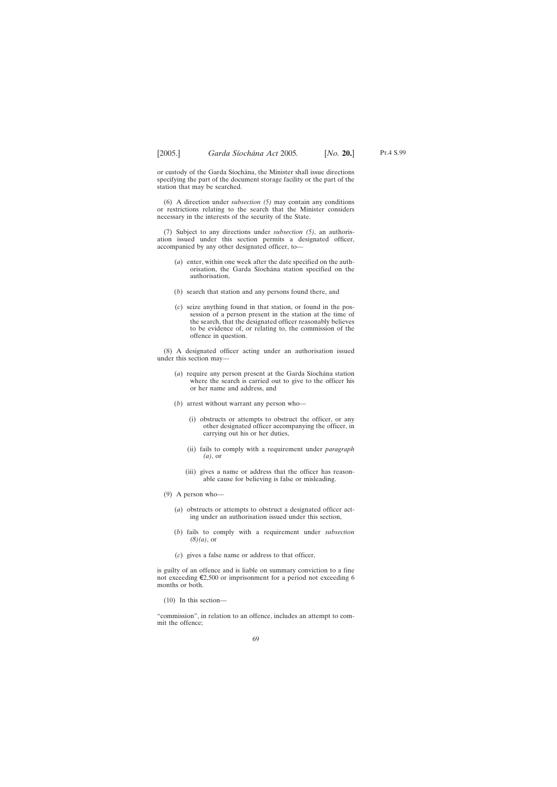or custody of the Garda Síochána, the Minister shall issue directions specifying the part of the document storage facility or the part of the station that may be searched.

(6) A direction under *subsection (5)* may contain any conditions or restrictions relating to the search that the Minister considers necessary in the interests of the security of the State.

(7) Subject to any directions under *subsection (5)*, an authorisation issued under this section permits a designated officer, accompanied by any other designated officer, to—

- (*a*) enter, within one week after the date specified on the authorisation, the Garda Síochána station specified on the authorisation,
- (*b*) search that station and any persons found there, and
- (*c*) seize anything found in that station, or found in the possession of a person present in the station at the time of the search, that the designated officer reasonably believes to be evidence of, or relating to, the commission of the offence in question.

(8) A designated officer acting under an authorisation issued under this section may—

- (*a*) require any person present at the Garda Síochána station where the search is carried out to give to the officer his or her name and address, and
- (*b*) arrest without warrant any person who—
	- (i) obstructs or attempts to obstruct the officer, or any other designated officer accompanying the officer, in carrying out his or her duties,
	- (ii) fails to comply with a requirement under *paragraph (a)*, or
	- (iii) gives a name or address that the officer has reasonable cause for believing is false or misleading.

(9) A person who—

- (*a*) obstructs or attempts to obstruct a designated officer acting under an authorisation issued under this section,
- (*b*) fails to comply with a requirement under *subsection (8)(a)*, or
- (*c*) gives a false name or address to that officer,

is guilty of an offence and is liable on summary conviction to a fine not exceeding  $\epsilon$ 2,500 or imprisonment for a period not exceeding 6 months or both.

(10) In this section—

"commission", in relation to an offence, includes an attempt to commit the offence;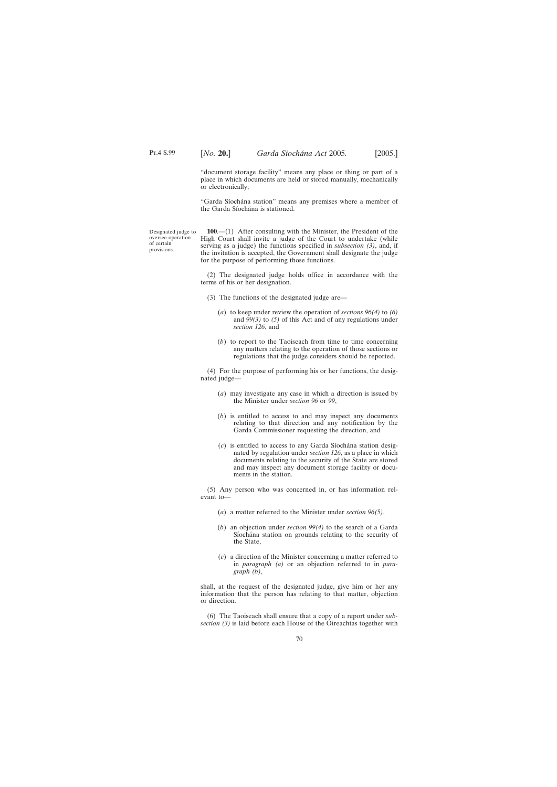"document storage facility" means any place or thing or part of a place in which documents are held or stored manually, mechanically or electronically;

"Garda Síochána station" means any premises where a member of the Garda Síochána is stationed.

Designated judge to oversee operation of certain provisions. **100**.—(1) After consulting with the Minister, the President of the High Court shall invite a judge of the Court to undertake (while serving as a judge) the functions specified in *subsection (3)*, and, if the invitation is accepted, the Government shall designate the judge for the purpose of performing those functions.

> (2) The designated judge holds office in accordance with the terms of his or her designation.

- (3) The functions of the designated judge are—
	- (*a*) to keep under review the operation of *sections 96(4)* to *(6)* and *99(3)* to *(5)* of this Act and of any regulations under *section 126*, and
	- (*b*) to report to the Taoiseach from time to time concerning any matters relating to the operation of those sections or regulations that the judge considers should be reported.

(4) For the purpose of performing his or her functions, the designated judge—

- (*a*) may investigate any case in which a direction is issued by the Minister under *section 96* or *99*,
- (*b*) is entitled to access to and may inspect any documents relating to that direction and any notification by the Garda Commissioner requesting the direction, and
- $(c)$  is entitled to access to any Garda Siochana station designated by regulation under *section 126*, as a place in which documents relating to the security of the State are stored and may inspect any document storage facility or documents in the station.

(5) Any person who was concerned in, or has information relevant to—

- (*a*) a matter referred to the Minister under *section 96(5)*,
- (*b*) an objection under *section 99(4)* to the search of a Garda Síochána station on grounds relating to the security of the State,
- (*c*) a direction of the Minister concerning a matter referred to in *paragraph (a)* or an objection referred to in *paragraph (b)*,

shall, at the request of the designated judge, give him or her any information that the person has relating to that matter, objection or direction.

(6) The Taoiseach shall ensure that a copy of a report under *subsection (3)* is laid before each House of the Oireachtas together with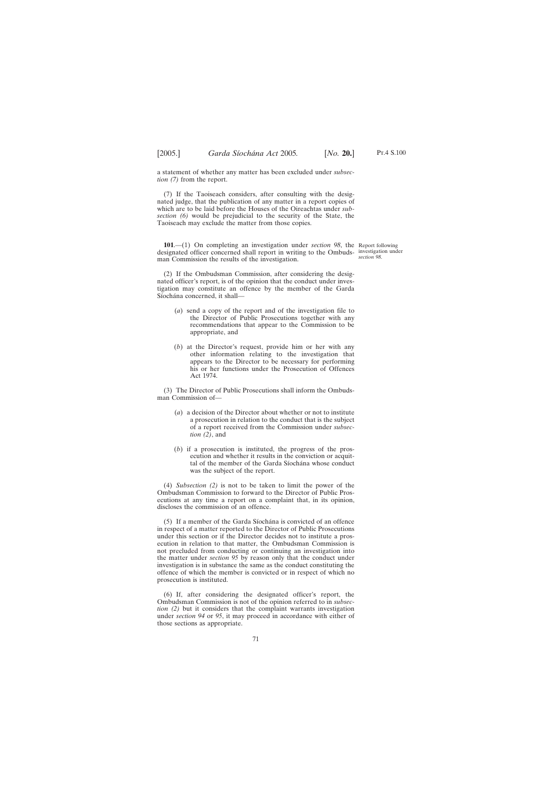a statement of whether any matter has been excluded under *subsection (7)* from the report.

(7) If the Taoiseach considers, after consulting with the designated judge, that the publication of any matter in a report copies of which are to be laid before the Houses of the Oireachtas under *subsection (6)* would be prejudicial to the security of the State, the Taoiseach may exclude the matter from those copies.

**101**.—(1) On completing an investigation under *section 98*, the Report following designated officer concerned shall report in writing to the Ombuds-investigation under man Commission the results of the investigation.

(2) If the Ombudsman Commission, after considering the designated officer's report, is of the opinion that the conduct under investigation may constitute an offence by the member of the Garda Síochána concerned, it shall—

- (*a*) send a copy of the report and of the investigation file to the Director of Public Prosecutions together with any recommendations that appear to the Commission to be appropriate, and
- (*b*) at the Director's request, provide him or her with any other information relating to the investigation that appears to the Director to be necessary for performing his or her functions under the Prosecution of Offences Act 1974.

(3) The Director of Public Prosecutions shall inform the Ombudsman Commission of—

- (*a*) a decision of the Director about whether or not to institute a prosecution in relation to the conduct that is the subject of a report received from the Commission under *subsection (2)*, and
- (*b*) if a prosecution is instituted, the progress of the prosecution and whether it results in the conviction or acquittal of the member of the Garda Síochána whose conduct was the subject of the report.

(4) *Subsection (2)* is not to be taken to limit the power of the Ombudsman Commission to forward to the Director of Public Prosecutions at any time a report on a complaint that, in its opinion, discloses the commission of an offence.

 $(5)$  If a member of the Garda Síochána is convicted of an offence in respect of a matter reported to the Director of Public Prosecutions under this section or if the Director decides not to institute a prosecution in relation to that matter, the Ombudsman Commission is not precluded from conducting or continuing an investigation into the matter under *section 95* by reason only that the conduct under investigation is in substance the same as the conduct constituting the offence of which the member is convicted or in respect of which no prosecution is instituted.

(6) If, after considering the designated officer's report, the Ombudsman Commission is not of the opinion referred to in *subsection (2)* but it considers that the complaint warrants investigation under *section 94* or *95*, it may proceed in accordance with either of those sections as appropriate.

*section 98*.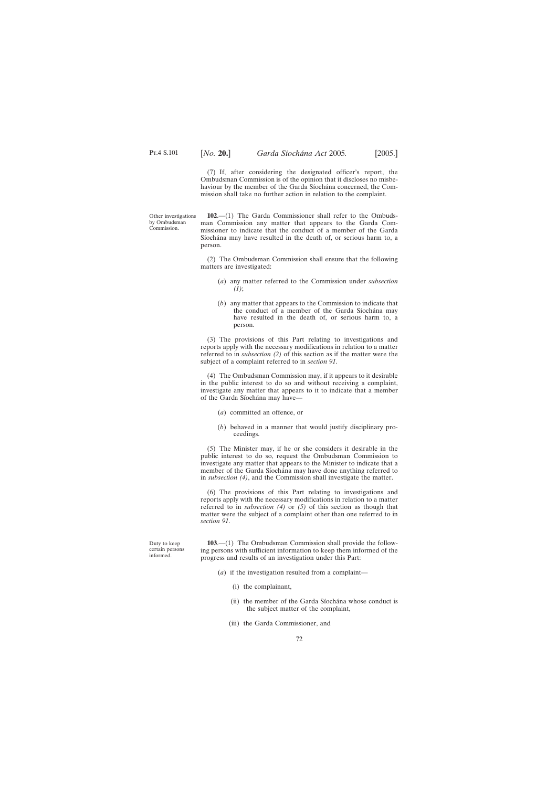(7) If, after considering the designated officer's report, the Ombudsman Commission is of the opinion that it discloses no misbehaviour by the member of the Garda Síochána concerned, the Commission shall take no further action in relation to the complaint.

Other investigations by Ombudsman Commission.

**102**.—(1) The Garda Commissioner shall refer to the Ombudsman Commission any matter that appears to the Garda Commissioner to indicate that the conduct of a member of the Garda Síochána may have resulted in the death of, or serious harm to, a person.

(2) The Ombudsman Commission shall ensure that the following matters are investigated:

- (*a*) any matter referred to the Commission under *subsection (1)*;
- (*b*) any matter that appears to the Commission to indicate that the conduct of a member of the Garda Síochána may have resulted in the death of, or serious harm to, a person.

(3) The provisions of this Part relating to investigations and reports apply with the necessary modifications in relation to a matter referred to in *subsection (2)* of this section as if the matter were the subject of a complaint referred to in *section 91*.

(4) The Ombudsman Commission may, if it appears to it desirable in the public interest to do so and without receiving a complaint, investigate any matter that appears to it to indicate that a member of the Garda Síochána may have—

- (*a*) committed an offence, or
- (*b*) behaved in a manner that would justify disciplinary proceedings.

(5) The Minister may, if he or she considers it desirable in the public interest to do so, request the Ombudsman Commission to investigate any matter that appears to the Minister to indicate that a member of the Garda Síochána may have done anything referred to in *subsection (4)*, and the Commission shall investigate the matter.

(6) The provisions of this Part relating to investigations and reports apply with the necessary modifications in relation to a matter referred to in *subsection (4)* or *(5)* of this section as though that matter were the subject of a complaint other than one referred to in *section 91*.

**103**.—(1) The Ombudsman Commission shall provide the following persons with sufficient information to keep them informed of the progress and results of an investigation under this Part:

- (*a*) if the investigation resulted from a complaint—
	- (i) the complainant,
	- (ii) the member of the Garda Síochána whose conduct is the subject matter of the complaint,
	- (iii) the Garda Commissioner, and

72

Duty to keep certain persons informed.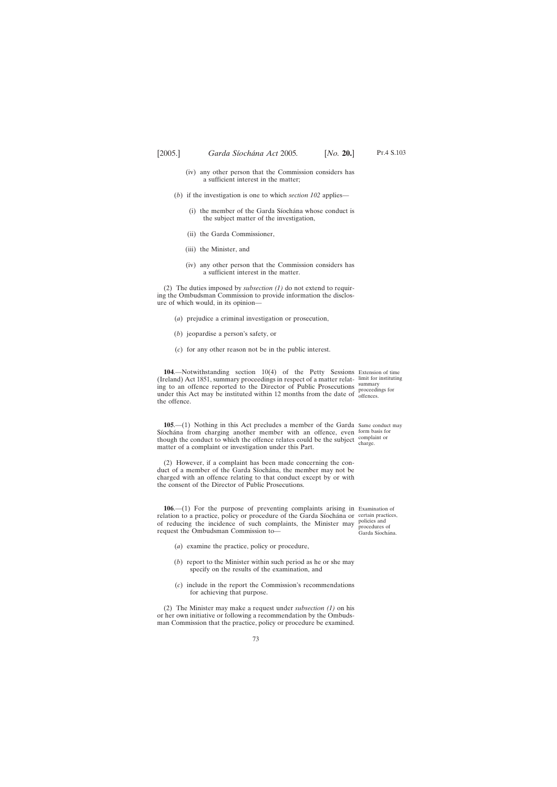- (iv) any other person that the Commission considers has a sufficient interest in the matter;
- (*b*) if the investigation is one to which *section 102* applies—
	- (i) the member of the Garda Síochána whose conduct is the subject matter of the investigation,
	- (ii) the Garda Commissioner,
	- (iii) the Minister, and
	- (iv) any other person that the Commission considers has a sufficient interest in the matter.

(2) The duties imposed by *subsection (1)* do not extend to requiring the Ombudsman Commission to provide information the disclosure of which would, in its opinion—

- (*a*) prejudice a criminal investigation or prosecution,
- (*b*) jeopardise a person's safety, or
- (*c*) for any other reason not be in the public interest.

**104**.—Notwithstanding section 10(4) of the Petty Sessions Extension of time (Ireland) Act 1851, summary proceedings in respect of a matter relat-limit for instituting ing to an offence reported to the Director of Public Prosecutions summary ing to an oncher reported to the Bricket of Tuber Trosecutions proceedings for under this Act may be instituted within 12 months from the date of offences. the offence.

offences.

**105**.—(1) Nothing in this Act precludes a member of the Garda Same conduct may Síochána from charging another member with an offence, even form basis for though the conduct to which the offence relates could be the subject  $\frac{\text{complain}}{\text{charge}}$ matter of a complaint or investigation under this Part. charge.

(2) However, if a complaint has been made concerning the conduct of a member of the Garda Síochána, the member may not be charged with an offence relating to that conduct except by or with the consent of the Director of Public Prosecutions.

**106**.—(1) For the purpose of preventing complaints arising in Examination of relation to a practice, policy or procedure of the Garda Síochána or certain practices, of reducing the incidence of such complaints, the Minister may policies and request the Ombudsman Commission to—

procedures of Garda Síochána.

- (*a*) examine the practice, policy or procedure,
- (*b*) report to the Minister within such period as he or she may specify on the results of the examination, and
- (*c*) include in the report the Commission's recommendations for achieving that purpose.

(2) The Minister may make a request under *subsection (1)* on his or her own initiative or following a recommendation by the Ombudsman Commission that the practice, policy or procedure be examined.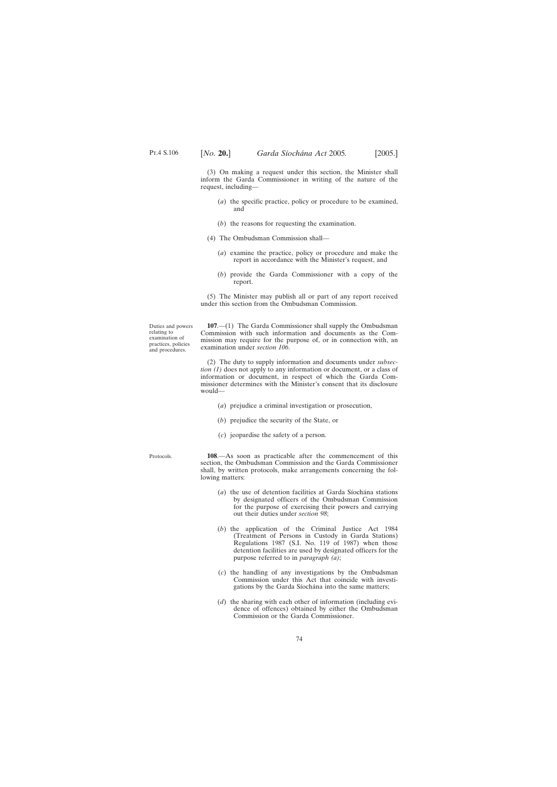(3) On making a request under this section, the Minister shall inform the Garda Commissioner in writing of the nature of the request, including—

- (*a*) the specific practice, policy or procedure to be examined, and
- (*b*) the reasons for requesting the examination.
- (4) The Ombudsman Commission shall—
	- (*a*) examine the practice, policy or procedure and make the report in accordance with the Minister's request, and
	- (*b*) provide the Garda Commissioner with a copy of the report.

(5) The Minister may publish all or part of any report received under this section from the Ombudsman Commission.

Duties and powers relating to examination of practices, policies and procedures.

**107**.—(1) The Garda Commissioner shall supply the Ombudsman Commission with such information and documents as the Commission may require for the purpose of, or in connection with, an examination under *section 106*.

(2) The duty to supply information and documents under *subsection (1)* does not apply to any information or document, or a class of information or document, in respect of which the Garda Commissioner determines with the Minister's consent that its disclosure would—

- (*a*) prejudice a criminal investigation or prosecution,
- (*b*) prejudice the security of the State, or
- (*c*) jeopardise the safety of a person.

Protocols.

**108**.—As soon as practicable after the commencement of this section, the Ombudsman Commission and the Garda Commissioner shall, by written protocols, make arrangements concerning the following matters:

- $(a)$  the use of detention facilities at Garda Siochana stations by designated officers of the Ombudsman Commission for the purpose of exercising their powers and carrying out their duties under *section 98*;
- (*b*) the application of the Criminal Justice Act 1984 (Treatment of Persons in Custody in Garda Stations) Regulations 1987 (S.I. No. 119 of 1987) when those detention facilities are used by designated officers for the purpose referred to in *paragraph (a)*;
- (*c*) the handling of any investigations by the Ombudsman Commission under this Act that coincide with investigations by the Garda Síochána into the same matters;
- (*d*) the sharing with each other of information (including evidence of offences) obtained by either the Ombudsman Commission or the Garda Commissioner.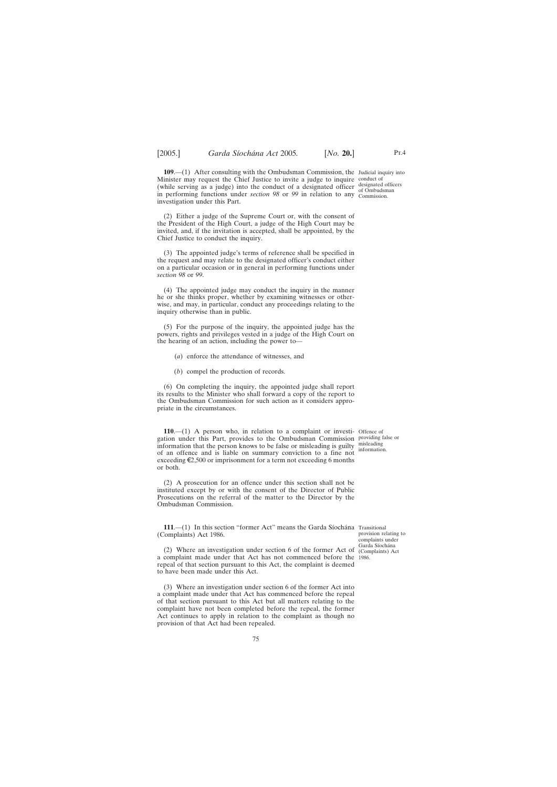**109.**—(1) After consulting with the Ombudsman Commission, the Judicial inquiry into Minister may request the Chief Justice to invite a judge to inquire conduct of (while serving as a judge) into the conduct of a designated officer in performing functions under *section 98* or *99* in relation to any investigation under this Part.

(2) Either a judge of the Supreme Court or, with the consent of the President of the High Court, a judge of the High Court may be invited, and, if the invitation is accepted, shall be appointed, by the Chief Justice to conduct the inquiry.

(3) The appointed judge's terms of reference shall be specified in the request and may relate to the designated officer's conduct either on a particular occasion or in general in performing functions under *section 98* or *99*.

(4) The appointed judge may conduct the inquiry in the manner he or she thinks proper, whether by examining witnesses or otherwise, and may, in particular, conduct any proceedings relating to the inquiry otherwise than in public.

(5) For the purpose of the inquiry, the appointed judge has the powers, rights and privileges vested in a judge of the High Court on the hearing of an action, including the power to—

- (*a*) enforce the attendance of witnesses, and
- (*b*) compel the production of records.

(6) On completing the inquiry, the appointed judge shall report its results to the Minister who shall forward a copy of the report to the Ombudsman Commission for such action as it considers appropriate in the circumstances.

**110.**—(1) A person who, in relation to a complaint or investi- Offence of gation under this Part, provides to the Ombudsman Commission providing false or information that the person knows to be false or misleading is guilty misleading of an offence and is liable on summary conviction to a fine not exceeding  $\epsilon$ 2,500 or imprisonment for a term not exceeding 6 months or both.

(2) A prosecution for an offence under this section shall not be instituted except by or with the consent of the Director of Public Prosecutions on the referral of the matter to the Director by the Ombudsman Commission.

**111.**—(1) In this section "former Act" means the Garda Síochána Transitional (Complaints) Act 1986.

(2) Where an investigation under section 6 of the former Act of a complaint made under that Act has not commenced before the 1986.repeal of that section pursuant to this Act, the complaint is deemed to have been made under this Act.

(3) Where an investigation under section 6 of the former Act into a complaint made under that Act has commenced before the repeal of that section pursuant to this Act but all matters relating to the complaint have not been completed before the repeal, the former Act continues to apply in relation to the complaint as though no provision of that Act had been repealed.

75

designated officers of Ombudsman Commission.

information.

provision relating to complaints under Garda Síochána (Complaints) Act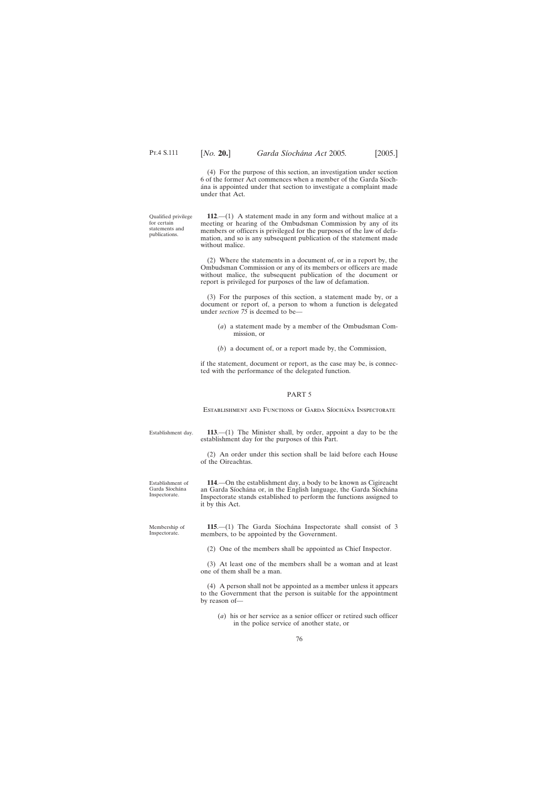(4) For the purpose of this section, an investigation under section 6 of the former Act commences when a member of the Garda Síocha´na is appointed under that section to investigate a complaint made under that Act.

Qualified privilege for certain statements and publications.

**112**.—(1) A statement made in any form and without malice at a meeting or hearing of the Ombudsman Commission by any of its members or officers is privileged for the purposes of the law of defamation, and so is any subsequent publication of the statement made without malice.

(2) Where the statements in a document of, or in a report by, the Ombudsman Commission or any of its members or officers are made without malice, the subsequent publication of the document or report is privileged for purposes of the law of defamation.

(3) For the purposes of this section, a statement made by, or a document or report of, a person to whom a function is delegated under *section 75* is deemed to be—

- (*a*) a statement made by a member of the Ombudsman Commission, or
- (*b*) a document of, or a report made by, the Commission,

if the statement, document or report, as the case may be, is connected with the performance of the delegated function.

# PART 5

ESTABLISHMENT AND FUNCTIONS OF GARDA SÍOCHÁNA INSPECTORATE

Establishment day.

Establishment of Garda Síochána Inspectorate.

**113**.—(1) The Minister shall, by order, appoint a day to be the establishment day for the purposes of this Part.

(2) An order under this section shall be laid before each House of the Oireachtas.

**114**.—On the establishment day, a body to be known as Cigireacht an Garda Síochána or, in the English language, the Garda Síochána Inspectorate stands established to perform the functions assigned to it by this Act.

Membership of Inspectorate.

**115.**—(1) The Garda Siocha<sup>na</sup> Inspectorate shall consist of 3 members, to be appointed by the Government.

(2) One of the members shall be appointed as Chief Inspector.

(3) At least one of the members shall be a woman and at least one of them shall be a man.

(4) A person shall not be appointed as a member unless it appears to the Government that the person is suitable for the appointment by reason of—

(*a*) his or her service as a senior officer or retired such officer in the police service of another state, or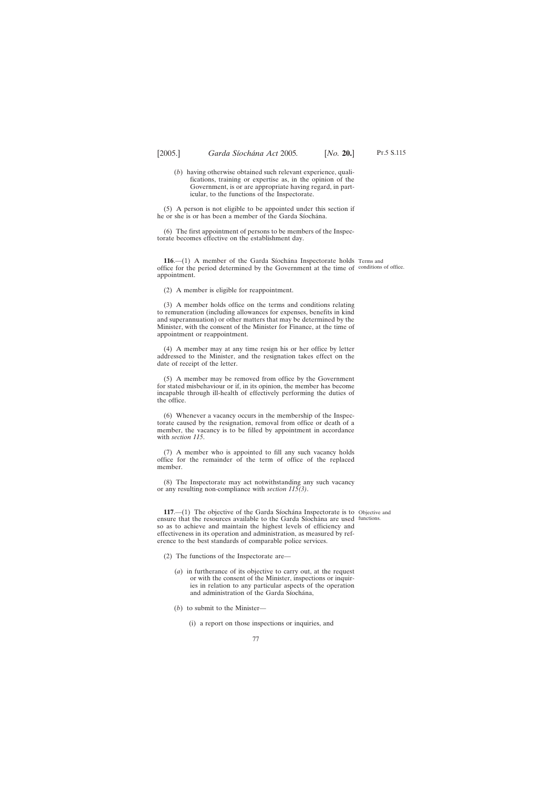- Pt.5 S.115
- (*b*) having otherwise obtained such relevant experience, qualifications, training or expertise as, in the opinion of the Government, is or are appropriate having regard, in particular, to the functions of the Inspectorate.

(5) A person is not eligible to be appointed under this section if he or she is or has been a member of the Garda Síochána.

(6) The first appointment of persons to be members of the Inspectorate becomes effective on the establishment day.

116.—(1) A member of the Garda Síochána Inspectorate holds Terms and office for the period determined by the Government at the time of conditions of office. appointment.

(2) A member is eligible for reappointment.

(3) A member holds office on the terms and conditions relating to remuneration (including allowances for expenses, benefits in kind and superannuation) or other matters that may be determined by the Minister, with the consent of the Minister for Finance, at the time of appointment or reappointment.

(4) A member may at any time resign his or her office by letter addressed to the Minister, and the resignation takes effect on the date of receipt of the letter.

(5) A member may be removed from office by the Government for stated misbehaviour or if, in its opinion, the member has become incapable through ill-health of effectively performing the duties of the office.

(6) Whenever a vacancy occurs in the membership of the Inspectorate caused by the resignation, removal from office or death of a member, the vacancy is to be filled by appointment in accordance with *section 115*.

(7) A member who is appointed to fill any such vacancy holds office for the remainder of the term of office of the replaced member.

(8) The Inspectorate may act notwithstanding any such vacancy or any resulting non-compliance with *section 115(3)*.

so as to achieve and maintain the highest levels of efficiency and effectiveness in its operation and administration, as measured by ref-

**117.**—(1) The objective of the Garda Síochána Inspectorate is to Objective and ensure that the resources available to the Garda Síochána are used functions.

(2) The functions of the Inspectorate are—

erence to the best standards of comparable police services.

- (*a*) in furtherance of its objective to carry out, at the request or with the consent of the Minister, inspections or inquiries in relation to any particular aspects of the operation and administration of the Garda Síochána,
- (*b*) to submit to the Minister—
	- (i) a report on those inspections or inquiries, and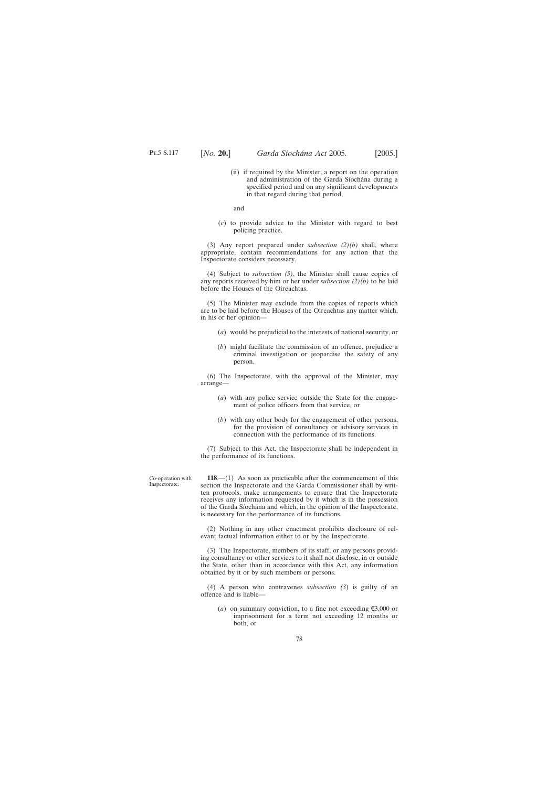(ii) if required by the Minister, a report on the operation and administration of the Garda Síochána during a specified period and on any significant developments in that regard during that period,

and

(*c*) to provide advice to the Minister with regard to best policing practice.

(3) Any report prepared under *subsection (2)(b)* shall, where appropriate, contain recommendations for any action that the Inspectorate considers necessary.

(4) Subject to *subsection (5)*, the Minister shall cause copies of any reports received by him or her under *subsection (2)(b)* to be laid before the Houses of the Oireachtas.

(5) The Minister may exclude from the copies of reports which are to be laid before the Houses of the Oireachtas any matter which, in his or her opinion—

- (*a*) would be prejudicial to the interests of national security, or
- (*b*) might facilitate the commission of an offence, prejudice a criminal investigation or jeopardise the safety of any person.

(6) The Inspectorate, with the approval of the Minister, may arrange—

- (*a*) with any police service outside the State for the engagement of police officers from that service, or
- (*b*) with any other body for the engagement of other persons, for the provision of consultancy or advisory services in connection with the performance of its functions.

(7) Subject to this Act, the Inspectorate shall be independent in the performance of its functions.

Co-operation with Inspectorate.

**118**.—(1) As soon as practicable after the commencement of this section the Inspectorate and the Garda Commissioner shall by written protocols, make arrangements to ensure that the Inspectorate receives any information requested by it which is in the possession of the Garda Síochána and which, in the opinion of the Inspectorate, is necessary for the performance of its functions.

(2) Nothing in any other enactment prohibits disclosure of relevant factual information either to or by the Inspectorate.

(3) The Inspectorate, members of its staff, or any persons providing consultancy or other services to it shall not disclose, in or outside the State, other than in accordance with this Act, any information obtained by it or by such members or persons.

(4) A person who contravenes *subsection (3*) is guilty of an offence and is liable—

(*a*) on summary conviction, to a fine not exceeding  $\epsilon$ 3,000 or imprisonment for a term not exceeding 12 months or both, or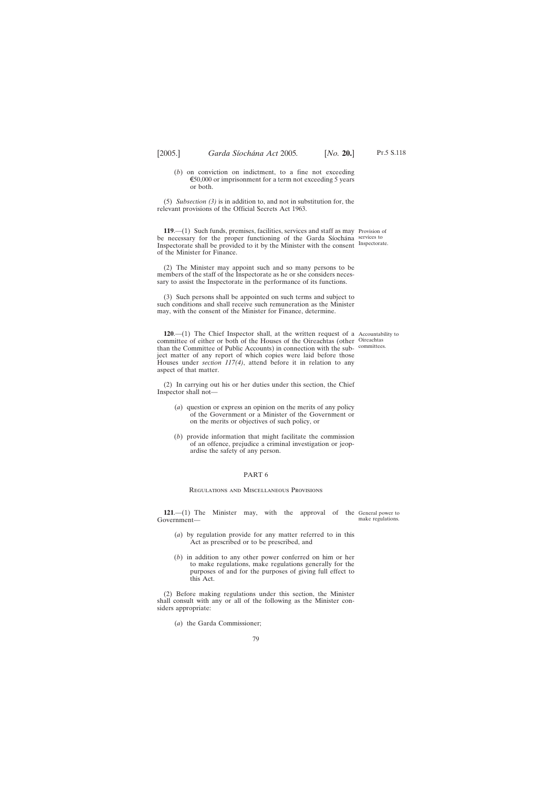(*b*) on conviction on indictment, to a fine not exceeding  $\epsilon$ 50,000 or imprisonment for a term not exceeding 5 years or both.

(5) *Subsection (3)* is in addition to, and not in substitution for, the relevant provisions of the Official Secrets Act 1963.

**119**.—(1) Such funds, premises, facilities, services and staff as may Provision of be necessary for the proper functioning of the Garda Síochána services to Inspectorate shall be provided to it by the Minister with the consent Inspectorate. of the Minister for Finance.

(2) The Minister may appoint such and so many persons to be members of the staff of the Inspectorate as he or she considers necessary to assist the Inspectorate in the performance of its functions.

(3) Such persons shall be appointed on such terms and subject to such conditions and shall receive such remuneration as the Minister may, with the consent of the Minister for Finance, determine.

**120.**—(1) The Chief Inspector shall, at the written request of a Accountability to committee of either or both of the Houses of the Oireachtas (other Oireachtas than the Committee of Public Accounts) in connection with the sub-committees. ject matter of any report of which copies were laid before those Houses under *section 117(4)*, attend before it in relation to any aspect of that matter.

(2) In carrying out his or her duties under this section, the Chief Inspector shall not—

- (*a*) question or express an opinion on the merits of any policy of the Government or a Minister of the Government or on the merits or objectives of such policy, or
- (*b*) provide information that might facilitate the commission of an offence, prejudice a criminal investigation or jeopardise the safety of any person.

# PART 6

#### Regulations and Miscellaneous Provisions

**121**.—(1) The Minister may, with the approval of the General power to Government—

make regulations.

- (*a*) by regulation provide for any matter referred to in this Act as prescribed or to be prescribed, and
- (*b*) in addition to any other power conferred on him or her to make regulations, make regulations generally for the purposes of and for the purposes of giving full effect to this Act.

(2) Before making regulations under this section, the Minister shall consult with any or all of the following as the Minister considers appropriate:

(*a*) the Garda Commissioner;

Pt.5 S.118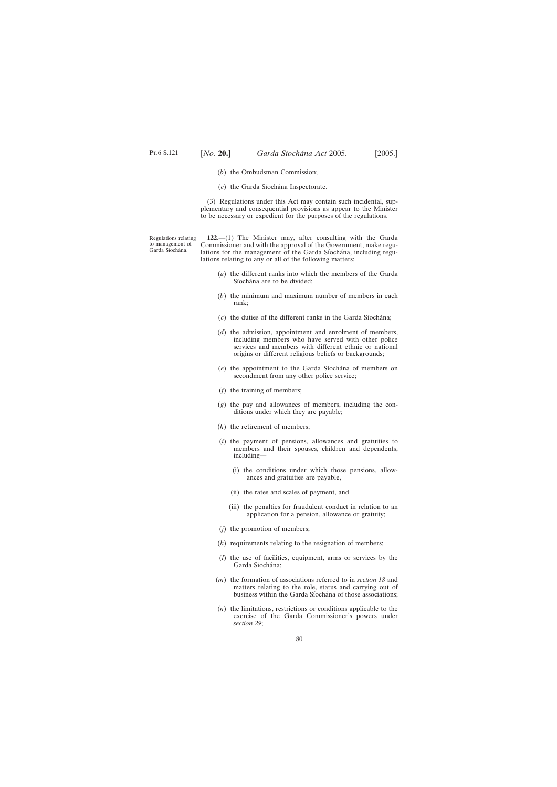- (*b*) the Ombudsman Commission;
- (*c*) the Garda Sı´ocha´na Inspectorate.

(3) Regulations under this Act may contain such incidental, supplementary and consequential provisions as appear to the Minister to be necessary or expedient for the purposes of the regulations.

Regulations relating to management of Garda Síochána.

**122**.—(1) The Minister may, after consulting with the Garda Commissioner and with the approval of the Government, make regulations for the management of the Garda Síochána, including regulations relating to any or all of the following matters:

- (*a*) the different ranks into which the members of the Garda Síochána are to be divided;
- (*b*) the minimum and maximum number of members in each rank;
- $(c)$  the duties of the different ranks in the Garda Siochana;
- (*d*) the admission, appointment and enrolment of members, including members who have served with other police services and members with different ethnic or national origins or different religious beliefs or backgrounds;
- (*e*) the appointment to the Garda Síochána of members on secondment from any other police service;
- (*f*) the training of members;
- (*g*) the pay and allowances of members, including the conditions under which they are payable;
- (*h*) the retirement of members;
- (*i*) the payment of pensions, allowances and gratuities to members and their spouses, children and dependents, including—
	- (i) the conditions under which those pensions, allowances and gratuities are payable,
	- (ii) the rates and scales of payment, and
	- (iii) the penalties for fraudulent conduct in relation to an application for a pension, allowance or gratuity;
- (*j*) the promotion of members;
- (*k*) requirements relating to the resignation of members;
- (*l*) the use of facilities, equipment, arms or services by the Garda Síochána:
- (*m*) the formation of associations referred to in *section 18* and matters relating to the role, status and carrying out of business within the Garda Síochána of those associations;
- (*n*) the limitations, restrictions or conditions applicable to the exercise of the Garda Commissioner's powers under *section 29*;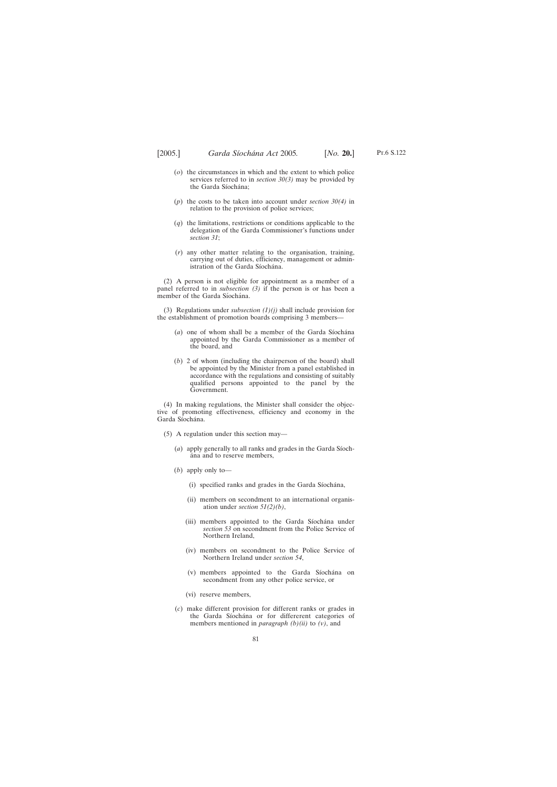- (*o*) the circumstances in which and the extent to which police services referred to in *section 30(3)* may be provided by the Garda Síochána;
- (*p*) the costs to be taken into account under *section 30(4)* in relation to the provision of police services;
- (*q*) the limitations, restrictions or conditions applicable to the delegation of the Garda Commissioner's functions under *section 31*;
- (*r*) any other matter relating to the organisation, training, carrying out of duties, efficiency, management or administration of the Garda Síochána.

(2) A person is not eligible for appointment as a member of a panel referred to in *subsection (3)* if the person is or has been a member of the Garda Síochána.

(3) Regulations under *subsection (1)(j)* shall include provision for the establishment of promotion boards comprising 3 members—

- (*a*) one of whom shall be a member of the Garda Siochana appointed by the Garda Commissioner as a member of the board, and
- (*b*) 2 of whom (including the chairperson of the board) shall be appointed by the Minister from a panel established in accordance with the regulations and consisting of suitably qualified persons appointed to the panel by the Government.

(4) In making regulations, the Minister shall consider the objective of promoting effectiveness, efficiency and economy in the Garda Síochána.

- (5) A regulation under this section may—
	- (a) apply generally to all ranks and grades in the Garda Síochána and to reserve members,
	- (*b*) apply only to—
		- (i) specified ranks and grades in the Garda Síochána,
		- (ii) members on secondment to an international organisation under *section 51(2)(b)*,
		- (iii) members appointed to the Garda Síochána under *section 53* on secondment from the Police Service of Northern Ireland,
		- (iv) members on secondment to the Police Service of Northern Ireland under *section 54*,
		- (v) members appointed to the Garda Síochána on secondment from any other police service, or
		- (vi) reserve members,
	- (*c*) make different provision for different ranks or grades in the Garda Síochána or for differerent categories of members mentioned in *paragraph (b)(ii)* to *(v)*, and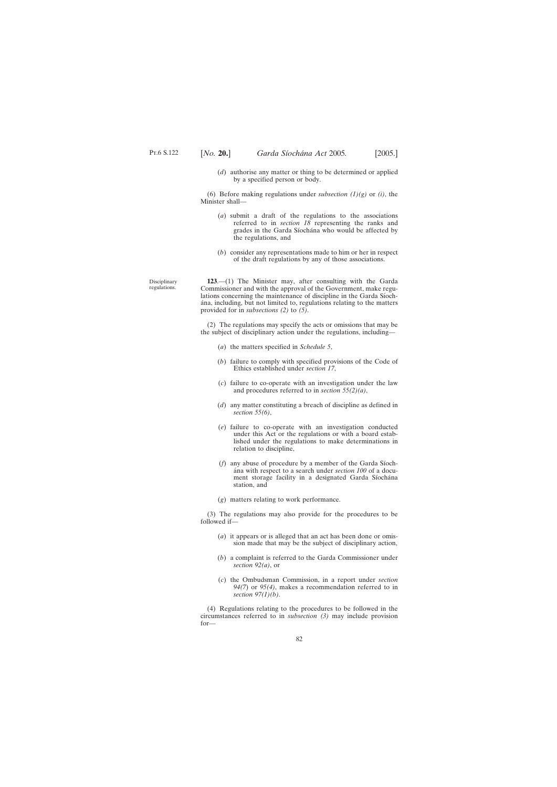Disciplinary regulations.

(*d*) authorise any matter or thing to be determined or applied by a specified person or body.

(6) Before making regulations under *subsection (1)(g)* or *(i)*, the Minister shall—

- (*a*) submit a draft of the regulations to the associations referred to in *section 18* representing the ranks and grades in the Garda Síochána who would be affected by the regulations, and
- (*b*) consider any representations made to him or her in respect of the draft regulations by any of those associations.

**123**.—(1) The Minister may, after consulting with the Garda Commissioner and with the approval of the Government, make regulations concerning the maintenance of discipline in the Garda Síocha´na, including, but not limited to, regulations relating to the matters provided for in *subsections (2)* to *(5)*.

(2) The regulations may specify the acts or omissions that may be the subject of disciplinary action under the regulations, including—

- (*a*) the matters specified in *Schedule 5*,
- (*b*) failure to comply with specified provisions of the Code of Ethics established under *section 17*,
- (*c*) failure to co-operate with an investigation under the law and procedures referred to in *section 55(2)(a)*,
- (*d*) any matter constituting a breach of discipline as defined in *section 55(6)*,
- (*e*) failure to co-operate with an investigation conducted under this Act or the regulations or with a board established under the regulations to make determinations in relation to discipline,
- $(f)$  any abuse of procedure by a member of the Garda Siochána with respect to a search under *section 100* of a document storage facility in a designated Garda Síochána station, and
- (*g*) matters relating to work performance.

(3) The regulations may also provide for the procedures to be followed if—

- (*a*) it appears or is alleged that an act has been done or omission made that may be the subject of disciplinary action,
- (*b*) a complaint is referred to the Garda Commissioner under *section 92(a)*, or
- (*c*) the Ombudsman Commission, in a report under *section 94(7*) or *95(4)*, makes a recommendation referred to in *section 97(1)(b)*.

(4) Regulations relating to the procedures to be followed in the circumstances referred to in *subsection (3)* may include provision for—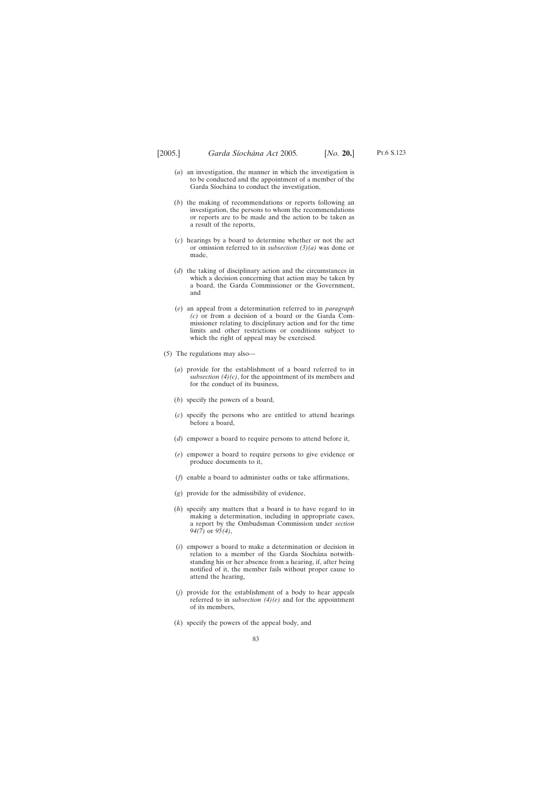Pt.6 S.123

- (*a*) an investigation, the manner in which the investigation is to be conducted and the appointment of a member of the Garda Síochána to conduct the investigation,
- (*b*) the making of recommendations or reports following an investigation, the persons to whom the recommendations or reports are to be made and the action to be taken as a result of the reports,
- (*c*) hearings by a board to determine whether or not the act or omission referred to in *subsection (3)(a)* was done or made,
- (*d*) the taking of disciplinary action and the circumstances in which a decision concerning that action may be taken by a board, the Garda Commissioner or the Government, and
- (*e*) an appeal from a determination referred to in *paragraph (c)* or from a decision of a board or the Garda Commissioner relating to disciplinary action and for the time limits and other restrictions or conditions subject to which the right of appeal may be exercised.
- (5) The regulations may also—
	- (*a*) provide for the establishment of a board referred to in *subsection*  $(4)(c)$ , for the appointment of its members and for the conduct of its business,
	- (*b*) specify the powers of a board,
	- (*c*) specify the persons who are entitled to attend hearings before a board,
	- (*d*) empower a board to require persons to attend before it,
	- (*e*) empower a board to require persons to give evidence or produce documents to it,
	- (*f*) enable a board to administer oaths or take affirmations,
	- (*g*) provide for the admissibility of evidence,
	- (*h*) specify any matters that a board is to have regard to in making a determination, including in appropriate cases, a report by the Ombudsman Commission under *section 94(7)* or *95(4)*,
	- (*i*) empower a board to make a determination or decision in relation to a member of the Garda Síochána notwithstanding his or her absence from a hearing, if, after being notified of it, the member fails without proper cause to attend the hearing,
	- (*j*) provide for the establishment of a body to hear appeals referred to in *subsection (4)(e)* and for the appointment of its members,
	- (*k*) specify the powers of the appeal body, and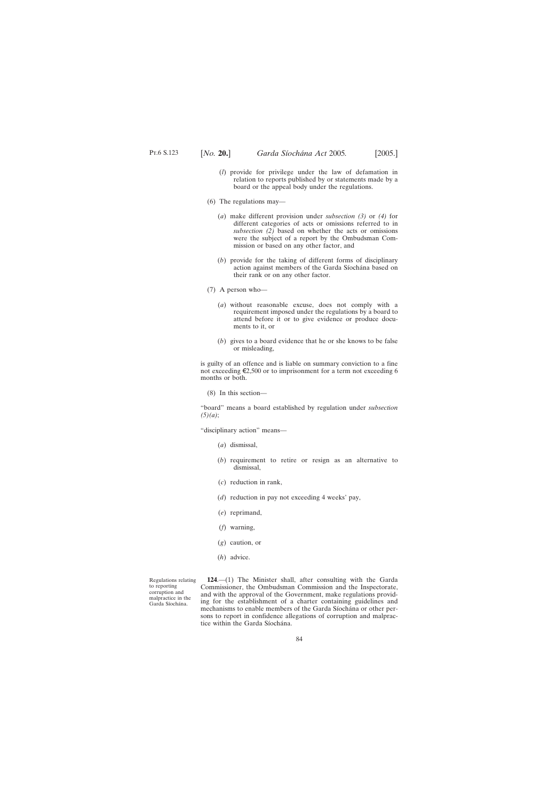- (*l*) provide for privilege under the law of defamation in relation to reports published by or statements made by a board or the appeal body under the regulations.
- (6) The regulations may—
	- (*a*) make different provision under *subsection (3)* or *(4)* for different categories of acts or omissions referred to in *subsection (2)* based on whether the acts or omissions were the subject of a report by the Ombudsman Commission or based on any other factor, and
	- (*b*) provide for the taking of different forms of disciplinary action against members of the Garda Síochána based on their rank or on any other factor.
- (7) A person who—
	- (*a*) without reasonable excuse, does not comply with a requirement imposed under the regulations by a board to attend before it or to give evidence or produce documents to it, or
	- (*b*) gives to a board evidence that he or she knows to be false or misleading,

is guilty of an offence and is liable on summary conviction to a fine not exceeding  $\epsilon$ 2,500 or to imprisonment for a term not exceeding 6 months or both.

(8) In this section—

"board" means a board established by regulation under *subsection (5)(a)*;

"disciplinary action" means—

- (*a*) dismissal,
- (*b*) requirement to retire or resign as an alternative to dismissal,
- (*c*) reduction in rank,
- (*d*) reduction in pay not exceeding 4 weeks' pay,
- (*e*) reprimand,
- (*f*) warning,
- (*g*) caution, or
- (*h*) advice.

Regulations relating to reporting corruption and malpractice in the Garda Síochána.

**124**.—(1) The Minister shall, after consulting with the Garda Commissioner, the Ombudsman Commission and the Inspectorate, and with the approval of the Government, make regulations providing for the establishment of a charter containing guidelines and mechanisms to enable members of the Garda Síochána or other persons to report in confidence allegations of corruption and malpractice within the Garda Síochána.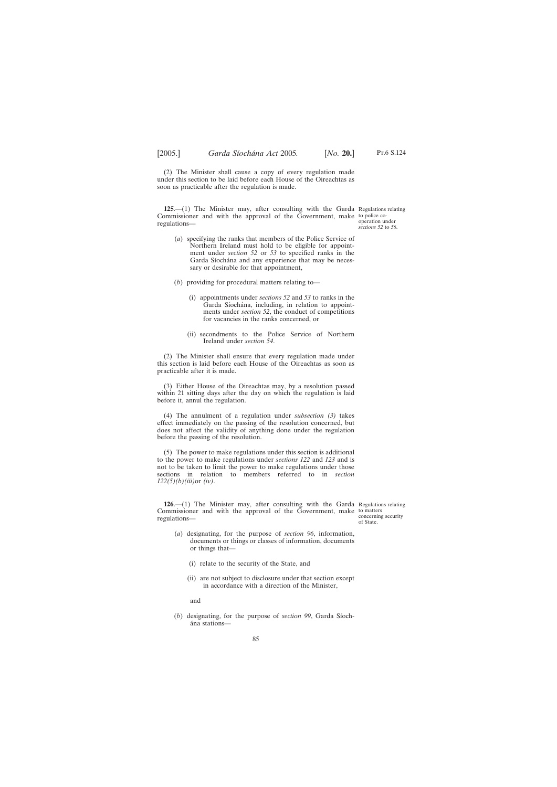**125.**—(1) The Minister may, after consulting with the Garda Regulations relating Commissioner and with the approval of the Government, make to police coregulations—

operation under *sections 52* to *56*.

Pt.6 S.124

- (*a*) specifying the ranks that members of the Police Service of Northern Ireland must hold to be eligible for appointment under *section 52* or *53* to specified ranks in the Garda Síochána and any experience that may be necessary or desirable for that appointment,
- (*b*) providing for procedural matters relating to—
	- (i) appointments under *sections 52* and *53* to ranks in the Garda Síochána, including, in relation to appointments under *section 52*, the conduct of competitions for vacancies in the ranks concerned, or
	- (ii) secondments to the Police Service of Northern Ireland under *section 54*.

(2) The Minister shall ensure that every regulation made under this section is laid before each House of the Oireachtas as soon as practicable after it is made.

(3) Either House of the Oireachtas may, by a resolution passed within 21 sitting days after the day on which the regulation is laid before it, annul the regulation.

(4) The annulment of a regulation under *subsection (3)* takes effect immediately on the passing of the resolution concerned, but does not affect the validity of anything done under the regulation before the passing of the resolution.

(5) The power to make regulations under this section is additional to the power to make regulations under *sections 122* and *123* and is not to be taken to limit the power to make regulations under those sections in relation to members referred to in *section 122(5)(b)(iii)*or *(iv)*.

**126.**—(1) The Minister may, after consulting with the Garda Regulations relating Commissioner and with the approval of the Government, make to matters regulations—

concerning security of State.

- (*a*) designating, for the purpose of *section 96*, information, documents or things or classes of information, documents or things that—
	- (i) relate to the security of the State, and
	- (ii) are not subject to disclosure under that section except in accordance with a direction of the Minister,

and

(b) designating, for the purpose of *section 99*, Garda Síochána stations-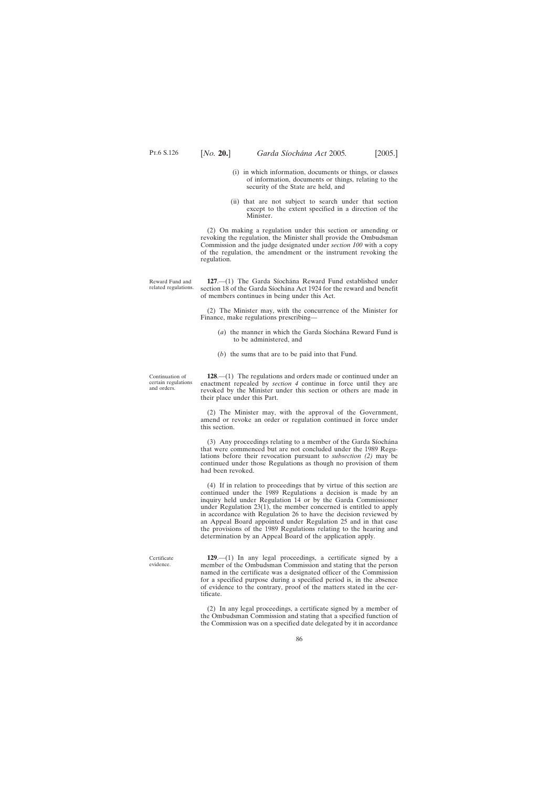- 
- (i) in which information, documents or things, or classes of information, documents or things, relating to the security of the State are held, and
- (ii) that are not subject to search under that section except to the extent specified in a direction of the Minister.

(2) On making a regulation under this section or amending or revoking the regulation, the Minister shall provide the Ombudsman Commission and the judge designated under *section 100* with a copy of the regulation, the amendment or the instrument revoking the regulation.

Reward Fund and related regulations.

**127.—(1)** The Garda Síochána Reward Fund established under section 18 of the Garda Síochána Act 1924 for the reward and benefit of members continues in being under this Act.

(2) The Minister may, with the concurrence of the Minister for Finance, make regulations prescribing—

- (*a*) the manner in which the Garda Siochana Reward Fund is to be administered, and
- (*b*) the sums that are to be paid into that Fund.

Continuation of certain regulations and orders.

Certificate evidence.

**128**.—(1) The regulations and orders made or continued under an enactment repealed by *section 4* continue in force until they are revoked by the Minister under this section or others are made in their place under this Part.

(2) The Minister may, with the approval of the Government, amend or revoke an order or regulation continued in force under this section.

(3) Any proceedings relating to a member of the Garda Síochána that were commenced but are not concluded under the 1989 Regulations before their revocation pursuant to *subsection (2)* may be continued under those Regulations as though no provision of them had been revoked.

(4) If in relation to proceedings that by virtue of this section are continued under the 1989 Regulations a decision is made by an inquiry held under Regulation 14 or by the Garda Commissioner under Regulation 23(1), the member concerned is entitled to apply in accordance with Regulation 26 to have the decision reviewed by an Appeal Board appointed under Regulation 25 and in that case the provisions of the 1989 Regulations relating to the hearing and determination by an Appeal Board of the application apply.

**129**.—(1) In any legal proceedings, a certificate signed by a member of the Ombudsman Commission and stating that the person named in the certificate was a designated officer of the Commission for a specified purpose during a specified period is, in the absence of evidence to the contrary, proof of the matters stated in the certificate.

(2) In any legal proceedings, a certificate signed by a member of the Ombudsman Commission and stating that a specified function of the Commission was on a specified date delegated by it in accordance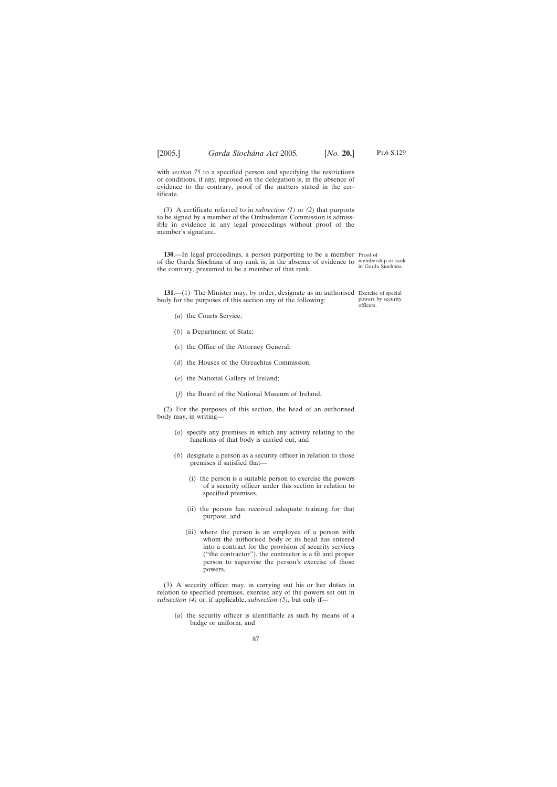with *section 75* to a specified person and specifying the restrictions or conditions, if any, imposed on the delegation is, in the absence of evidence to the contrary, proof of the matters stated in the certificate.

(3) A certificate referred to in *subsection (1)* or *(2)* that purports to be signed by a member of the Ombudsman Commission is admissible in evidence in any legal proceedings without proof of the member's signature.

**130.—In legal proceedings, a person purporting to be a member Proof of** of the Garda Síochána of any rank is, in the absence of evidence to membership or rank the contrary, presumed to be a member of that rank.

**131**.—(1) The Minister may, by order, designate as an authorised Exercise of special body for the purposes of this section any of the following:

in Garda Síochána.

powers by security officers.

- (*a*) the Courts Service;
- (*b*) a Department of State;
- (*c*) the Office of the Attorney General;
- (*d*) the Houses of the Oireachtas Commission;
- (*e*) the National Gallery of Ireland;
- (*f*) the Board of the National Museum of Ireland.

(2) For the purposes of this section, the head of an authorised body may, in writing—

- (*a*) specify any premises in which any activity relating to the functions of that body is carried out, and
- (*b*) designate a person as a security officer in relation to those premises if satisfied that—
	- (i) the person is a suitable person to exercise the powers of a security officer under this section in relation to specified premises,
	- (ii) the person has received adequate training for that purpose, and
	- (iii) where the person is an employee of a person with whom the authorised body or its head has entered into a contract for the provision of security services ("the contractor"), the contractor is a fit and proper person to supervise the person's exercise of those powers.

(3) A security officer may, in carrying out his or her duties in relation to specified premises, exercise any of the powers set out in *subsection (4)* or, if applicable, *subsection (5)*, but only if—

(*a*) the security officer is identifiable as such by means of a badge or uniform, and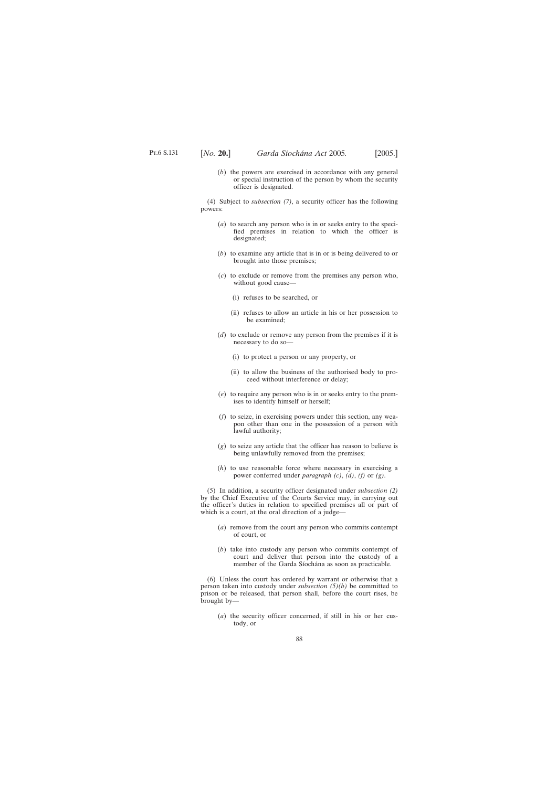(*b*) the powers are exercised in accordance with any general or special instruction of the person by whom the security officer is designated.

(4) Subject to *subsection (7)*, a security officer has the following powers:

- (*a*) to search any person who is in or seeks entry to the specified premises in relation to which the officer is designated;
- (*b*) to examine any article that is in or is being delivered to or brought into those premises;
- (*c*) to exclude or remove from the premises any person who, without good cause—
	- (i) refuses to be searched, or
	- (ii) refuses to allow an article in his or her possession to be examined;
- (*d*) to exclude or remove any person from the premises if it is necessary to do so—
	- (i) to protect a person or any property, or
	- (ii) to allow the business of the authorised body to proceed without interference or delay;
- (*e*) to require any person who is in or seeks entry to the premises to identify himself or herself;
- (*f*) to seize, in exercising powers under this section, any weapon other than one in the possession of a person with lawful authority;
- (*g*) to seize any article that the officer has reason to believe is being unlawfully removed from the premises;
- (*h*) to use reasonable force where necessary in exercising a power conferred under *paragraph (c)*, *(d)*, *(f)* or *(g)*.

(5) In addition, a security officer designated under *subsection (2)* by the Chief Executive of the Courts Service may, in carrying out the officer's duties in relation to specified premises all or part of which is a court, at the oral direction of a judge-

- (*a*) remove from the court any person who commits contempt of court, or
- (*b*) take into custody any person who commits contempt of court and deliver that person into the custody of a member of the Garda Síochána as soon as practicable.

(6) Unless the court has ordered by warrant or otherwise that a person taken into custody under *subsection (5)(b)* be committed to prison or be released, that person shall, before the court rises, be brought by—

(*a*) the security officer concerned, if still in his or her custody, or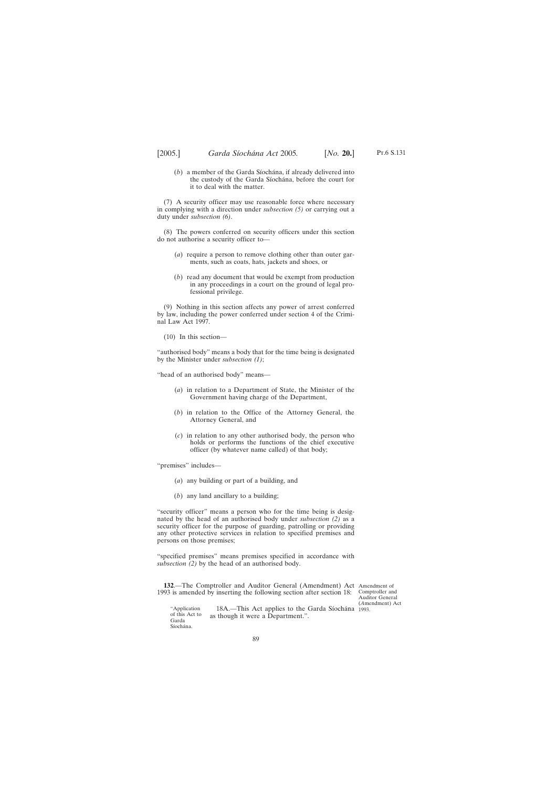(b) a member of the Garda Síochána, if already delivered into the custody of the Garda Síochána, before the court for it to deal with the matter.

(7) A security officer may use reasonable force where necessary in complying with a direction under *subsection (5)* or carrying out a duty under *subsection (6)*.

(8) The powers conferred on security officers under this section do not authorise a security officer to—

- (*a*) require a person to remove clothing other than outer garments, such as coats, hats, jackets and shoes, or
- (*b*) read any document that would be exempt from production in any proceedings in a court on the ground of legal professional privilege.

(9) Nothing in this section affects any power of arrest conferred by law, including the power conferred under section 4 of the Criminal Law Act 1997.

(10) In this section—

"authorised body" means a body that for the time being is designated by the Minister under *subsection (1)*;

"head of an authorised body" means—

- (*a*) in relation to a Department of State, the Minister of the Government having charge of the Department,
- (*b*) in relation to the Office of the Attorney General, the Attorney General, and
- (*c*) in relation to any other authorised body, the person who holds or performs the functions of the chief executive officer (by whatever name called) of that body;

"premises" includes—

- (*a*) any building or part of a building, and
- (*b*) any land ancillary to a building;

"security officer" means a person who for the time being is designated by the head of an authorised body under *subsection (2)* as a security officer for the purpose of guarding, patrolling or providing any other protective services in relation to specified premises and persons on those premises;

"specified premises" means premises specified in accordance with *subsection (2)* by the head of an authorised body.

132.—The Comptroller and Auditor General (Amendment) Act Amendment of 1993 is amended by inserting the following section after section 18:

Comptroller and Auditor General (*A*mendment) Act

"Application of this Act to Garda Síochána. 18A.—This Act applies to the Garda Síochána 1993. as though it were a Department.".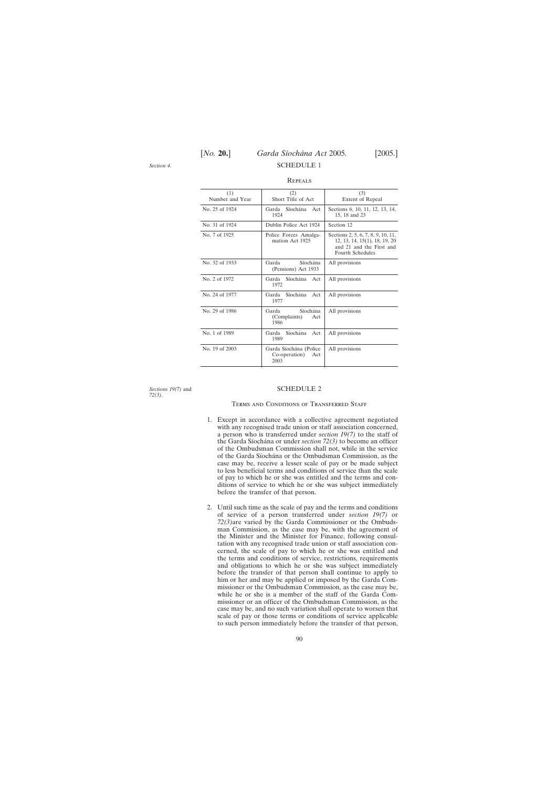| (2)<br>Short Title of Act                              | (3)<br>Extent of Repeal                                                                                             |
|--------------------------------------------------------|---------------------------------------------------------------------------------------------------------------------|
| Síochána Act<br>Garda<br>1924                          | Sections 6, 10, 11, 12, 13, 14,<br>15, 18 and 23                                                                    |
| Dublin Police Act 1924                                 | Section 12                                                                                                          |
| Police Forces Amalga-<br>mation Act 1925               | Sections 2, 5, 6, 7, 8, 9, 10, 11,<br>12, 13, 14, 15(1), 18, 19, 20<br>and 21 and the First and<br>Fourth Schedules |
| Garda<br>Síochána<br>(Pensions) Act 1933               | All provisions                                                                                                      |
| Síochána Act<br>Garda<br>1972                          | All provisions                                                                                                      |
| Síochána<br>Garda<br>Act<br>1977                       | All provisions                                                                                                      |
| Garda<br>Síochána<br>(Complaints)<br>Act<br>1986       | All provisions                                                                                                      |
| Garda<br>Síochána<br>Act<br>1989                       | All provisions                                                                                                      |
| Garda Síochána (Police<br>Co-operation)<br>Act<br>2003 | All provisions                                                                                                      |
|                                                        |                                                                                                                     |

| .,<br>H.<br>-<br>┍ |
|--------------------|
|--------------------|

*Sections 19(7)* and *72(3)*.

*Section 4*.

# SCHEDULE 2

#### Terms and Conditions of Transferred Staff

- 1. Except in accordance with a collective agreement negotiated with any recognised trade union or staff association concerned, a person who is transferred under *section 19(7)* to the staff of the Garda Síochána or under *section* 72(3) to become an officer of the Ombudsman Commission shall not, while in the service of the Garda Síochána or the Ombudsman Commission, as the case may be, receive a lesser scale of pay or be made subject to less beneficial terms and conditions of service than the scale of pay to which he or she was entitled and the terms and conditions of service to which he or she was subject immediately before the transfer of that person.
- 2. Until such time as the scale of pay and the terms and conditions of service of a person transferred under *section 19(7)* or *72(3)*are varied by the Garda Commissioner or the Ombudsman Commission, as the case may be, with the agreement of the Minister and the Minister for Finance, following consultation with any recognised trade union or staff association concerned, the scale of pay to which he or she was entitled and the terms and conditions of service, restrictions, requirements and obligations to which he or she was subject immediately before the transfer of that person shall continue to apply to him or her and may be applied or imposed by the Garda Commissioner or the Ombudsman Commission, as the case may be, while he or she is a member of the staff of the Garda Commissioner or an officer of the Ombudsman Commission, as the case may be, and no such variation shall operate to worsen that scale of pay or those terms or conditions of service applicable to such person immediately before the transfer of that person,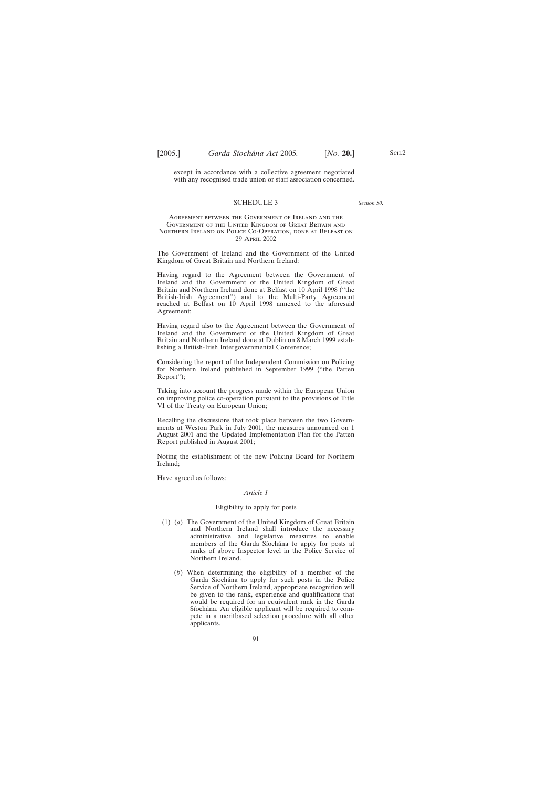except in accordance with a collective agreement negotiated with any recognised trade union or staff association concerned.

### SCHEDULE 3

*Section 50*.

S<sub>CH.2</sub>

## Agreement between the Government of Ireland and the Government of the United Kingdom of Great Britain and Northern Ireland on Police Co-Operation, done at Belfast on 29 April 2002

The Government of Ireland and the Government of the United Kingdom of Great Britain and Northern Ireland:

Having regard to the Agreement between the Government of Ireland and the Government of the United Kingdom of Great Britain and Northern Ireland done at Belfast on 10 April 1998 ("the British-Irish Agreement") and to the Multi-Party Agreement reached at Belfast on 10 April 1998 annexed to the aforesaid Agreement;

Having regard also to the Agreement between the Government of Ireland and the Government of the United Kingdom of Great Britain and Northern Ireland done at Dublin on 8 March 1999 establishing a British-Irish Intergovernmental Conference;

Considering the report of the Independent Commission on Policing for Northern Ireland published in September 1999 ("the Patten Report");

Taking into account the progress made within the European Union on improving police co-operation pursuant to the provisions of Title VI of the Treaty on European Union;

Recalling the discussions that took place between the two Governments at Weston Park in July 2001, the measures announced on 1 August 2001 and the Updated Implementation Plan for the Patten Report published in August 2001;

Noting the establishment of the new Policing Board for Northern Ireland;

Have agreed as follows:

## *Article 1*

### Eligibility to apply for posts

- (1) (*a*) The Government of the United Kingdom of Great Britain and Northern Ireland shall introduce the necessary administrative and legislative measures to enable members of the Garda Síochána to apply for posts at ranks of above Inspector level in the Police Service of Northern Ireland.
	- (*b*) When determining the eligibility of a member of the Garda Síochána to apply for such posts in the Police Service of Northern Ireland, appropriate recognition will be given to the rank, experience and qualifications that would be required for an equivalent rank in the Garda Síochána. An eligible applicant will be required to compete in a meritbased selection procedure with all other applicants.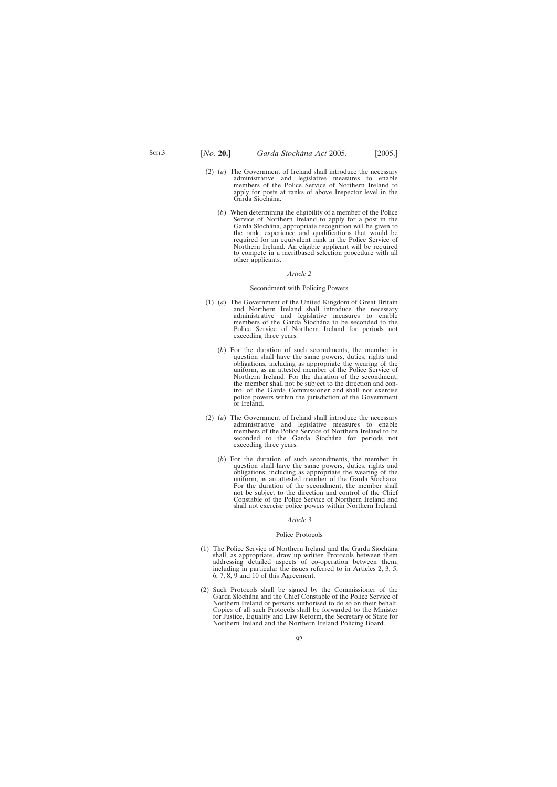- (2) (*a*) The Government of Ireland shall introduce the necessary administrative and legislative measures to enable members of the Police Service of Northern Ireland to apply for posts at ranks of above Inspector level in the Garda Síochána.
	- (*b*) When determining the eligibility of a member of the Police Service of Northern Ireland to apply for a post in the Garda Síochána, appropriate recognition will be given to the rank, experience and qualifications that would be required for an equivalent rank in the Police Service of Northern Ireland. An eligible applicant will be required to compete in a meritbased selection procedure with all other applicants.

## *Article 2*

#### Secondment with Policing Powers

- (1) (*a*) The Government of the United Kingdom of Great Britain and Northern Ireland shall introduce the necessary administrative and legislative measures to enable members of the Garda Síochána to be seconded to the Police Service of Northern Ireland for periods not exceeding three years.
	- (*b*) For the duration of such secondments, the member in question shall have the same powers, duties, rights and obligations, including as appropriate the wearing of the uniform, as an attested member of the Police Service of Northern Ireland. For the duration of the secondment, the member shall not be subject to the direction and control of the Garda Commissioner and shall not exercise police powers within the jurisdiction of the Government of Ireland.
- (2) (*a*) The Government of Ireland shall introduce the necessary administrative and legislative measures to enable members of the Police Service of Northern Ireland to be seconded to the Garda Síochána for periods not exceeding three years.
	- (*b*) For the duration of such secondments, the member in question shall have the same powers, duties, rights and obligations, including as appropriate the wearing of the uniform, as an attested member of the Garda Siochana. For the duration of the secondment, the member shall not be subject to the direction and control of the Chief Constable of the Police Service of Northern Ireland and shall not exercise police powers within Northern Ireland.

#### *Article 3*

#### Police Protocols

- (1) The Police Service of Northern Ireland and the Garda Síochána shall, as appropriate, draw up written Protocols between them addressing detailed aspects of co-operation between them, including in particular the issues referred to in Articles 2, 3, 5, 6, 7, 8, 9 and 10 of this Agreement.
- (2) Such Protocols shall be signed by the Commissioner of the Garda Síochána and the Chief Constable of the Police Service of Northern Ireland or persons authorised to do so on their behalf. Copies of all such Protocols shall be forwarded to the Minister for Justice, Equality and Law Reform, the Secretary of State for Northern Ireland and the Northern Ireland Policing Board.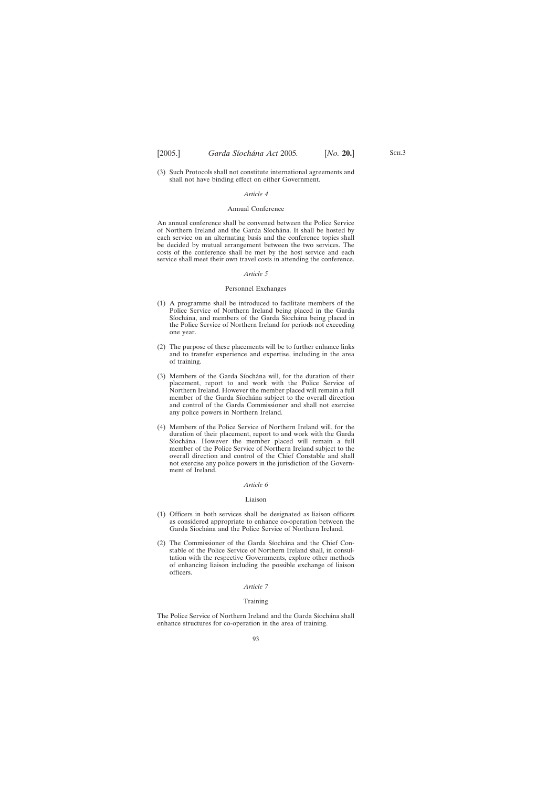(3) Such Protocols shall not constitute international agreements and shall not have binding effect on either Government.

### *Article 4*

# Annual Conference

An annual conference shall be convened between the Police Service of Northern Ireland and the Garda Síochána. It shall be hosted by each service on an alternating basis and the conference topics shall be decided by mutual arrangement between the two services. The costs of the conference shall be met by the host service and each service shall meet their own travel costs in attending the conference.

#### *Article 5*

### Personnel Exchanges

- (1) A programme shall be introduced to facilitate members of the Police Service of Northern Ireland being placed in the Garda Síochána, and members of the Garda Síochána being placed in the Police Service of Northern Ireland for periods not exceeding one year.
- (2) The purpose of these placements will be to further enhance links and to transfer experience and expertise, including in the area of training.
- (3) Members of the Garda Síochána will, for the duration of their placement, report to and work with the Police Service of Northern Ireland. However the member placed will remain a full member of the Garda Síochána subject to the overall direction and control of the Garda Commissioner and shall not exercise any police powers in Northern Ireland.
- (4) Members of the Police Service of Northern Ireland will, for the duration of their placement, report to and work with the Garda Síochána. However the member placed will remain a full member of the Police Service of Northern Ireland subject to the overall direction and control of the Chief Constable and shall not exercise any police powers in the jurisdiction of the Government of Ireland.

#### *Article 6*

#### Liaison

- (1) Officers in both services shall be designated as liaison officers as considered appropriate to enhance co-operation between the Garda Síochána and the Police Service of Northern Ireland.
- (2) The Commissioner of the Garda Síochána and the Chief Constable of the Police Service of Northern Ireland shall, in consultation with the respective Governments, explore other methods of enhancing liaison including the possible exchange of liaison officers.

#### *Article 7*

### Training

The Police Service of Northern Ireland and the Garda Síochána shall enhance structures for co-operation in the area of training.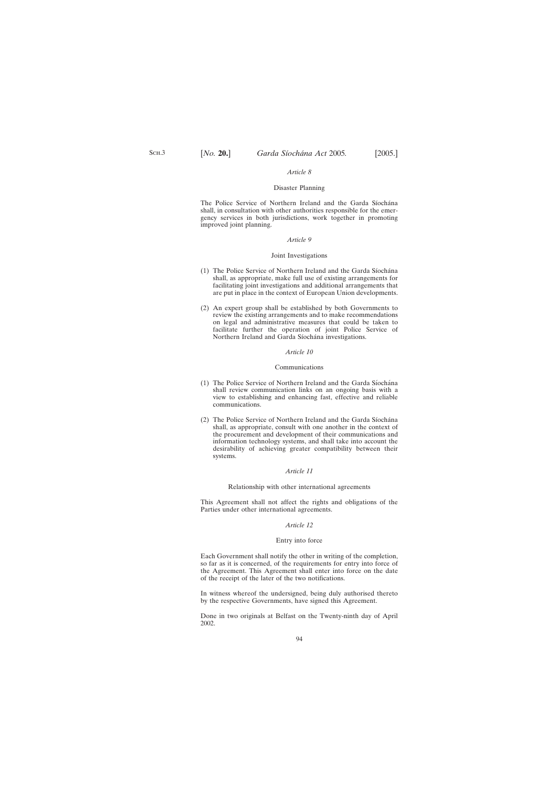# *Article 8*

# Disaster Planning

The Police Service of Northern Ireland and the Garda Síochána shall, in consultation with other authorities responsible for the emergency services in both jurisdictions, work together in promoting improved joint planning.

### *Article 9*

#### Joint Investigations

- (1) The Police Service of Northern Ireland and the Garda Síochána shall, as appropriate, make full use of existing arrangements for facilitating joint investigations and additional arrangements that are put in place in the context of European Union developments.
- (2) An expert group shall be established by both Governments to review the existing arrangements and to make recommendations on legal and administrative measures that could be taken to facilitate further the operation of joint Police Service of Northern Ireland and Garda Síochána investigations.

# *Article 10*

# Communications

- (1) The Police Service of Northern Ireland and the Garda Síochána shall review communication links on an ongoing basis with a view to establishing and enhancing fast, effective and reliable communications.
- (2) The Police Service of Northern Ireland and the Garda Síochána shall, as appropriate, consult with one another in the context of the procurement and development of their communications and information technology systems, and shall take into account the desirability of achieving greater compatibility between their systems.

### *Article 11*

# Relationship with other international agreements

This Agreement shall not affect the rights and obligations of the Parties under other international agreements.

#### *Article 12*

#### Entry into force

Each Government shall notify the other in writing of the completion, so far as it is concerned, of the requirements for entry into force of the Agreement. This Agreement shall enter into force on the date of the receipt of the later of the two notifications.

In witness whereof the undersigned, being duly authorised thereto by the respective Governments, have signed this Agreement.

Done in two originals at Belfast on the Twenty-ninth day of April 2002.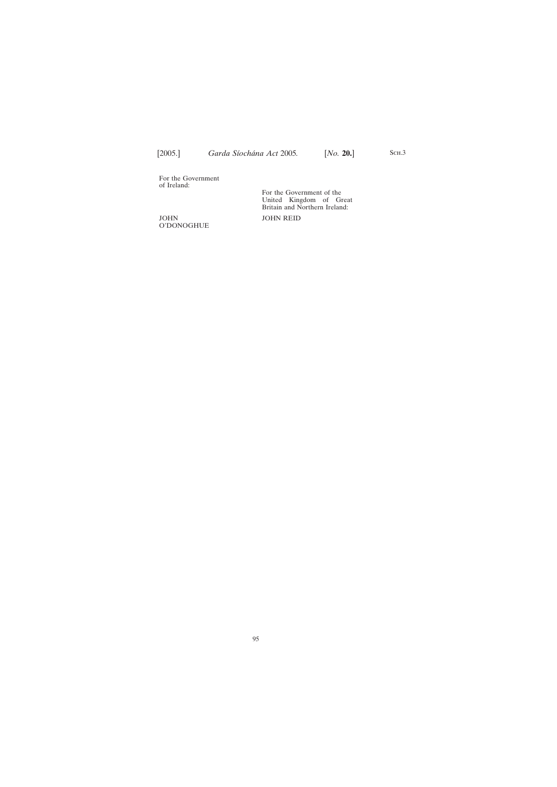For the Government of Ireland:

For the Government of the United Kingdom of Great Britain and Northern Ireland:

JOHN JOHN REID O'DONOGHUE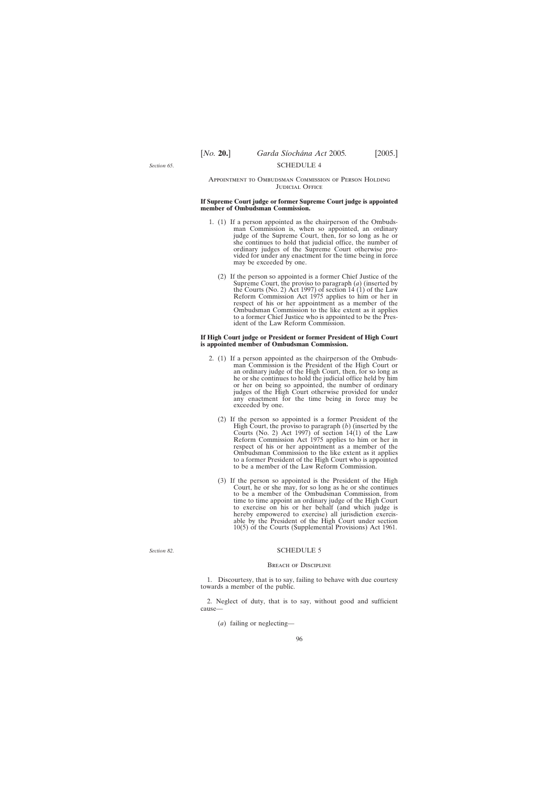# SCHEDULE 4

## Appointment to Ombudsman Commission of Person Holding JUDICIAL OFFICE

## **If Supreme Court judge or former Supreme Court judge is appointed member of Ombudsman Commission.**

- 1. (1) If a person appointed as the chairperson of the Ombudsman Commission is, when so appointed, an ordinary judge of the Supreme Court, then, for so long as he or she continues to hold that judicial office, the number of ordinary judges of the Supreme Court otherwise provided for under any enactment for the time being in force may be exceeded by one.
	- (2) If the person so appointed is a former Chief Justice of the Supreme Court, the proviso to paragraph (*a*) (inserted by the Courts (No. 2) Act 1997) of section  $14(1)$  of the Law Reform Commission Act 1975 applies to him or her in respect of his or her appointment as a member of the Ombudsman Commission to the like extent as it applies to a former Chief Justice who is appointed to be the President of the Law Reform Commission.

#### **If High Court judge or President or former President of High Court is appointed member of Ombudsman Commission.**

- 2. (1) If a person appointed as the chairperson of the Ombudsman Commission is the President of the High Court or an ordinary judge of the High Court, then, for so long as he or she continues to hold the judicial office held by him or her on being so appointed, the number of ordinary judges of the High Court otherwise provided for under any enactment for the time being in force may be exceeded by one.
	- (2) If the person so appointed is a former President of the High Court, the proviso to paragraph (*b*) (inserted by the Courts (No. 2) Act 1997) of section  $14(1)$  of the Law Reform Commission Act 1975 applies to him or her in respect of his or her appointment as a member of the Ombudsman Commission to the like extent as it applies to a former President of the High Court who is appointed to be a member of the Law Reform Commission.
	- (3) If the person so appointed is the President of the High Court, he or she may, for so long as he or she continues to be a member of the Ombudsman Commission, from time to time appoint an ordinary judge of the High Court to exercise on his or her behalf (and which judge is hereby empowered to exercise) all jurisdiction exercisable by the President of the High Court under section 10(5) of the Courts (Supplemental Provisions) Act 1961.

*Section 82*.

### SCHEDULE 5

#### Breach of Discipline

1. Discourtesy, that is to say, failing to behave with due courtesy towards a member of the public.

2. Neglect of duty, that is to say, without good and sufficient cause—

(*a*) failing or neglecting—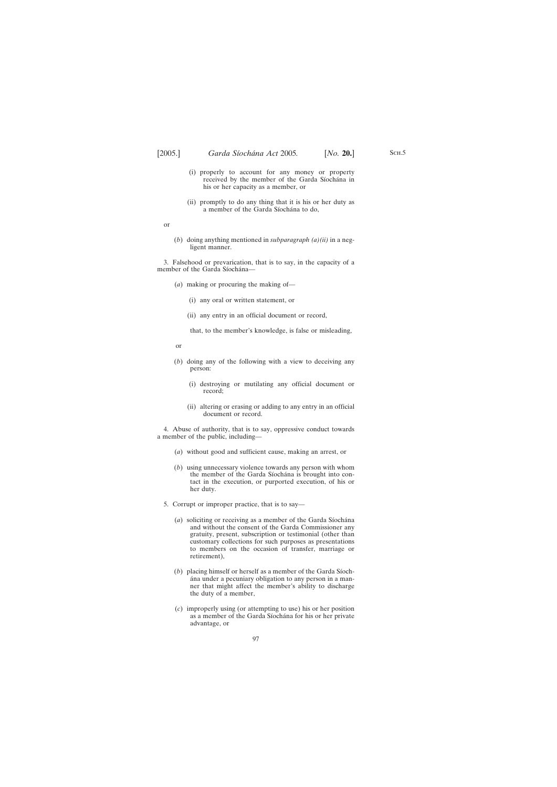- (i) properly to account for any money or property received by the member of the Garda Síochána in his or her capacity as a member, or
- (ii) promptly to do any thing that it is his or her duty as a member of the Garda Síochána to do,

or

(*b*) doing anything mentioned in *subparagraph (a)(ii)* in a negligent manner.

3. Falsehood or prevarication, that is to say, in the capacity of a member of the Garda Síochána-

- (*a*) making or procuring the making of—
	- (i) any oral or written statement, or
	- (ii) any entry in an official document or record,

that, to the member's knowledge, is false or misleading,

or

- (*b*) doing any of the following with a view to deceiving any person:
	- (i) destroying or mutilating any official document or record;
	- (ii) altering or erasing or adding to any entry in an official document or record.

4. Abuse of authority, that is to say, oppressive conduct towards a member of the public, including—

- (*a*) without good and sufficient cause, making an arrest, or
- (*b*) using unnecessary violence towards any person with whom the member of the Garda Síochána is brought into contact in the execution, or purported execution, of his or her duty.
- 5. Corrupt or improper practice, that is to say—
	- $(a)$  soliciting or receiving as a member of the Garda Síochána and without the consent of the Garda Commissioner any gratuity, present, subscription or testimonial (other than customary collections for such purposes as presentations to members on the occasion of transfer, marriage or retirement),
	- $(b)$  placing himself or herself as a member of the Garda Siochána under a pecuniary obligation to any person in a manner that might affect the member's ability to discharge the duty of a member,
	- (*c*) improperly using (or attempting to use) his or her position as a member of the Garda Síochána for his or her private advantage, or